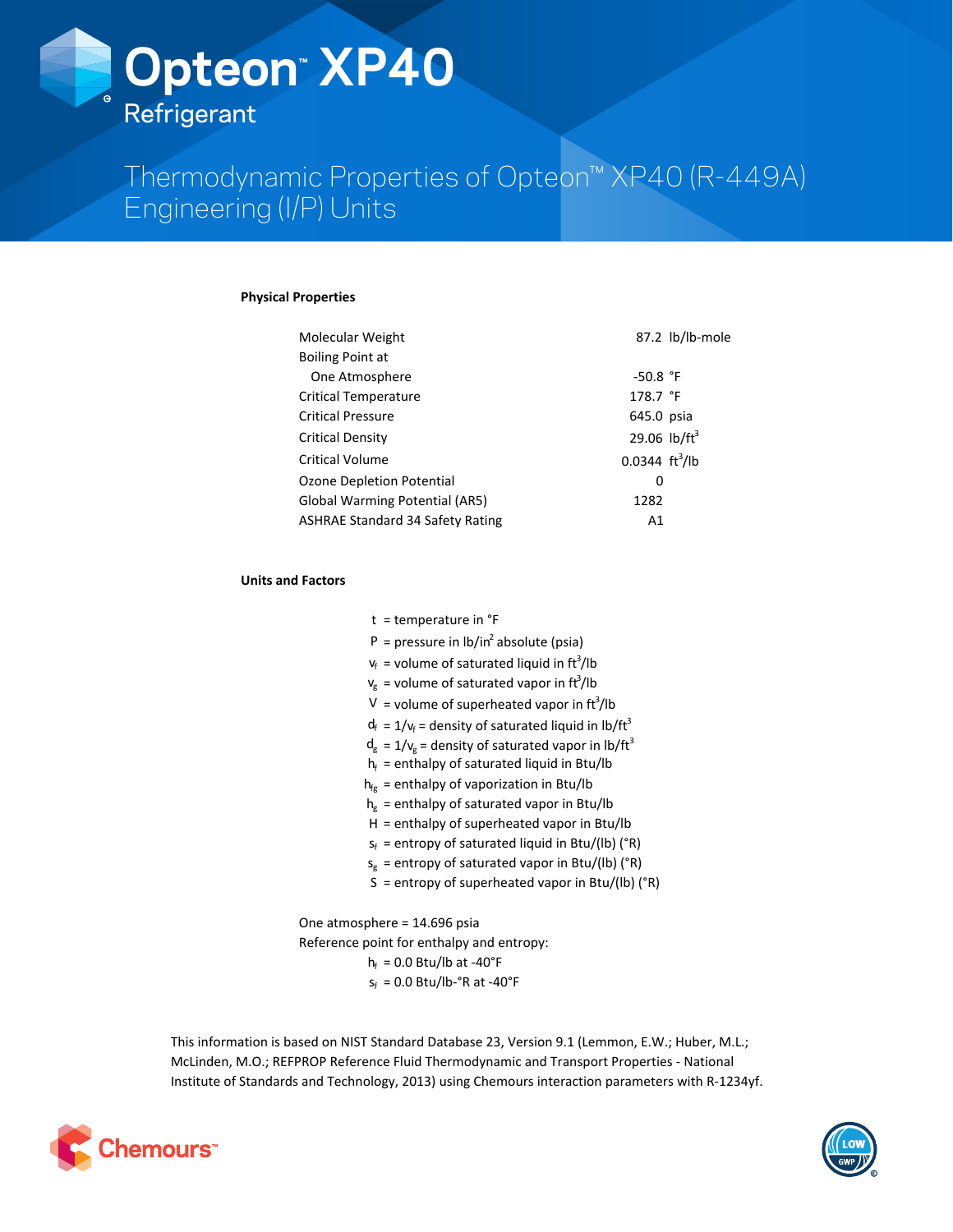# **Opteon™ XP40 Refrigerant**

Thermodynamic Properties of Opteon™ XP40 (R-449A) Engineering (I/P) Units

# **Physical Properties**

| Molecular Weight                        |                                 | 87.2 lb/lb-mole |
|-----------------------------------------|---------------------------------|-----------------|
| <b>Boiling Point at</b>                 |                                 |                 |
| One Atmosphere                          | $-50.8$ °F                      |                 |
| <b>Critical Temperature</b>             | 178.7 °F                        |                 |
| <b>Critical Pressure</b>                | 645.0 psia                      |                 |
| <b>Critical Density</b>                 | 29.06 $lb/ft^3$                 |                 |
| <b>Critical Volume</b>                  | $0.0344 \text{ ft}^3/\text{lb}$ |                 |
| <b>Ozone Depletion Potential</b>        | 0                               |                 |
| <b>Global Warming Potential (AR5)</b>   | 1282                            |                 |
| <b>ASHRAE Standard 34 Safety Rating</b> | Α1                              |                 |

# **Units and Factors**

| $t =$ temperature in $\degree$ F                                  |
|-------------------------------------------------------------------|
| P = pressure in $\frac{1}{2}$ h/in <sup>2</sup> absolute (psia)   |
| $V_f$ = volume of saturated liquid in ft <sup>3</sup> /lb         |
| $V_g$ = volume of saturated vapor in ft <sup>3</sup> /lb          |
| V = volume of superheated vapor in $\text{ft}^3/\text{lb}$        |
| $d_f = 1/v_f$ = density of saturated liquid in lb/ft <sup>3</sup> |
| $d_g = 1/v_g$ = density of saturated vapor in lb/ft <sup>3</sup>  |
| $h_f$ = enthalpy of saturated liquid in Btu/lb                    |
| $h_{fe}$ = enthalpy of vaporization in Btu/lb                     |
| $h_{g}$ = enthalpy of saturated vapor in Btu/lb                   |
| $H =$ enthalpy of superheated vapor in Btu/lb                     |
| $s_f$ = entropy of saturated liquid in Btu/(lb) ( $\degree$ R)    |
| $s_g$ = entropy of saturated vapor in Btu/(lb) (°R)               |
| S = entropy of superheated vapor in Btu/(lb) ( $\degree$ R)       |
|                                                                   |

One atmosphere  $= 14.696$  psia Reference point for enthalpy and entropy:  $h_f = 0.0$  Btu/lb at -40°F  $s_f = 0.0$  Btu/lb-°R at -40°F

This information is based on NIST Standard Database 23, Version 9.1 (Lemmon, E.W.; Huber, M.L.; McLinden, M.O.; REFPROP Reference Fluid Thermodynamic and Transport Properties - National Institute of Standards and Technology, 2013) using Chemours interaction parameters with R-1234yf.



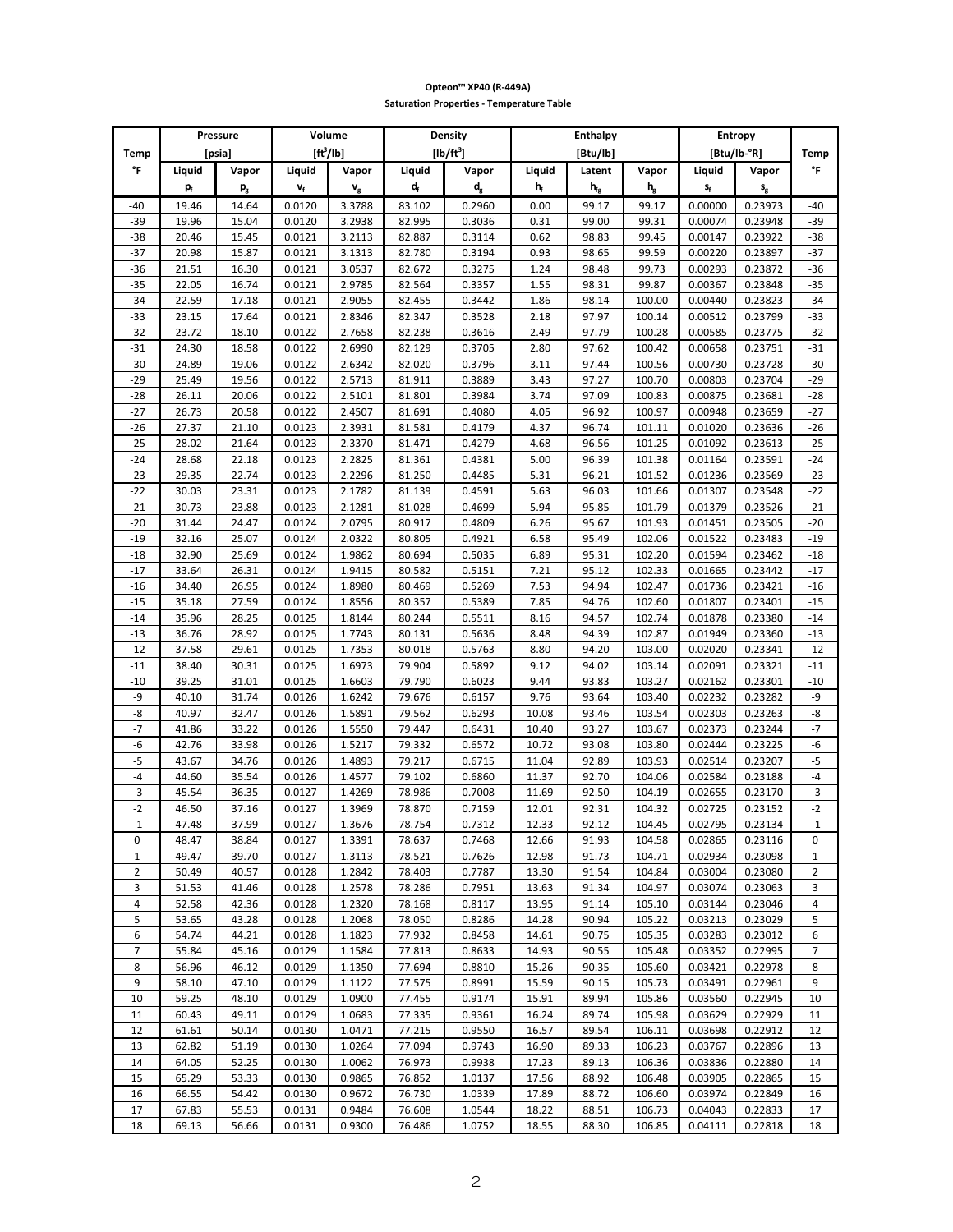|                |                         | Pressure                  | Volume                |                      |                           | Density                   | <b>Enthalpy</b><br>Entropy |                |                                    |                         |                         |                |  |
|----------------|-------------------------|---------------------------|-----------------------|----------------------|---------------------------|---------------------------|----------------------------|----------------|------------------------------------|-------------------------|-------------------------|----------------|--|
| Temp           |                         | [psia]                    | $[ft^3/lb]$           |                      |                           | $[lb/ft^3]$               |                            | [Btu/lb]       |                                    | [Btu/lb-°R]             |                         | Temp           |  |
| °F             | Liquid                  | Vapor                     | Liquid                | Vapor                | Liquid                    | Vapor                     | Liquid                     | Latent         | Vapor                              | Liquid                  | Vapor                   | °F             |  |
|                | $\mathbf{p}_{\text{f}}$ | $\mathsf{p}_{\mathrm{g}}$ | $\mathbf{v}_\text{f}$ | $\mathbf{v}_{\rm g}$ | $\mathbf{d}_{\mathrm{f}}$ | $\mathsf{d}_{\mathsf{g}}$ | $h_f$                      | $h_{\rm fg}$   | $\boldsymbol{\mathsf{h}}_\text{g}$ | $\mathsf{s}_\mathsf{f}$ | $\mathsf{s}_\mathsf{g}$ |                |  |
|                |                         |                           | 0.0120                | 3.3788               | 83.102                    | 0.2960                    |                            | 99.17          | 99.17                              | 0.00000                 | 0.23973                 |                |  |
| $-40$          | 19.46                   | 14.64                     |                       |                      |                           |                           | 0.00                       |                |                                    |                         |                         | $-40$          |  |
| $-39$          | 19.96                   | 15.04                     | 0.0120                | 3.2938               | 82.995                    | 0.3036                    | 0.31                       | 99.00          | 99.31                              | 0.00074                 | 0.23948                 | $-39$          |  |
| $-38$          | 20.46                   | 15.45                     | 0.0121                | 3.2113               | 82.887                    | 0.3114                    | 0.62                       | 98.83          | 99.45                              | 0.00147                 | 0.23922                 | -38            |  |
| $-37$          | 20.98                   | 15.87                     | 0.0121                | 3.1313               | 82.780                    | 0.3194                    | 0.93                       | 98.65          | 99.59                              | 0.00220                 | 0.23897                 | $-37$          |  |
| $-36$          | 21.51                   | 16.30                     | 0.0121                | 3.0537               | 82.672                    | 0.3275                    | 1.24                       | 98.48          | 99.73                              | 0.00293                 | 0.23872                 | $-36$          |  |
| $-35$          | 22.05                   | 16.74                     | 0.0121                | 2.9785               | 82.564                    | 0.3357                    | 1.55                       | 98.31          | 99.87                              | 0.00367                 | 0.23848                 | $-35$          |  |
| $-34$          | 22.59                   | 17.18                     | 0.0121                | 2.9055               | 82.455                    | 0.3442                    | 1.86                       | 98.14          | 100.00                             | 0.00440                 | 0.23823                 | $-34$          |  |
| $-33$          | 23.15                   | 17.64                     | 0.0121                | 2.8346               | 82.347                    | 0.3528                    | 2.18                       | 97.97          | 100.14                             | 0.00512                 | 0.23799                 | $-33$          |  |
| $-32$          | 23.72                   | 18.10                     | 0.0122                | 2.7658<br>2.6990     | 82.238<br>82.129          | 0.3616                    | 2.49                       | 97.79          | 100.28                             | 0.00585                 | 0.23775                 | $-32$<br>$-31$ |  |
| $-31$          | 24.30<br>24.89          | 18.58<br>19.06            | 0.0122                |                      |                           | 0.3705                    | 2.80                       | 97.62<br>97.44 | 100.42<br>100.56                   | 0.00658<br>0.00730      | 0.23751                 | $-30$          |  |
| $-30$          |                         |                           | 0.0122                | 2.6342               | 82.020                    | 0.3796                    | 3.11                       |                |                                    |                         | 0.23728                 |                |  |
| $-29$          | 25.49                   | 19.56                     | 0.0122                | 2.5713               | 81.911                    | 0.3889                    | 3.43                       | 97.27          | 100.70                             | 0.00803                 | 0.23704                 | $-29$          |  |
| $-28$<br>$-27$ | 26.11                   | 20.06                     | 0.0122                | 2.5101               | 81.801                    | 0.3984                    | 3.74                       | 97.09          | 100.83                             | 0.00875                 | 0.23681                 | $-28$          |  |
|                | 26.73                   | 20.58                     | 0.0122                | 2.4507               | 81.691                    | 0.4080                    | 4.05                       | 96.92          | 100.97                             | 0.00948                 | 0.23659                 | $-27$<br>$-26$ |  |
| $-26$          | 27.37                   | 21.10                     | 0.0123                | 2.3931               | 81.581                    | 0.4179                    | 4.37                       | 96.74          | 101.11                             | 0.01020                 | 0.23636                 |                |  |
| $-25$          | 28.02                   | 21.64                     | 0.0123                | 2.3370               | 81.471                    | 0.4279                    | 4.68                       | 96.56          | 101.25                             | 0.01092                 | 0.23613                 | $-25$          |  |
| $-24$          | 28.68                   | 22.18                     | 0.0123                | 2.2825<br>2.2296     | 81.361                    | 0.4381                    | 5.00                       | 96.39          | 101.38                             | 0.01164                 | 0.23591                 | $-24$<br>$-23$ |  |
| $-23$          | 29.35                   | 22.74                     | 0.0123                |                      | 81.250                    | 0.4485                    | 5.31                       | 96.21          | 101.52                             | 0.01236                 | 0.23569                 |                |  |
| $-22$          | 30.03                   | 23.31                     | 0.0123                | 2.1782               | 81.139                    | 0.4591                    | 5.63                       | 96.03          | 101.66                             | 0.01307                 | 0.23548                 | $-22$          |  |
| $-21$          | 30.73                   | 23.88                     | 0.0123                | 2.1281               | 81.028                    | 0.4699                    | 5.94                       | 95.85          | 101.79                             | 0.01379                 | 0.23526                 | $-21$          |  |
| $-20$          | 31.44                   | 24.47                     | 0.0124                | 2.0795               | 80.917                    | 0.4809                    | 6.26                       | 95.67          | 101.93                             | 0.01451                 | 0.23505                 | $-20$          |  |
| $-19$          | 32.16                   | 25.07                     | 0.0124                | 2.0322               | 80.805                    | 0.4921                    | 6.58                       | 95.49          | 102.06                             | 0.01522                 | 0.23483                 | $-19$          |  |
| $-18$          | 32.90                   | 25.69                     | 0.0124                | 1.9862               | 80.694                    | 0.5035                    | 6.89                       | 95.31          | 102.20                             | 0.01594                 | 0.23462                 | $-18$          |  |
| $-17$          | 33.64                   | 26.31                     | 0.0124                | 1.9415               | 80.582                    | 0.5151                    | 7.21                       | 95.12          | 102.33                             | 0.01665                 | 0.23442                 | $-17$          |  |
| $-16$          | 34.40                   | 26.95                     | 0.0124                | 1.8980               | 80.469                    | 0.5269                    | 7.53                       | 94.94          | 102.47                             | 0.01736                 | 0.23421                 | $-16$          |  |
| $-15$          | 35.18                   | 27.59                     | 0.0124                | 1.8556               | 80.357                    | 0.5389                    | 7.85                       | 94.76          | 102.60                             | 0.01807                 | 0.23401                 | $-15$          |  |
| $-14$          | 35.96                   | 28.25                     | 0.0125                | 1.8144               | 80.244                    | 0.5511                    | 8.16                       | 94.57          | 102.74                             | 0.01878                 | 0.23380                 | $-14$          |  |
| $-13$          | 36.76                   | 28.92                     | 0.0125                | 1.7743               | 80.131                    | 0.5636                    | 8.48                       | 94.39          | 102.87                             | 0.01949                 | 0.23360                 | $-13$          |  |
| $-12$          | 37.58                   | 29.61                     | 0.0125                | 1.7353               | 80.018                    | 0.5763                    | 8.80                       | 94.20          | 103.00                             | 0.02020                 | 0.23341                 | $-12$          |  |
| $-11$          | 38.40                   | 30.31                     | 0.0125                | 1.6973               | 79.904                    | 0.5892                    | 9.12                       | 94.02          | 103.14                             | 0.02091                 | 0.23321                 | $-11$          |  |
| $-10$          | 39.25                   | 31.01                     | 0.0125                | 1.6603               | 79.790                    | 0.6023                    | 9.44                       | 93.83          | 103.27                             | 0.02162                 | 0.23301                 | $-10$          |  |
| -9             | 40.10                   | 31.74                     | 0.0126                | 1.6242               | 79.676                    | 0.6157                    | 9.76                       | 93.64          | 103.40                             | 0.02232                 | 0.23282                 | -9             |  |
| -8             | 40.97                   | 32.47                     | 0.0126                | 1.5891               | 79.562                    | 0.6293                    | 10.08                      | 93.46          | 103.54                             | 0.02303                 | 0.23263                 | -8             |  |
| $-7$           | 41.86                   | 33.22                     | 0.0126                | 1.5550               | 79.447                    | 0.6431                    | 10.40                      | 93.27          | 103.67                             | 0.02373                 | 0.23244                 | $-7$           |  |
| -6             | 42.76                   | 33.98                     | 0.0126                | 1.5217               | 79.332                    | 0.6572                    | 10.72                      | 93.08          | 103.80                             | 0.02444                 | 0.23225                 | -6             |  |
| $-5$           | 43.67                   | 34.76                     | 0.0126                | 1.4893               | 79.217                    | 0.6715                    | 11.04                      | 92.89          | 103.93                             | 0.02514                 | 0.23207                 | -5             |  |
| $-4$           | 44.60                   | 35.54                     | 0.0126                | 1.4577               | 79.102                    | 0.6860                    | 11.37                      | 92.70          | 104.06                             | 0.02584                 | 0.23188                 | $-4$           |  |
| $-3$           | 45.54                   | 36.35                     | 0.0127                | 1.4269               | 78.986                    | 0.7008                    | 11.69                      | 92.50          | 104.19                             | 0.02655                 | 0.23170                 | $-3$           |  |
| $-2$           | 46.50                   | 37.16                     | 0.0127                | 1.3969               | 78.870                    | 0.7159                    | 12.01                      | 92.31          | 104.32                             | 0.02725                 | 0.23152                 | $-2$           |  |
| $-1$           | 47.48                   | 37.99                     | 0.0127                | 1.3676               | 78.754                    | 0.7312                    | 12.33                      | 92.12          | 104.45                             | 0.02795                 | 0.23134                 | $-1$           |  |
| 0              | 48.47                   | 38.84                     | 0.0127                | 1.3391               | 78.637                    | 0.7468                    | 12.66                      | 91.93          | 104.58                             | 0.02865                 | 0.23116                 | 0              |  |
| $\mathbf{1}$   | 49.47                   | 39.70                     | 0.0127                | 1.3113               | 78.521                    | 0.7626                    | 12.98                      | 91.73          | 104.71                             | 0.02934                 | 0.23098                 | $\mathbf{1}$   |  |
| $\overline{2}$ | 50.49                   | 40.57                     | 0.0128                | 1.2842               | 78.403                    | 0.7787                    | 13.30                      | 91.54          | 104.84                             | 0.03004                 | 0.23080                 | $\overline{2}$ |  |
| 3              | 51.53                   | 41.46                     | 0.0128                | 1.2578               | 78.286                    | 0.7951                    | 13.63                      | 91.34          | 104.97                             | 0.03074                 | 0.23063                 | 3              |  |
| 4              | 52.58                   | 42.36                     | 0.0128                | 1.2320               | 78.168                    | 0.8117                    | 13.95                      | 91.14          | 105.10                             | 0.03144                 | 0.23046                 | 4              |  |
| 5              | 53.65                   | 43.28                     | 0.0128                | 1.2068               | 78.050                    | 0.8286                    | 14.28                      | 90.94          | 105.22                             | 0.03213                 | 0.23029                 | 5              |  |
| 6              | 54.74                   | 44.21                     | 0.0128                | 1.1823               | 77.932                    | 0.8458                    | 14.61                      | 90.75          | 105.35                             | 0.03283                 | 0.23012                 | 6              |  |
| 7              | 55.84                   | 45.16                     | 0.0129                | 1.1584               | 77.813                    | 0.8633                    | 14.93                      | 90.55          | 105.48                             | 0.03352                 | 0.22995                 | 7              |  |
| 8              | 56.96                   | 46.12                     | 0.0129                | 1.1350               | 77.694                    | 0.8810                    | 15.26                      | 90.35          | 105.60                             | 0.03421                 | 0.22978                 | 8              |  |
| 9              | 58.10                   | 47.10                     | 0.0129                | 1.1122               | 77.575                    | 0.8991                    | 15.59                      | 90.15          | 105.73                             | 0.03491                 | 0.22961                 | 9              |  |
| 10             | 59.25                   | 48.10                     | 0.0129                | 1.0900               | 77.455                    | 0.9174                    | 15.91                      | 89.94          | 105.86                             | 0.03560                 | 0.22945                 | 10             |  |
| 11             | 60.43                   | 49.11                     | 0.0129                | 1.0683               | 77.335                    | 0.9361                    | 16.24                      | 89.74          | 105.98                             | 0.03629                 | 0.22929                 | 11             |  |
| 12             | 61.61                   | 50.14                     | 0.0130                | 1.0471               | 77.215                    | 0.9550                    | 16.57                      | 89.54          | 106.11                             | 0.03698                 | 0.22912                 | 12             |  |
| 13             | 62.82                   | 51.19                     | 0.0130                | 1.0264               | 77.094                    | 0.9743                    | 16.90                      | 89.33          | 106.23                             | 0.03767                 | 0.22896                 | 13             |  |
| 14             | 64.05                   | 52.25                     | 0.0130                | 1.0062               | 76.973                    | 0.9938                    | 17.23                      | 89.13          | 106.36                             | 0.03836                 | 0.22880                 | 14             |  |
| 15             | 65.29                   | 53.33                     | 0.0130                | 0.9865               | 76.852                    | 1.0137                    | 17.56                      | 88.92          | 106.48                             | 0.03905                 | 0.22865                 | 15             |  |
| 16             | 66.55                   | 54.42                     | 0.0130                | 0.9672               | 76.730                    | 1.0339                    | 17.89                      | 88.72          | 106.60                             | 0.03974                 | 0.22849                 | 16             |  |
| 17             | 67.83                   | 55.53                     | 0.0131                | 0.9484               | 76.608                    | 1.0544                    | 18.22                      | 88.51          | 106.73                             | 0.04043                 | 0.22833                 | 17             |  |
| 18             | 69.13                   | 56.66                     | 0.0131                | 0.9300               | 76.486                    | 1.0752                    | 18.55                      | 88.30          | 106.85                             | 0.04111                 | 0.22818                 | 18             |  |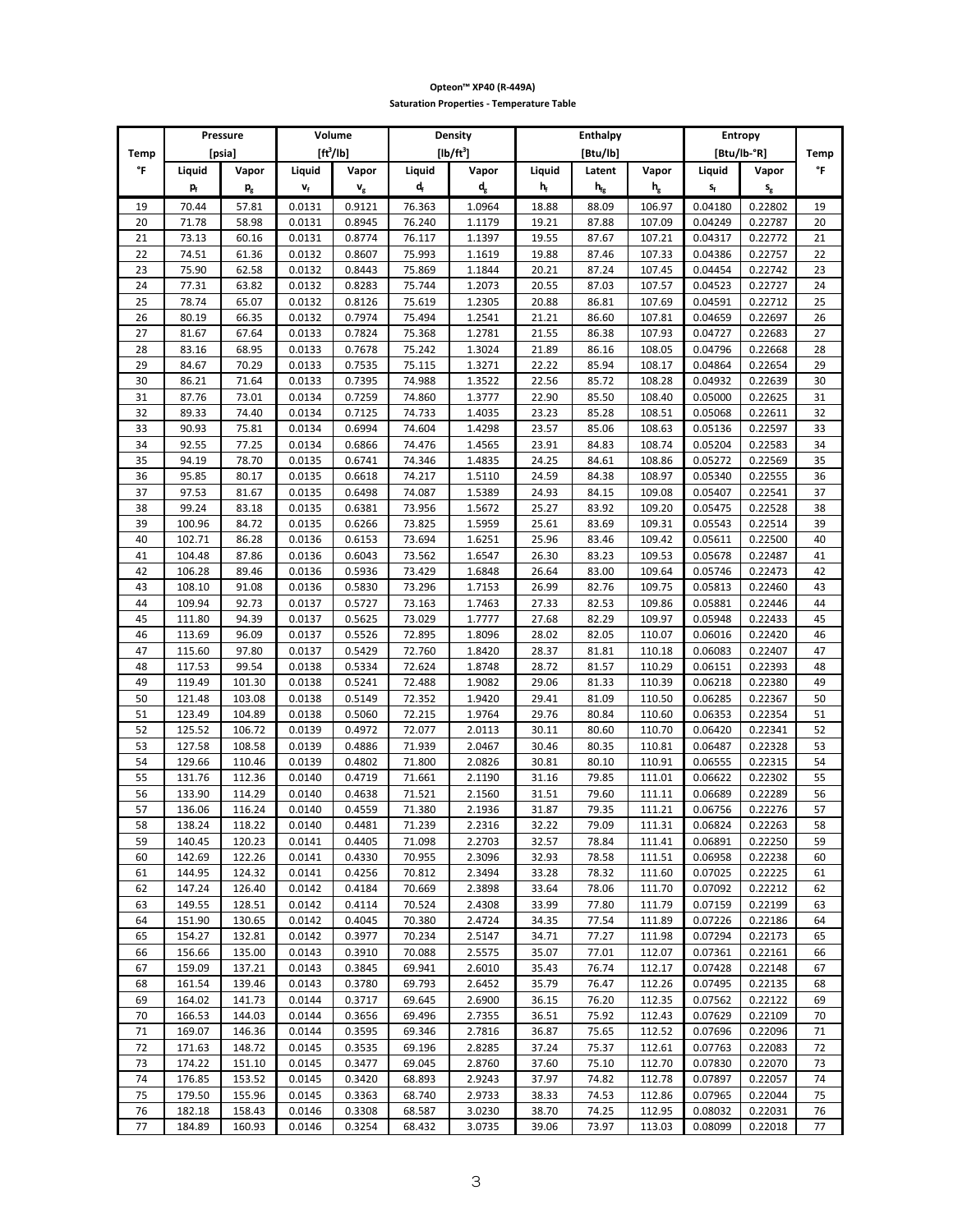|          |                  | Pressure                  | Volume                    |                      | Density<br><b>Enthalpy</b> |                           |                |                          |                         | Entropy                 |                         |          |
|----------|------------------|---------------------------|---------------------------|----------------------|----------------------------|---------------------------|----------------|--------------------------|-------------------------|-------------------------|-------------------------|----------|
| Temp     |                  | [psia]                    |                           | $[ft^3/lb]$          |                            | $[lb/ft^3]$               |                | [Btu/lb]                 |                         |                         | [Btu/lb-°R]             | Temp     |
| °F       | Liquid           | Vapor                     | Liquid                    | Vapor                | Liquid                     | Vapor                     | Liquid         | Latent                   | Vapor                   | Liquid                  | Vapor                   | °F       |
|          | p,               | $\mathsf{p}_{\mathrm{g}}$ | $\mathbf{v}_{\mathsf{f}}$ | $\mathbf{v}_{\rm g}$ | $\mathbf{d}_\text{f}$      | $\mathsf{d}_{\mathsf{g}}$ | $h_f$          | $\mathbf{h}_{\text{fg}}$ | $\mathsf{h}_\mathrm{g}$ | $\mathsf{s}_\mathsf{f}$ | $\mathsf{s}_\mathsf{g}$ |          |
| 19       | 70.44            | 57.81                     | 0.0131                    | 0.9121               | 76.363                     | 1.0964                    | 18.88          | 88.09                    | 106.97                  | 0.04180                 | 0.22802                 | 19       |
| 20       | 71.78            | 58.98                     | 0.0131                    | 0.8945               | 76.240                     | 1.1179                    | 19.21          | 87.88                    | 107.09                  | 0.04249                 | 0.22787                 | 20       |
| 21       | 73.13            | 60.16                     | 0.0131                    | 0.8774               | 76.117                     | 1.1397                    | 19.55          | 87.67                    | 107.21                  | 0.04317                 | 0.22772                 | 21       |
| 22       | 74.51            | 61.36                     | 0.0132                    | 0.8607               | 75.993                     | 1.1619                    | 19.88          | 87.46                    | 107.33                  | 0.04386                 | 0.22757                 | 22       |
| 23       | 75.90            | 62.58                     | 0.0132                    | 0.8443               | 75.869                     | 1.1844                    | 20.21          | 87.24                    | 107.45                  | 0.04454                 | 0.22742                 | 23       |
| 24       | 77.31            | 63.82                     | 0.0132                    | 0.8283               | 75.744                     | 1.2073                    | 20.55          | 87.03                    | 107.57                  | 0.04523                 | 0.22727                 | 24       |
| 25       | 78.74            | 65.07                     | 0.0132                    | 0.8126               | 75.619                     | 1.2305                    | 20.88          | 86.81                    | 107.69                  | 0.04591                 | 0.22712                 | 25       |
| 26       | 80.19            | 66.35                     | 0.0132                    | 0.7974               | 75.494                     | 1.2541                    | 21.21          | 86.60                    | 107.81                  | 0.04659                 | 0.22697                 | 26       |
| 27       | 81.67            | 67.64                     | 0.0133                    | 0.7824               | 75.368                     | 1.2781                    | 21.55          | 86.38                    | 107.93                  | 0.04727                 | 0.22683                 | 27       |
| 28       | 83.16            | 68.95                     | 0.0133                    | 0.7678               | 75.242                     | 1.3024                    | 21.89          | 86.16                    | 108.05                  | 0.04796                 | 0.22668                 | 28       |
| 29       | 84.67            | 70.29                     | 0.0133                    | 0.7535               | 75.115                     | 1.3271                    | 22.22          | 85.94                    | 108.17                  | 0.04864                 | 0.22654                 | 29       |
| 30       | 86.21            | 71.64                     | 0.0133                    | 0.7395               | 74.988                     | 1.3522                    | 22.56          | 85.72                    | 108.28                  | 0.04932                 | 0.22639                 | 30       |
| 31       | 87.76            | 73.01                     | 0.0134                    | 0.7259               | 74.860                     | 1.3777                    | 22.90          | 85.50                    | 108.40                  | 0.05000                 | 0.22625                 | 31       |
| 32       | 89.33            | 74.40                     | 0.0134                    | 0.7125               | 74.733                     | 1.4035                    | 23.23          | 85.28                    | 108.51                  | 0.05068                 | 0.22611                 | 32       |
| 33       | 90.93            | 75.81                     | 0.0134                    | 0.6994               | 74.604                     | 1.4298                    | 23.57          | 85.06                    | 108.63                  | 0.05136                 | 0.22597                 | 33       |
| 34       | 92.55            | 77.25                     | 0.0134                    | 0.6866               | 74.476                     | 1.4565                    | 23.91          | 84.83                    | 108.74                  | 0.05204                 | 0.22583                 | 34       |
| 35       | 94.19            | 78.70                     | 0.0135                    | 0.6741               | 74.346                     | 1.4835                    | 24.25          | 84.61                    | 108.86                  | 0.05272                 | 0.22569                 | 35       |
| 36       | 95.85            | 80.17                     | 0.0135                    | 0.6618               | 74.217                     | 1.5110                    | 24.59          | 84.38                    | 108.97                  | 0.05340                 | 0.22555                 | 36       |
| 37       | 97.53            | 81.67                     | 0.0135                    | 0.6498               | 74.087                     | 1.5389                    | 24.93          | 84.15                    | 109.08                  | 0.05407                 | 0.22541                 | 37       |
| 38       | 99.24            | 83.18                     | 0.0135                    | 0.6381               | 73.956                     | 1.5672                    | 25.27          | 83.92                    | 109.20                  | 0.05475                 | 0.22528                 | 38       |
| 39       | 100.96           | 84.72                     | 0.0135                    | 0.6266               | 73.825                     | 1.5959                    | 25.61          | 83.69                    | 109.31                  | 0.05543                 | 0.22514                 | 39       |
| 40       | 102.71           | 86.28                     | 0.0136                    | 0.6153               | 73.694                     | 1.6251                    | 25.96          | 83.46                    | 109.42                  | 0.05611                 | 0.22500                 | 40       |
| 41       | 104.48           | 87.86                     | 0.0136                    | 0.6043               | 73.562                     | 1.6547                    | 26.30          | 83.23                    | 109.53                  | 0.05678                 | 0.22487                 | 41       |
| 42       | 106.28           | 89.46                     | 0.0136                    | 0.5936               | 73.429                     | 1.6848                    | 26.64          | 83.00                    | 109.64                  | 0.05746                 | 0.22473                 | 42       |
| 43       | 108.10           | 91.08                     | 0.0136                    | 0.5830               | 73.296                     | 1.7153                    | 26.99          | 82.76                    | 109.75                  | 0.05813                 | 0.22460                 | 43       |
| 44       | 109.94           | 92.73                     | 0.0137                    | 0.5727               | 73.163                     | 1.7463                    | 27.33          | 82.53                    | 109.86                  | 0.05881                 | 0.22446                 | 44       |
| 45       | 111.80           | 94.39                     | 0.0137                    | 0.5625               | 73.029                     | 1.7777                    | 27.68          | 82.29                    | 109.97                  | 0.05948                 | 0.22433                 | 45       |
| 46       | 113.69           | 96.09                     | 0.0137                    | 0.5526               | 72.895                     | 1.8096                    | 28.02          | 82.05                    | 110.07                  | 0.06016                 | 0.22420                 | 46       |
| 47       | 115.60           | 97.80                     | 0.0137                    | 0.5429               | 72.760                     | 1.8420                    | 28.37          | 81.81                    | 110.18                  | 0.06083                 | 0.22407                 | 47       |
| 48       | 117.53           | 99.54                     | 0.0138                    | 0.5334               | 72.624                     | 1.8748                    | 28.72          | 81.57                    | 110.29                  | 0.06151                 | 0.22393                 | 48       |
| 49       | 119.49           | 101.30                    | 0.0138                    | 0.5241               | 72.488                     | 1.9082                    | 29.06          | 81.33                    | 110.39                  | 0.06218                 | 0.22380                 | 49       |
| 50       | 121.48           | 103.08                    | 0.0138                    | 0.5149               | 72.352                     | 1.9420                    | 29.41          | 81.09                    | 110.50                  | 0.06285                 | 0.22367                 | 50       |
| 51       | 123.49           | 104.89                    | 0.0138                    | 0.5060               | 72.215                     | 1.9764                    | 29.76          | 80.84                    | 110.60                  | 0.06353                 | 0.22354                 | 51       |
| 52       | 125.52           | 106.72                    | 0.0139                    | 0.4972               | 72.077                     | 2.0113                    | 30.11          | 80.60                    | 110.70                  | 0.06420                 | 0.22341                 | 52       |
| 53       | 127.58           | 108.58                    | 0.0139                    | 0.4886               | 71.939                     | 2.0467                    | 30.46          | 80.35                    | 110.81                  | 0.06487                 | 0.22328                 | 53       |
| 54       | 129.66           | 110.46                    | 0.0139                    | 0.4802               | 71.800                     | 2.0826                    | 30.81          | 80.10                    | 110.91                  | 0.06555                 | 0.22315                 | 54       |
| 55       | 131.76           | 112.36                    | 0.0140                    | 0.4719               | 71.661                     | 2.1190                    | 31.16          | 79.85                    | 111.01                  | 0.06622                 | 0.22302                 | 55       |
| 56       | 133.90           | 114.29                    | 0.0140                    | 0.4638               | 71.521                     | 2.1560                    | 31.51          | 79.60                    | 111.11                  | 0.06689                 | 0.22289                 | 56       |
| 57       | 136.06           | 116.24                    | 0.0140                    | 0.4559               | 71.380                     | 2.1936                    | 31.87          | 79.35                    | 111.21                  | 0.06756                 | 0.22276                 | 57       |
| 58       | 138.24           | 118.22                    | 0.0140                    | 0.4481               | 71.239                     | 2.2316                    | 32.22          | 79.09                    | 111.31                  | 0.06824                 | 0.22263                 | 58       |
| 59       | 140.45           | 120.23                    | 0.0141                    | 0.4405               | 71.098                     | 2.2703                    | 32.57          | 78.84                    | 111.41                  | 0.06891                 | 0.22250                 | 59       |
| 60       | 142.69           | 122.26                    | 0.0141                    | 0.4330               | 70.955                     | 2.3096                    | 32.93          | 78.58                    | 111.51                  | 0.06958                 | 0.22238                 | 60       |
| 61       | 144.95           | 124.32                    | 0.0141                    | 0.4256               | 70.812                     | 2.3494                    | 33.28          | 78.32                    | 111.60                  | 0.07025                 | 0.22225                 | 61       |
| 62       | 147.24           | 126.40                    | 0.0142                    | 0.4184               | 70.669                     | 2.3898                    | 33.64          | 78.06                    | 111.70                  | 0.07092                 | 0.22212                 | 62       |
| 63       | 149.55           | 128.51                    | 0.0142                    | 0.4114               | 70.524                     | 2.4308                    | 33.99          | 77.80                    | 111.79                  | 0.07159                 | 0.22199                 | 63       |
| 64       | 151.90           | 130.65                    | 0.0142                    | 0.4045               | 70.380                     | 2.4724                    | 34.35          | 77.54                    | 111.89                  | 0.07226                 | 0.22186                 | 64       |
| 65       | 154.27           | 132.81                    | 0.0142                    | 0.3977               | 70.234                     | 2.5147                    | 34.71          | 77.27                    | 111.98                  | 0.07294                 | 0.22173                 | 65       |
| 66       | 156.66           | 135.00                    | 0.0143                    | 0.3910               | 70.088                     | 2.5575                    | 35.07          | 77.01                    | 112.07                  | 0.07361                 | 0.22161                 | 66       |
| 67       | 159.09           | 137.21                    | 0.0143                    | 0.3845               | 69.941                     | 2.6010                    | 35.43          | 76.74                    | 112.17                  | 0.07428                 | 0.22148                 | 67       |
| 68       | 161.54           | 139.46                    | 0.0143                    | 0.3780               | 69.793                     | 2.6452                    | 35.79          | 76.47                    | 112.26                  | 0.07495                 | 0.22135                 | 68       |
| 69       | 164.02           | 141.73                    | 0.0144                    | 0.3717               | 69.645                     | 2.6900                    | 36.15          | 76.20                    | 112.35                  | 0.07562                 | 0.22122                 | 69       |
| 70       | 166.53           | 144.03                    | 0.0144                    | 0.3656               | 69.496                     | 2.7355                    | 36.51          | 75.92                    | 112.43                  | 0.07629                 | 0.22109                 | 70       |
| 71       | 169.07           | 146.36                    | 0.0144                    | 0.3595               | 69.346                     | 2.7816                    | 36.87          | 75.65                    | 112.52                  | 0.07696                 | 0.22096                 | 71       |
| 72       | 171.63           | 148.72                    | 0.0145                    | 0.3535               | 69.196                     | 2.8285                    | 37.24          | 75.37                    | 112.61                  | 0.07763                 | 0.22083                 | 72       |
| 73<br>74 | 174.22<br>176.85 | 151.10<br>153.52          | 0.0145<br>0.0145          | 0.3477<br>0.3420     | 69.045<br>68.893           | 2.8760<br>2.9243          | 37.60<br>37.97 | 75.10<br>74.82           | 112.70<br>112.78        | 0.07830<br>0.07897      | 0.22070<br>0.22057      | 73<br>74 |
| 75       | 179.50           | 155.96                    | 0.0145                    | 0.3363               | 68.740                     | 2.9733                    | 38.33          | 74.53                    | 112.86                  | 0.07965                 | 0.22044                 | 75       |
| 76       | 182.18           | 158.43                    | 0.0146                    | 0.3308               | 68.587                     | 3.0230                    | 38.70          | 74.25                    | 112.95                  | 0.08032                 | 0.22031                 | 76       |
| 77       | 184.89           | 160.93                    | 0.0146                    | 0.3254               | 68.432                     | 3.0735                    | 39.06          | 73.97                    | 113.03                  | 0.08099                 | 0.22018                 | 77       |
|          |                  |                           |                           |                      |                            |                           |                |                          |                         |                         |                         |          |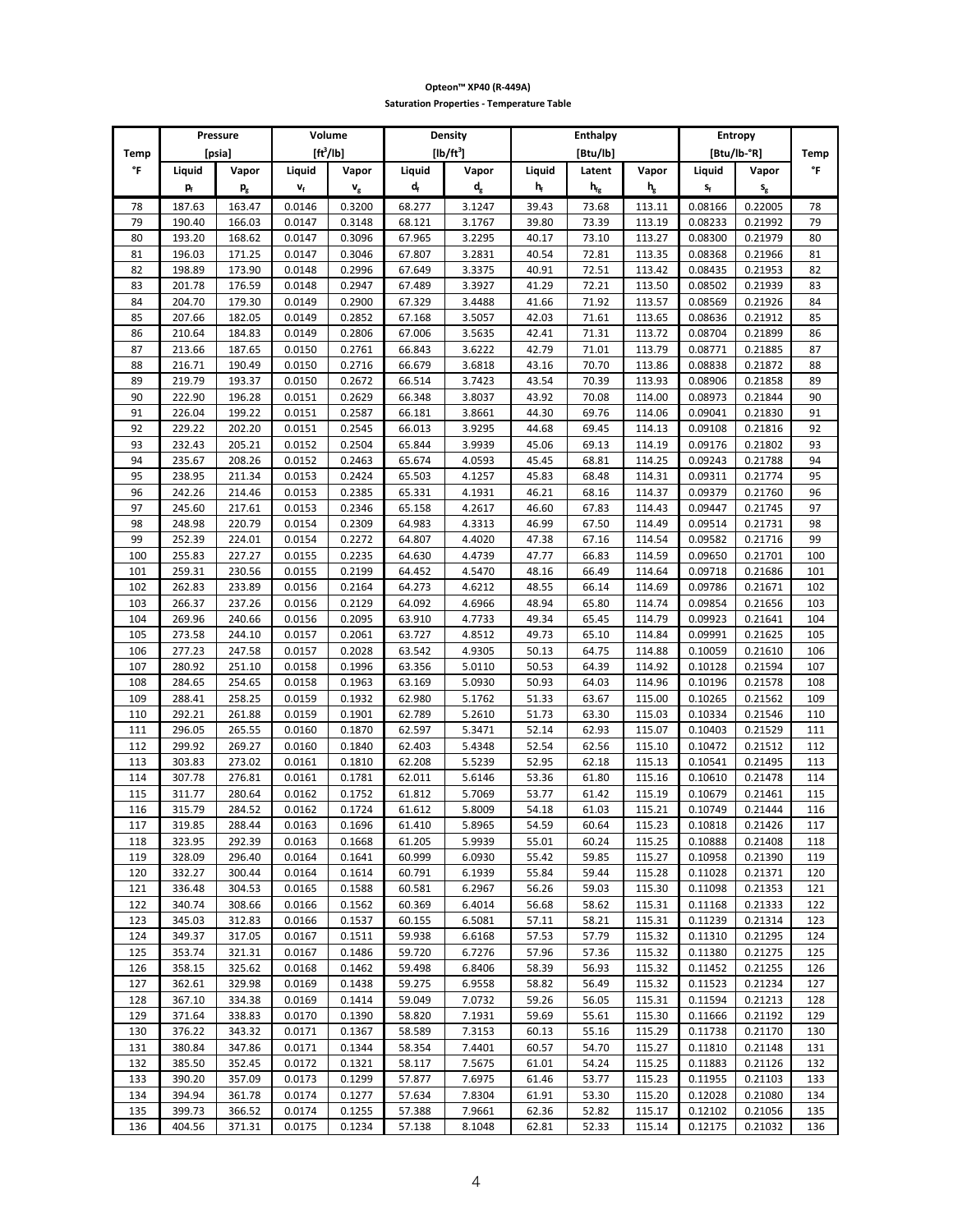|          |                           | Pressure                  | Volume                    |                      | Density<br><b>Enthalpy</b><br>Entropy |                           |                |                   |                  |                    |                         |          |
|----------|---------------------------|---------------------------|---------------------------|----------------------|---------------------------------------|---------------------------|----------------|-------------------|------------------|--------------------|-------------------------|----------|
| Temp     |                           | [psia]                    | $[ft^3/lb]$               |                      |                                       | $[lb/ft^3]$               |                | [Btu/lb]          |                  | [Btu/lb-°R]        |                         | Temp     |
| °F       | Liquid                    | Vapor                     | Liquid                    | Vapor                | Liquid                                | Vapor                     | Liquid         | Latent            | Vapor            | Liquid             | Vapor                   | °F       |
|          | $\mathbf{p}_{\mathrm{f}}$ |                           | $\mathbf{v}_{\mathsf{f}}$ |                      | $\mathbf{d}_{\mathrm{f}}$             | $\mathbf{d}_{\mathrm{g}}$ | $h_f$          | $h_{\mathrm{fg}}$ | $h_g$            | $s_f$              |                         |          |
|          |                           | $\mathsf{p}_{\mathrm{g}}$ |                           | $\mathbf{v}_{\rm g}$ |                                       |                           |                |                   |                  |                    | $\mathsf{s}_\mathsf{g}$ |          |
| 78       | 187.63                    | 163.47                    | 0.0146                    | 0.3200               | 68.277                                | 3.1247                    | 39.43          | 73.68             | 113.11           | 0.08166            | 0.22005                 | 78       |
| 79       | 190.40                    | 166.03                    | 0.0147                    | 0.3148               | 68.121                                | 3.1767                    | 39.80          | 73.39             | 113.19           | 0.08233            | 0.21992                 | 79       |
| 80       | 193.20                    | 168.62                    | 0.0147                    | 0.3096               | 67.965                                | 3.2295                    | 40.17          | 73.10             | 113.27           | 0.08300            | 0.21979                 | 80       |
| 81       | 196.03                    | 171.25                    | 0.0147                    | 0.3046               | 67.807                                | 3.2831                    | 40.54          | 72.81             | 113.35           | 0.08368            | 0.21966                 | 81       |
| 82       | 198.89                    | 173.90                    | 0.0148                    | 0.2996               | 67.649                                | 3.3375                    | 40.91          | 72.51             | 113.42           | 0.08435            | 0.21953                 | 82       |
| 83       | 201.78                    | 176.59                    | 0.0148                    | 0.2947               | 67.489                                | 3.3927                    | 41.29          | 72.21             | 113.50           | 0.08502            | 0.21939                 | 83       |
| 84       | 204.70                    | 179.30                    | 0.0149                    | 0.2900               | 67.329                                | 3.4488                    | 41.66          | 71.92             | 113.57           | 0.08569            | 0.21926                 | 84       |
| 85       | 207.66                    | 182.05                    | 0.0149                    | 0.2852               | 67.168                                | 3.5057                    | 42.03          | 71.61             | 113.65           | 0.08636            | 0.21912                 | 85       |
| 86       | 210.64                    | 184.83                    | 0.0149                    | 0.2806               | 67.006                                | 3.5635                    | 42.41          | 71.31             | 113.72           | 0.08704            | 0.21899                 | 86       |
| 87       | 213.66                    | 187.65                    | 0.0150                    | 0.2761               | 66.843                                | 3.6222                    | 42.79          | 71.01<br>70.70    | 113.79           | 0.08771            | 0.21885                 | 87       |
| 88       | 216.71                    | 190.49                    | 0.0150                    | 0.2716               | 66.679                                | 3.6818                    | 43.16          |                   | 113.86           | 0.08838            | 0.21872                 | 88       |
| 89<br>90 | 219.79                    | 193.37                    | 0.0150                    | 0.2672<br>0.2629     | 66.514                                | 3.7423                    | 43.54<br>43.92 | 70.39<br>70.08    | 113.93           | 0.08906            | 0.21858                 | 89<br>90 |
| 91       | 222.90<br>226.04          | 196.28<br>199.22          | 0.0151<br>0.0151          | 0.2587               | 66.348<br>66.181                      | 3.8037<br>3.8661          | 44.30          | 69.76             | 114.00<br>114.06 | 0.08973<br>0.09041 | 0.21844<br>0.21830      | 91       |
| 92       | 229.22                    | 202.20                    | 0.0151                    | 0.2545               | 66.013                                | 3.9295                    | 44.68          | 69.45             | 114.13           | 0.09108            | 0.21816                 | 92       |
| 93       | 232.43                    | 205.21                    | 0.0152                    | 0.2504               | 65.844                                | 3.9939                    | 45.06          | 69.13             | 114.19           | 0.09176            | 0.21802                 | 93       |
| 94       | 235.67                    | 208.26                    | 0.0152                    | 0.2463               | 65.674                                | 4.0593                    | 45.45          | 68.81             | 114.25           | 0.09243            | 0.21788                 | 94       |
| 95       | 238.95                    | 211.34                    | 0.0153                    | 0.2424               | 65.503                                | 4.1257                    | 45.83          | 68.48             | 114.31           | 0.09311            | 0.21774                 | 95       |
| 96       | 242.26                    | 214.46                    | 0.0153                    | 0.2385               | 65.331                                | 4.1931                    | 46.21          | 68.16             | 114.37           | 0.09379            | 0.21760                 | 96       |
| 97       | 245.60                    | 217.61                    | 0.0153                    | 0.2346               | 65.158                                | 4.2617                    | 46.60          | 67.83             | 114.43           | 0.09447            | 0.21745                 | 97       |
| 98       | 248.98                    | 220.79                    | 0.0154                    | 0.2309               | 64.983                                | 4.3313                    | 46.99          | 67.50             | 114.49           | 0.09514            | 0.21731                 | 98       |
| 99       | 252.39                    | 224.01                    | 0.0154                    | 0.2272               | 64.807                                | 4.4020                    | 47.38          | 67.16             | 114.54           | 0.09582            | 0.21716                 | 99       |
| 100      | 255.83                    | 227.27                    | 0.0155                    | 0.2235               | 64.630                                | 4.4739                    | 47.77          | 66.83             | 114.59           | 0.09650            | 0.21701                 | 100      |
| 101      | 259.31                    | 230.56                    | 0.0155                    | 0.2199               | 64.452                                | 4.5470                    | 48.16          | 66.49             | 114.64           | 0.09718            | 0.21686                 | 101      |
| 102      | 262.83                    | 233.89                    | 0.0156                    | 0.2164               | 64.273                                | 4.6212                    | 48.55          | 66.14             | 114.69           | 0.09786            | 0.21671                 | 102      |
| 103      | 266.37                    | 237.26                    | 0.0156                    | 0.2129               | 64.092                                | 4.6966                    | 48.94          | 65.80             | 114.74           | 0.09854            | 0.21656                 | 103      |
| 104      | 269.96                    | 240.66                    | 0.0156                    | 0.2095               | 63.910                                | 4.7733                    | 49.34          | 65.45             | 114.79           | 0.09923            | 0.21641                 | 104      |
| 105      | 273.58                    | 244.10                    | 0.0157                    | 0.2061               | 63.727                                | 4.8512                    | 49.73          | 65.10             | 114.84           | 0.09991            | 0.21625                 | 105      |
| 106      | 277.23                    | 247.58                    | 0.0157                    | 0.2028               | 63.542                                | 4.9305                    | 50.13          | 64.75             | 114.88           | 0.10059            | 0.21610                 | 106      |
| 107      | 280.92                    | 251.10                    | 0.0158                    | 0.1996               | 63.356                                | 5.0110                    | 50.53          | 64.39             | 114.92           | 0.10128            | 0.21594                 | 107      |
| 108      | 284.65                    | 254.65                    | 0.0158                    | 0.1963               | 63.169                                | 5.0930                    | 50.93          | 64.03             | 114.96           | 0.10196            | 0.21578                 | 108      |
| 109      | 288.41                    | 258.25                    | 0.0159                    | 0.1932               | 62.980                                | 5.1762                    | 51.33          | 63.67             | 115.00           | 0.10265            | 0.21562                 | 109      |
| 110      | 292.21                    | 261.88                    | 0.0159                    | 0.1901               | 62.789                                | 5.2610                    | 51.73          | 63.30             | 115.03           | 0.10334            | 0.21546                 | 110      |
| 111      | 296.05                    | 265.55                    | 0.0160                    | 0.1870               | 62.597                                | 5.3471                    | 52.14          | 62.93             | 115.07           | 0.10403            | 0.21529                 | 111      |
| 112      | 299.92                    | 269.27                    | 0.0160                    | 0.1840               | 62.403                                | 5.4348                    | 52.54          | 62.56             | 115.10           | 0.10472            | 0.21512                 | 112      |
| 113      | 303.83                    | 273.02                    | 0.0161                    | 0.1810               | 62.208                                | 5.5239                    | 52.95          | 62.18             | 115.13           | 0.10541            | 0.21495                 | 113      |
| 114      | 307.78                    | 276.81                    | 0.0161                    | 0.1781               | 62.011                                | 5.6146                    | 53.36          | 61.80             | 115.16           | 0.10610            | 0.21478                 | 114      |
| 115      | 311.77                    | 280.64                    | 0.0162                    | 0.1752               | 61.812                                | 5.7069                    | 53.77          | 61.42             | 115.19           | 0.10679            | 0.21461                 | 115      |
| 116      | 315.79                    | 284.52                    | 0.0162                    | 0.1724               | 61.612                                | 5.8009                    | 54.18          | 61.03             | 115.21           | 0.10749            | 0.21444                 | 116      |
| 117      | 319.85                    | 288.44                    | 0.0163                    | 0.1696               | 61.410                                | 5.8965                    | 54.59          | 60.64             | 115.23           | 0.10818            | 0.21426                 | 11/      |
| 118      | 323.95                    | 292.39                    | 0.0163                    | 0.1668               | 61.205                                | 5.9939                    | 55.01          | 60.24             | 115.25           | 0.10888            | 0.21408                 | 118      |
| 119      | 328.09                    | 296.40                    | 0.0164                    | 0.1641               | 60.999                                | 6.0930                    | 55.42          | 59.85             | 115.27           | 0.10958            | 0.21390                 | 119      |
| 120      | 332.27                    | 300.44                    | 0.0164                    | 0.1614               | 60.791                                | 6.1939                    | 55.84          | 59.44             | 115.28           | 0.11028            | 0.21371                 | 120      |
| 121      | 336.48                    | 304.53                    | 0.0165                    | 0.1588               | 60.581                                | 6.2967                    | 56.26          | 59.03             | 115.30           | 0.11098            | 0.21353                 | 121      |
| 122      | 340.74                    | 308.66                    | 0.0166                    | 0.1562               | 60.369                                | 6.4014                    | 56.68          | 58.62             | 115.31           | 0.11168            | 0.21333                 | 122      |
| 123      | 345.03                    | 312.83                    | 0.0166                    | 0.1537               | 60.155                                | 6.5081                    | 57.11          | 58.21             | 115.31           | 0.11239            | 0.21314                 | 123      |
| 124      | 349.37                    | 317.05                    | 0.0167                    | 0.1511               | 59.938                                | 6.6168                    | 57.53          | 57.79             | 115.32           | 0.11310            | 0.21295                 | 124      |
| 125      | 353.74                    | 321.31                    | 0.0167                    | 0.1486               | 59.720                                | 6.7276                    | 57.96          | 57.36             | 115.32           | 0.11380            | 0.21275                 | 125      |
| 126      | 358.15                    | 325.62                    | 0.0168                    | 0.1462               | 59.498                                | 6.8406                    | 58.39          | 56.93             | 115.32           | 0.11452            | 0.21255                 | 126      |
| 127      | 362.61                    | 329.98                    | 0.0169                    | 0.1438               | 59.275                                | 6.9558                    | 58.82          | 56.49             | 115.32           | 0.11523            | 0.21234                 | 127      |
| 128      | 367.10                    | 334.38                    | 0.0169                    | 0.1414               | 59.049                                | 7.0732                    | 59.26          | 56.05             | 115.31           | 0.11594            | 0.21213                 | 128      |
| 129      | 371.64                    | 338.83                    | 0.0170                    | 0.1390               | 58.820                                | 7.1931                    | 59.69          | 55.61             | 115.30           | 0.11666            | 0.21192                 | 129      |
| 130      | 376.22                    | 343.32                    | 0.0171                    | 0.1367               | 58.589                                | 7.3153                    | 60.13          | 55.16             | 115.29           | 0.11738            | 0.21170                 | 130      |
| 131      | 380.84                    | 347.86                    | 0.0171                    | 0.1344               | 58.354                                | 7.4401                    | 60.57          | 54.70             | 115.27           | 0.11810            | 0.21148                 | 131      |
| 132      | 385.50                    | 352.45                    | 0.0172                    | 0.1321               | 58.117                                | 7.5675                    | 61.01          | 54.24             | 115.25           | 0.11883            | 0.21126                 | 132      |
| 133      | 390.20                    | 357.09                    | 0.0173                    | 0.1299               | 57.877                                | 7.6975                    | 61.46          | 53.77             | 115.23           | 0.11955            | 0.21103                 | 133      |
| 134      | 394.94                    | 361.78                    | 0.0174                    | 0.1277               | 57.634                                | 7.8304                    | 61.91          | 53.30             | 115.20           | 0.12028            | 0.21080                 | 134      |
| 135      | 399.73                    | 366.52                    | 0.0174                    | 0.1255               | 57.388                                | 7.9661                    | 62.36          | 52.82             | 115.17           | 0.12102            | 0.21056                 | 135      |
| 136      | 404.56                    | 371.31                    | 0.0175                    | 0.1234               | 57.138                                | 8.1048                    | 62.81          | 52.33             | 115.14           | 0.12175            | 0.21032                 | 136      |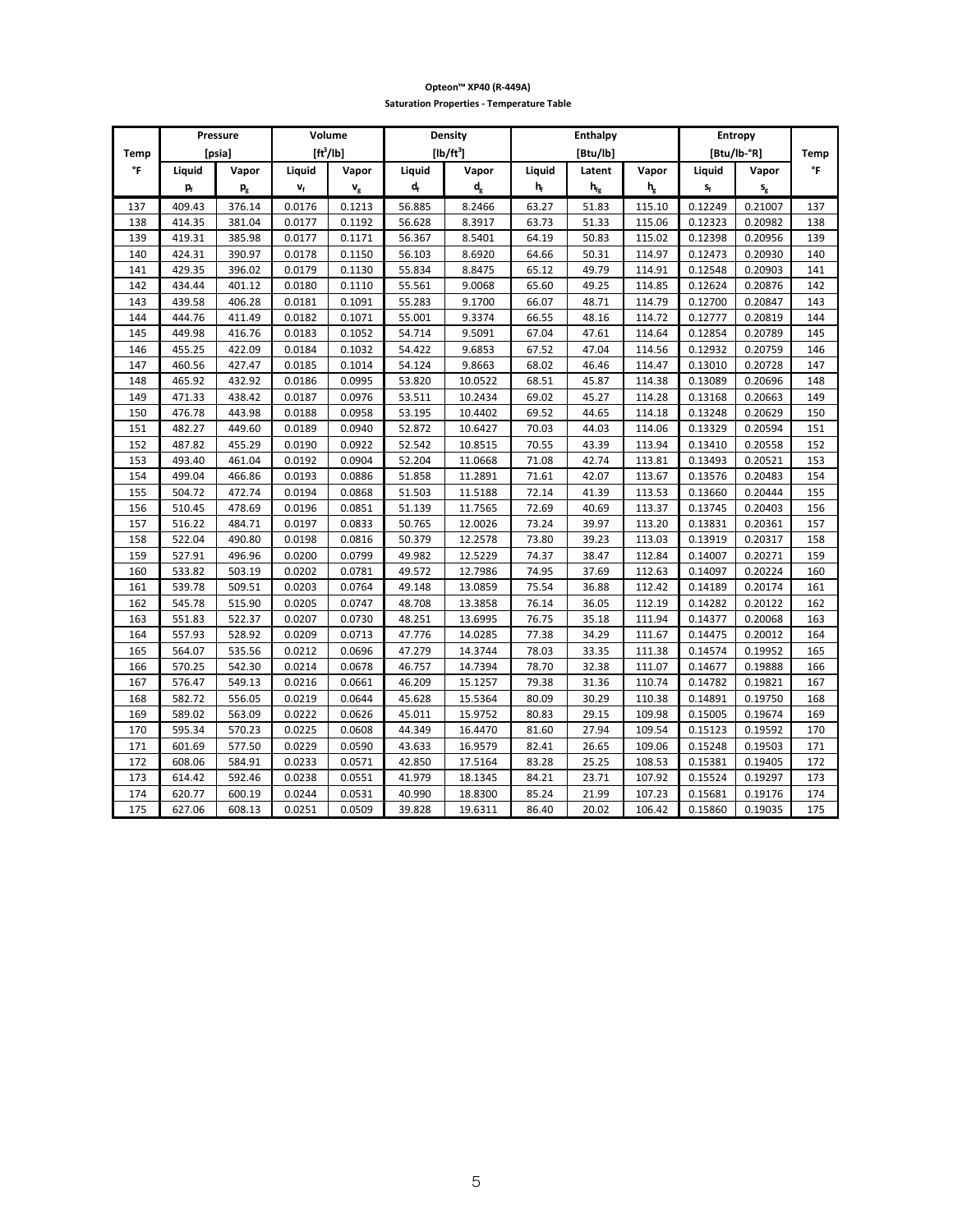|      |        | Pressure                  |                           | Volume                  |                       | Density<br><b>Enthalpy</b> |                |                          | Entropy                                |                         |                         |      |
|------|--------|---------------------------|---------------------------|-------------------------|-----------------------|----------------------------|----------------|--------------------------|----------------------------------------|-------------------------|-------------------------|------|
| Temp |        | [psia]                    |                           | $[ft^3/lb]$             |                       | $[lb/ft^3]$                |                | [Btu/lb]                 |                                        |                         | [Btu/lb-°R]             | Temp |
| °F   | Liquid | Vapor                     | Liquid                    | Vapor                   | Liquid                | Vapor                      | Liquid         | Latent                   | Vapor                                  | Liquid                  | Vapor                   | °F   |
|      | p,     | $\mathsf{p}_{\mathsf{g}}$ | $\mathbf{v}_{\mathsf{f}}$ | $\mathbf{v}_\mathrm{g}$ | $\mathbf{d}_\text{f}$ | $\mathbf{d}_{\mathrm{g}}$  | h <sub>f</sub> | $\mathbf{h}_{\text{fg}}$ | $\boldsymbol{\mathsf{h}}_{\mathrm{g}}$ | $\mathsf{s}_\mathsf{f}$ | $\mathsf{s}_\mathsf{g}$ |      |
| 137  | 409.43 | 376.14                    | 0.0176                    | 0.1213                  | 56.885                | 8.2466                     | 63.27          | 51.83                    | 115.10                                 | 0.12249                 | 0.21007                 | 137  |
| 138  | 414.35 | 381.04                    | 0.0177                    | 0.1192                  | 56.628                | 8.3917                     | 63.73          | 51.33                    | 115.06                                 | 0.12323                 | 0.20982                 | 138  |
| 139  | 419.31 | 385.98                    | 0.0177                    | 0.1171                  | 56.367                | 8.5401                     | 64.19          | 50.83                    | 115.02                                 | 0.12398                 | 0.20956                 | 139  |
| 140  | 424.31 | 390.97                    | 0.0178                    | 0.1150                  | 56.103                | 8.6920                     | 64.66          | 50.31                    | 114.97                                 | 0.12473                 | 0.20930                 | 140  |
| 141  | 429.35 | 396.02                    | 0.0179                    | 0.1130                  | 55.834                | 8.8475                     | 65.12          | 49.79                    | 114.91                                 | 0.12548                 | 0.20903                 | 141  |
| 142  | 434.44 | 401.12                    | 0.0180                    | 0.1110                  | 55.561                | 9.0068                     | 65.60          | 49.25                    | 114.85                                 | 0.12624                 | 0.20876                 | 142  |
| 143  | 439.58 | 406.28                    | 0.0181                    | 0.1091                  | 55.283                | 9.1700                     | 66.07          | 48.71                    | 114.79                                 | 0.12700                 | 0.20847                 | 143  |
| 144  | 444.76 | 411.49                    | 0.0182                    | 0.1071                  | 55.001                | 9.3374                     | 66.55          | 48.16                    | 114.72                                 | 0.12777                 | 0.20819                 | 144  |
| 145  | 449.98 | 416.76                    | 0.0183                    | 0.1052                  | 54.714                | 9.5091                     | 67.04          | 47.61                    | 114.64                                 | 0.12854                 | 0.20789                 | 145  |
| 146  | 455.25 | 422.09                    | 0.0184                    | 0.1032                  | 54.422                | 9.6853                     | 67.52          | 47.04                    | 114.56                                 | 0.12932                 | 0.20759                 | 146  |
| 147  | 460.56 | 427.47                    | 0.0185                    | 0.1014                  | 54.124                | 9.8663                     | 68.02          | 46.46                    | 114.47                                 | 0.13010                 | 0.20728                 | 147  |
| 148  | 465.92 | 432.92                    | 0.0186                    | 0.0995                  | 53.820                | 10.0522                    | 68.51          | 45.87                    | 114.38                                 | 0.13089                 | 0.20696                 | 148  |
| 149  | 471.33 | 438.42                    | 0.0187                    | 0.0976                  | 53.511                | 10.2434                    | 69.02          | 45.27                    | 114.28                                 | 0.13168                 | 0.20663                 | 149  |
| 150  | 476.78 | 443.98                    | 0.0188                    | 0.0958                  | 53.195                | 10.4402                    | 69.52          | 44.65                    | 114.18                                 | 0.13248                 | 0.20629                 | 150  |
| 151  | 482.27 | 449.60                    | 0.0189                    | 0.0940                  | 52.872                | 10.6427                    | 70.03          | 44.03                    | 114.06                                 | 0.13329                 | 0.20594                 | 151  |
| 152  | 487.82 | 455.29                    | 0.0190                    | 0.0922                  | 52.542                | 10.8515                    | 70.55          | 43.39                    | 113.94                                 | 0.13410                 | 0.20558                 | 152  |
| 153  | 493.40 | 461.04                    | 0.0192                    | 0.0904                  | 52.204                | 11.0668                    | 71.08          | 42.74                    | 113.81                                 | 0.13493                 | 0.20521                 | 153  |
| 154  | 499.04 | 466.86                    | 0.0193                    | 0.0886                  | 51.858                | 11.2891                    | 71.61          | 42.07                    | 113.67                                 | 0.13576                 | 0.20483                 | 154  |
| 155  | 504.72 | 472.74                    | 0.0194                    | 0.0868                  | 51.503                | 11.5188                    | 72.14          | 41.39                    | 113.53                                 | 0.13660                 | 0.20444                 | 155  |
| 156  | 510.45 | 478.69                    | 0.0196                    | 0.0851                  | 51.139                | 11.7565                    | 72.69          | 40.69                    | 113.37                                 | 0.13745                 | 0.20403                 | 156  |
| 157  | 516.22 | 484.71                    | 0.0197                    | 0.0833                  | 50.765                | 12.0026                    | 73.24          | 39.97                    | 113.20                                 | 0.13831                 | 0.20361                 | 157  |
| 158  | 522.04 | 490.80                    | 0.0198                    | 0.0816                  | 50.379                | 12.2578                    | 73.80          | 39.23                    | 113.03                                 | 0.13919                 | 0.20317                 | 158  |
| 159  | 527.91 | 496.96                    | 0.0200                    | 0.0799                  | 49.982                | 12.5229                    | 74.37          | 38.47                    | 112.84                                 | 0.14007                 | 0.20271                 | 159  |
| 160  | 533.82 | 503.19                    | 0.0202                    | 0.0781                  | 49.572                | 12.7986                    | 74.95          | 37.69                    | 112.63                                 | 0.14097                 | 0.20224                 | 160  |
| 161  | 539.78 | 509.51                    | 0.0203                    | 0.0764                  | 49.148                | 13.0859                    | 75.54          | 36.88                    | 112.42                                 | 0.14189                 | 0.20174                 | 161  |
| 162  | 545.78 | 515.90                    | 0.0205                    | 0.0747                  | 48.708                | 13.3858                    | 76.14          | 36.05                    | 112.19                                 | 0.14282                 | 0.20122                 | 162  |
| 163  | 551.83 | 522.37                    | 0.0207                    | 0.0730                  | 48.251                | 13.6995                    | 76.75          | 35.18                    | 111.94                                 | 0.14377                 | 0.20068                 | 163  |
| 164  | 557.93 | 528.92                    | 0.0209                    | 0.0713                  | 47.776                | 14.0285                    | 77.38          | 34.29                    | 111.67                                 | 0.14475                 | 0.20012                 | 164  |
| 165  | 564.07 | 535.56                    | 0.0212                    | 0.0696                  | 47.279                | 14.3744                    | 78.03          | 33.35                    | 111.38                                 | 0.14574                 | 0.19952                 | 165  |
| 166  | 570.25 | 542.30                    | 0.0214                    | 0.0678                  | 46.757                | 14.7394                    | 78.70          | 32.38                    | 111.07                                 | 0.14677                 | 0.19888                 | 166  |
| 167  | 576.47 | 549.13                    | 0.0216                    | 0.0661                  | 46.209                | 15.1257                    | 79.38          | 31.36                    | 110.74                                 | 0.14782                 | 0.19821                 | 167  |
| 168  | 582.72 | 556.05                    | 0.0219                    | 0.0644                  | 45.628                | 15.5364                    | 80.09          | 30.29                    | 110.38                                 | 0.14891                 | 0.19750                 | 168  |
| 169  | 589.02 | 563.09                    | 0.0222                    | 0.0626                  | 45.011                | 15.9752                    | 80.83          | 29.15                    | 109.98                                 | 0.15005                 | 0.19674                 | 169  |
| 170  | 595.34 | 570.23                    | 0.0225                    | 0.0608                  | 44.349                | 16.4470                    | 81.60          | 27.94                    | 109.54                                 | 0.15123                 | 0.19592                 | 170  |
| 171  | 601.69 | 577.50                    | 0.0229                    | 0.0590                  | 43.633                | 16.9579                    | 82.41          | 26.65                    | 109.06                                 | 0.15248                 | 0.19503                 | 171  |
| 172  | 608.06 | 584.91                    | 0.0233                    | 0.0571                  | 42.850                | 17.5164                    | 83.28          | 25.25                    | 108.53                                 | 0.15381                 | 0.19405                 | 172  |
| 173  | 614.42 | 592.46                    | 0.0238                    | 0.0551                  | 41.979                | 18.1345                    | 84.21          | 23.71                    | 107.92                                 | 0.15524                 | 0.19297                 | 173  |
| 174  | 620.77 | 600.19                    | 0.0244                    | 0.0531                  | 40.990                | 18.8300                    | 85.24          | 21.99                    | 107.23                                 | 0.15681                 | 0.19176                 | 174  |
| 175  | 627.06 | 608.13                    | 0.0251                    | 0.0509                  | 39.828                | 19.6311                    | 86.40          | 20.02                    | 106.42                                 | 0.15860                 | 0.19035                 | 175  |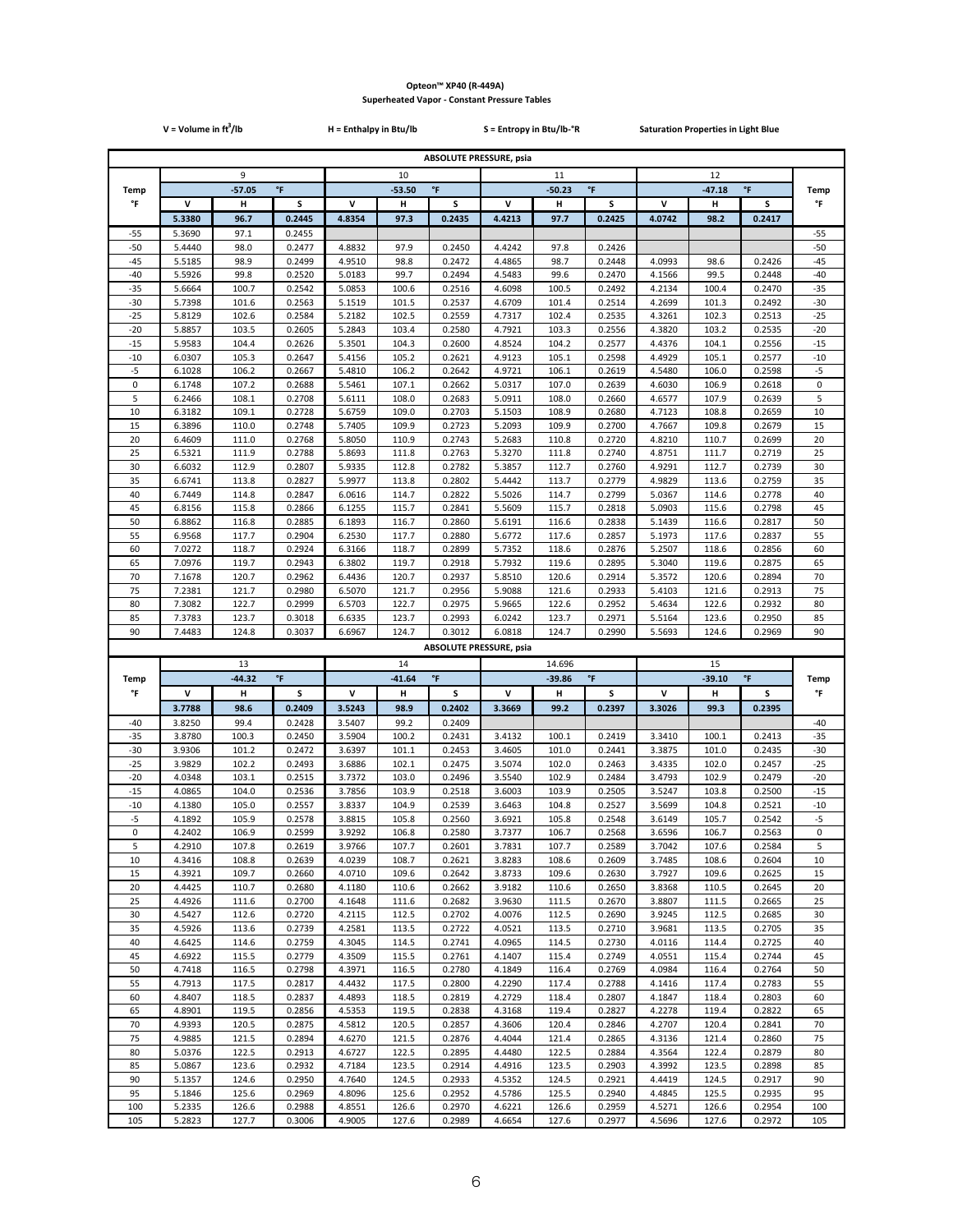|                | $V = Volume in ft3/lb$ |                |                     | H = Enthalpy in Btu/lb |                |                                | S = Entropy in Btu/lb-°R       |                    |                    | <b>Saturation Properties in Light Blue</b> |                |                    |                |
|----------------|------------------------|----------------|---------------------|------------------------|----------------|--------------------------------|--------------------------------|--------------------|--------------------|--------------------------------------------|----------------|--------------------|----------------|
|                |                        |                |                     |                        |                |                                | <b>ABSOLUTE PRESSURE, psia</b> |                    |                    |                                            |                |                    |                |
|                |                        | 9              |                     |                        | 10             |                                |                                | 11                 |                    |                                            | 12             |                    |                |
| <b>Temp</b>    |                        | $-57.05$       | $\mathsf{P}$        |                        | $-53.50$       | $\mathsf{P}$                   |                                | $-50.23$           | $^\circ\mathsf{F}$ |                                            | $-47.18$       | $^\circ\mathsf{F}$ | Temp           |
| °F             | V                      | Н              | s                   | v                      | н              | S                              | V                              | н                  | s                  | v                                          | н              | s                  | °F             |
|                | 5.3380                 | 96.7           | 0.2445              | 4.8354                 | 97.3           | 0.2435                         | 4.4213                         | 97.7               | 0.2425             | 4.0742                                     | 98.2           | 0.2417             |                |
| $-55$          | 5.3690                 | 97.1           | 0.2455              |                        |                |                                |                                |                    |                    |                                            |                |                    | $-55$          |
| $-50$          | 5.4440                 | 98.0           | 0.2477              | 4.8832                 | 97.9           | 0.2450                         | 4.4242                         | 97.8               | 0.2426             |                                            |                |                    | $-50$          |
| $-45$<br>$-40$ | 5.5185<br>5.5926       | 98.9<br>99.8   | 0.2499<br>0.2520    | 4.9510<br>5.0183       | 98.8<br>99.7   | 0.2472<br>0.2494               | 4.4865<br>4.5483               | 98.7<br>99.6       | 0.2448<br>0.2470   | 4.0993<br>4.1566                           | 98.6<br>99.5   | 0.2426<br>0.2448   | $-45$<br>$-40$ |
| $-35$          | 5.6664                 | 100.7          | 0.2542              | 5.0853                 | 100.6          | 0.2516                         | 4.6098                         | 100.5              | 0.2492             | 4.2134                                     | 100.4          | 0.2470             | $-35$          |
| $-30$          | 5.7398                 | 101.6          | 0.2563              | 5.1519                 | 101.5          | 0.2537                         | 4.6709                         | 101.4              | 0.2514             | 4.2699                                     | 101.3          | 0.2492             | $-30$          |
| $-25$          | 5.8129                 | 102.6          | 0.2584              | 5.2182                 | 102.5          | 0.2559                         | 4.7317                         | 102.4              | 0.2535             | 4.3261                                     | 102.3          | 0.2513             | $-25$          |
| $-20$          | 5.8857                 | 103.5          | 0.2605              | 5.2843                 | 103.4          | 0.2580                         | 4.7921                         | 103.3              | 0.2556             | 4.3820                                     | 103.2          | 0.2535             | $-20$          |
| $-15$<br>$-10$ | 5.9583<br>6.0307       | 104.4          | 0.2626<br>0.2647    | 5.3501                 | 104.3          | 0.2600                         | 4.8524<br>4.9123               | 104.2              | 0.2577             | 4.4376                                     | 104.1<br>105.1 | 0.2556<br>0.2577   | $-15$<br>$-10$ |
| $-5$           | 6.1028                 | 105.3<br>106.2 | 0.2667              | 5.4156<br>5.4810       | 105.2<br>106.2 | 0.2621<br>0.2642               | 4.9721                         | 105.1<br>106.1     | 0.2598<br>0.2619   | 4.4929<br>4.5480                           | 106.0          | 0.2598             | $-5$           |
| $\pmb{0}$      | 6.1748                 | 107.2          | 0.2688              | 5.5461                 | 107.1          | 0.2662                         | 5.0317                         | 107.0              | 0.2639             | 4.6030                                     | 106.9          | 0.2618             | 0              |
| 5              | 6.2466                 | 108.1          | 0.2708              | 5.6111                 | 108.0          | 0.2683                         | 5.0911                         | 108.0              | 0.2660             | 4.6577                                     | 107.9          | 0.2639             | 5              |
| 10             | 6.3182                 | 109.1          | 0.2728              | 5.6759                 | 109.0          | 0.2703                         | 5.1503                         | 108.9              | 0.2680             | 4.7123                                     | 108.8          | 0.2659             | 10             |
| 15             | 6.3896                 | 110.0          | 0.2748              | 5.7405                 | 109.9          | 0.2723                         | 5.2093                         | 109.9              | 0.2700             | 4.7667                                     | 109.8          | 0.2679             | 15             |
| 20<br>25       | 6.4609<br>6.5321       | 111.0<br>111.9 | 0.2768<br>0.2788    | 5.8050<br>5.8693       | 110.9<br>111.8 | 0.2743<br>0.2763               | 5.2683<br>5.3270               | 110.8<br>111.8     | 0.2720<br>0.2740   | 4.8210<br>4.8751                           | 110.7<br>111.7 | 0.2699<br>0.2719   | 20<br>25       |
| 30             | 6.6032                 | 112.9          | 0.2807              | 5.9335                 | 112.8          | 0.2782                         | 5.3857                         | 112.7              | 0.2760             | 4.9291                                     | 112.7          | 0.2739             | 30             |
| 35             | 6.6741                 | 113.8          | 0.2827              | 5.9977                 | 113.8          | 0.2802                         | 5.4442                         | 113.7              | 0.2779             | 4.9829                                     | 113.6          | 0.2759             | 35             |
| 40             | 6.7449                 | 114.8          | 0.2847              | 6.0616                 | 114.7          | 0.2822                         | 5.5026                         | 114.7              | 0.2799             | 5.0367                                     | 114.6          | 0.2778             | 40             |
| 45             | 6.8156                 | 115.8          | 0.2866              | 6.1255                 | 115.7          | 0.2841                         | 5.5609                         | 115.7              | 0.2818             | 5.0903                                     | 115.6          | 0.2798             | 45             |
| 50<br>55       | 6.8862<br>6.9568       | 116.8<br>117.7 | 0.2885<br>0.2904    | 6.1893<br>6.2530       | 116.7<br>117.7 | 0.2860<br>0.2880               | 5.6191<br>5.6772               | 116.6<br>117.6     | 0.2838<br>0.2857   | 5.1439<br>5.1973                           | 116.6<br>117.6 | 0.2817<br>0.2837   | 50<br>55       |
| 60             | 7.0272                 | 118.7          | 0.2924              | 6.3166                 | 118.7          | 0.2899                         | 5.7352                         | 118.6              | 0.2876             | 5.2507                                     | 118.6          | 0.2856             | 60             |
| 65             | 7.0976                 | 119.7          | 0.2943              | 6.3802                 | 119.7          | 0.2918                         | 5.7932                         | 119.6              | 0.2895             | 5.3040                                     | 119.6          | 0.2875             | 65             |
| 70             | 7.1678                 | 120.7          | 0.2962              | 6.4436                 | 120.7          | 0.2937                         | 5.8510                         | 120.6              | 0.2914             | 5.3572                                     | 120.6          | 0.2894             | 70             |
| 75             | 7.2381                 | 121.7          | 0.2980              | 6.5070                 | 121.7          | 0.2956                         | 5.9088                         | 121.6              | 0.2933             | 5.4103                                     | 121.6          | 0.2913             | 75             |
| 80             | 7.3082                 | 122.7          | 0.2999              | 6.5703                 | 122.7          | 0.2975                         | 5.9665                         | 122.6              | 0.2952             | 5.4634                                     | 122.6          | 0.2932             | 80             |
| 85<br>90       | 7.3783                 | 123.7          | 0.3018              | 6.6335                 | 123.7          | 0.2993                         | 6.0242                         | 123.7              | 0.2971             | 5.5164                                     | 123.6          | 0.2950             | 85             |
|                |                        |                |                     |                        |                |                                |                                |                    |                    |                                            |                |                    |                |
|                | 7.4483                 | 124.8          | 0.3037              | 6.6967                 | 124.7          | 0.3012                         | 6.0818                         | 124.7              | 0.2990             | 5.5693                                     | 124.6          | 0.2969             | 90             |
|                |                        |                |                     |                        |                | <b>ABSOLUTE PRESSURE, psia</b> |                                |                    |                    |                                            |                |                    |                |
| Temp           |                        | 13<br>$-44.32$ | $^\circ \mathsf{F}$ |                        | 14<br>$-41.64$ | $^\circ \mathsf{F}$            |                                | 14.696<br>$-39.86$ | °F                 |                                            | 15<br>$-39.10$ | $\,^{\circ}$ F     | Temp           |
| °F             | v                      | н              | S                   | v                      | н              | S                              | v                              | н                  | s                  | V                                          | н              | s                  | °F             |
|                | 3.7788                 | 98.6           | 0.2409              | 3.5243                 | 98.9           | 0.2402                         | 3.3669                         | 99.2               | 0.2397             | 3.3026                                     | 99.3           | 0.2395             |                |
| $-40$          | 3.8250                 | 99.4           | 0.2428              | 3.5407                 | 99.2           | 0.2409                         |                                |                    |                    |                                            |                |                    | $-40$          |
| $-35$          | 3.8780                 | 100.3          | 0.2450              | 3.5904                 | 100.2          | 0.2431                         | 3.4132                         | 100.1              | 0.2419             | 3.3410                                     | 100.1          | 0.2413             | $-35$          |
| $-30$          | 3.9306                 | 101.2          | 0.2472              | 3.6397                 | 101.1          | 0.2453                         | 3.4605                         | 101.0              | 0.2441             | 3.3875                                     | 101.0          | 0.2435             | -30            |
| $-25$<br>$-20$ | 3.9829<br>4.0348       | 102.2<br>103.1 | 0.2493<br>0.2515    | 3.6886<br>3.7372       | 102.1<br>103.0 | 0.2475<br>0.2496               | 3.5074<br>3.5540               | 102.0<br>102.9     | 0.2463<br>0.2484   | 3.4335<br>3.4793                           | 102.0<br>102.9 | 0.2457<br>0.2479   | $-25$<br>$-20$ |
| $-15$          | 4.0865                 | 104.0          | 0.2536              | 3.7856                 | 103.9          | 0.2518                         | 3.6003                         | 103.9              | 0.2505             | 3.5247                                     | 103.8          | 0.2500             | $-15$          |
| $-10$          | 4.1380                 | 105.0          | 0.2557              | 3.8337                 | 104.9          | 0.2539                         | 3.6463                         | 104.8              | 0.2527             | 3.5699                                     | 104.8          | 0.2521             | $-10$          |
| $-5$           | 4.1892                 | 105.9          | 0.2578              | 3.8815                 | 105.8          | 0.2560                         | 3.6921                         | 105.8              | 0.2548             | 3.6149                                     | 105.7          | 0.2542             | $-5$           |
| 0              | 4.2402                 | 106.9          | 0.2599              | 3.9292                 | 106.8          | 0.2580                         | 3.7377                         | 106.7              | 0.2568             | 3.6596                                     | 106.7          | 0.2563             | 0              |
| 5<br>10        | 4.2910                 | 107.8          | 0.2619              | 3.9766                 | 107.7          | 0.2601                         | 3.7831                         | 107.7              | 0.2589             | 3.7042                                     | 107.6          | 0.2584             | 5              |
| 15             | 4.3416<br>4.3921       | 108.8<br>109.7 | 0.2639<br>0.2660    | 4.0239<br>4.0710       | 108.7<br>109.6 | 0.2621<br>0.2642               | 3.8283<br>3.8733               | 108.6<br>109.6     | 0.2609<br>0.2630   | 3.7485<br>3.7927                           | 108.6<br>109.6 | 0.2604<br>0.2625   | 10<br>15       |
| 20             | 4.4425                 | 110.7          | 0.2680              | 4.1180                 | 110.6          | 0.2662                         | 3.9182                         | 110.6              | 0.2650             | 3.8368                                     | 110.5          | 0.2645             | 20             |
| 25             | 4.4926                 | 111.6          | 0.2700              | 4.1648                 | 111.6          | 0.2682                         | 3.9630                         | 111.5              | 0.2670             | 3.8807                                     | 111.5          | 0.2665             | 25             |
| 30             | 4.5427                 | 112.6          | 0.2720              | 4.2115                 | 112.5          | 0.2702                         | 4.0076                         | 112.5              | 0.2690             | 3.9245                                     | 112.5          | 0.2685             | 30             |
| 35<br>40       | 4.5926                 | 113.6          | 0.2739              | 4.2581                 | 113.5          | 0.2722                         | 4.0521                         | 113.5              | 0.2710             | 3.9681                                     | 113.5          | 0.2705             | 35<br>40       |
| 45             | 4.6425<br>4.6922       | 114.6<br>115.5 | 0.2759<br>0.2779    | 4.3045<br>4.3509       | 114.5<br>115.5 | 0.2741<br>0.2761               | 4.0965<br>4.1407               | 114.5<br>115.4     | 0.2730<br>0.2749   | 4.0116<br>4.0551                           | 114.4<br>115.4 | 0.2725<br>0.2744   | 45             |
| 50             | 4.7418                 | 116.5          | 0.2798              | 4.3971                 | 116.5          | 0.2780                         | 4.1849                         | 116.4              | 0.2769             | 4.0984                                     | 116.4          | 0.2764             | 50             |
| 55             | 4.7913                 | 117.5          | 0.2817              | 4.4432                 | 117.5          | 0.2800                         | 4.2290                         | 117.4              | 0.2788             | 4.1416                                     | 117.4          | 0.2783             | 55             |
| 60             | 4.8407                 | 118.5          | 0.2837              | 4.4893                 | 118.5          | 0.2819                         | 4.2729                         | 118.4              | 0.2807             | 4.1847                                     | 118.4          | 0.2803             | 60             |
| 65             | 4.8901                 | 119.5          | 0.2856              | 4.5353                 | 119.5          | 0.2838                         | 4.3168                         | 119.4              | 0.2827             | 4.2278                                     | 119.4          | 0.2822             | 65             |
| 70<br>75       | 4.9393<br>4.9885       | 120.5<br>121.5 | 0.2875<br>0.2894    | 4.5812<br>4.6270       | 120.5<br>121.5 | 0.2857<br>0.2876               | 4.3606<br>4.4044               | 120.4<br>121.4     | 0.2846<br>0.2865   | 4.2707<br>4.3136                           | 120.4<br>121.4 | 0.2841<br>0.2860   | 70<br>75       |
| 80             | 5.0376                 | 122.5          | 0.2913              | 4.6727                 | 122.5          | 0.2895                         | 4.4480                         | 122.5              | 0.2884             | 4.3564                                     | 122.4          | 0.2879             | 80             |
| 85             | 5.0867                 | 123.6          | 0.2932              | 4.7184                 | 123.5          | 0.2914                         | 4.4916                         | 123.5              | 0.2903             | 4.3992                                     | 123.5          | 0.2898             | 85             |
| 90             | 5.1357                 | 124.6          | 0.2950              | 4.7640                 | 124.5          | 0.2933                         | 4.5352                         | 124.5              | 0.2921             | 4.4419                                     | 124.5          | 0.2917             | 90             |
| 95<br>100      | 5.1846<br>5.2335       | 125.6<br>126.6 | 0.2969<br>0.2988    | 4.8096<br>4.8551       | 125.6<br>126.6 | 0.2952<br>0.2970               | 4.5786<br>4.6221               | 125.5<br>126.6     | 0.2940<br>0.2959   | 4.4845<br>4.5271                           | 125.5<br>126.6 | 0.2935<br>0.2954   | 95<br>100      |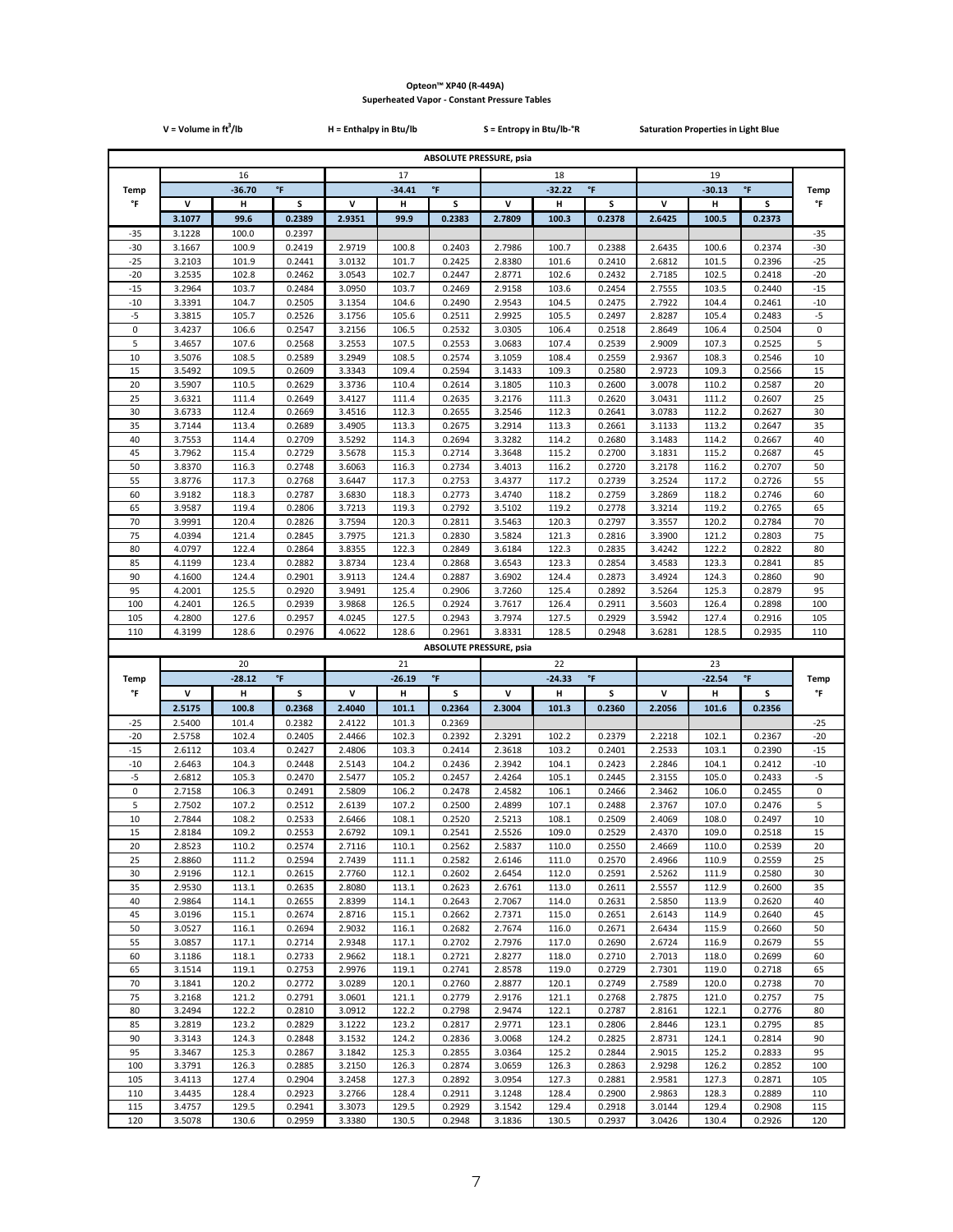|                   | $V = Volume in ft3/lb$ |                |                  | $H = Enthalpy$ in Btu/lb |                |                                | $S = Entropy$ in Btu/lb- ${}^{\circ}R$ |                |                  | <b>Saturation Properties in Light Blue</b> |                |                    |                   |
|-------------------|------------------------|----------------|------------------|--------------------------|----------------|--------------------------------|----------------------------------------|----------------|------------------|--------------------------------------------|----------------|--------------------|-------------------|
|                   |                        |                |                  |                          |                | <b>ABSOLUTE PRESSURE, psia</b> |                                        |                |                  |                                            |                |                    |                   |
|                   |                        | 16             |                  |                          | 17             |                                |                                        | 18             |                  |                                            | 19             |                    |                   |
| Temp              |                        | $-36.70$       | °F               |                          | $-34.41$       | °F                             |                                        | $-32.22$       | °F               |                                            | $-30.13$       | °F                 | Temp              |
| °F                | v                      | н              | S                | v                        | н              | S                              | v                                      | н              | s<br>0.2378      | V                                          | н              | s                  | °F                |
| $-35$             | 3.1077<br>3.1228       | 99.6<br>100.0  | 0.2389<br>0.2397 | 2.9351                   | 99.9           | 0.2383                         | 2.7809                                 | 100.3          |                  | 2.6425                                     | 100.5          | 0.2373             | $-35$             |
| $-30$             | 3.1667                 | 100.9          | 0.2419           | 2.9719                   | 100.8          | 0.2403                         | 2.7986                                 | 100.7          | 0.2388           | 2.6435                                     | 100.6          | 0.2374             | -30               |
| $-25$             | 3.2103                 | 101.9          | 0.2441           | 3.0132                   | 101.7          | 0.2425                         | 2.8380                                 | 101.6          | 0.2410           | 2.6812                                     | 101.5          | 0.2396             | $-25$             |
| $-20$             | 3.2535                 | 102.8          | 0.2462           | 3.0543                   | 102.7          | 0.2447                         | 2.8771                                 | 102.6          | 0.2432           | 2.7185                                     | 102.5          | 0.2418             | $-20$             |
| $-15$             | 3.2964                 | 103.7          | 0.2484           | 3.0950                   | 103.7          | 0.2469                         | 2.9158                                 | 103.6          | 0.2454           | 2.7555                                     | 103.5          | 0.2440             | $-15$             |
| $-10$<br>-5       | 3.3391<br>3.3815       | 104.7<br>105.7 | 0.2505<br>0.2526 | 3.1354<br>3.1756         | 104.6<br>105.6 | 0.2490<br>0.2511               | 2.9543<br>2.9925                       | 104.5<br>105.5 | 0.2475<br>0.2497 | 2.7922<br>2.8287                           | 104.4<br>105.4 | 0.2461<br>0.2483   | $-10$<br>$-5$     |
| $\pmb{0}$         | 3.4237                 | 106.6          | 0.2547           | 3.2156                   | 106.5          | 0.2532                         | 3.0305                                 | 106.4          | 0.2518           | 2.8649                                     | 106.4          | 0.2504             | 0                 |
| 5                 | 3.4657                 | 107.6          | 0.2568           | 3.2553                   | 107.5          | 0.2553                         | 3.0683                                 | 107.4          | 0.2539           | 2.9009                                     | 107.3          | 0.2525             | 5                 |
| 10                | 3.5076                 | 108.5          | 0.2589           | 3.2949                   | 108.5          | 0.2574                         | 3.1059                                 | 108.4          | 0.2559           | 2.9367                                     | 108.3          | 0.2546             | 10                |
| 15                | 3.5492                 | 109.5          | 0.2609           | 3.3343                   | 109.4          | 0.2594                         | 3.1433                                 | 109.3          | 0.2580           | 2.9723                                     | 109.3          | 0.2566             | 15                |
| 20<br>25          | 3.5907<br>3.6321       | 110.5<br>111.4 | 0.2629<br>0.2649 | 3.3736<br>3.4127         | 110.4<br>111.4 | 0.2614<br>0.2635               | 3.1805<br>3.2176                       | 110.3<br>111.3 | 0.2600<br>0.2620 | 3.0078<br>3.0431                           | 110.2<br>111.2 | 0.2587<br>0.2607   | 20<br>25          |
| 30                | 3.6733                 | 112.4          | 0.2669           | 3.4516                   | 112.3          | 0.2655                         | 3.2546                                 | 112.3          | 0.2641           | 3.0783                                     | 112.2          | 0.2627             | 30                |
| 35                | 3.7144                 | 113.4          | 0.2689           | 3.4905                   | 113.3          | 0.2675                         | 3.2914                                 | 113.3          | 0.2661           | 3.1133                                     | 113.2          | 0.2647             | 35                |
| 40                | 3.7553                 | 114.4          | 0.2709           | 3.5292                   | 114.3          | 0.2694                         | 3.3282                                 | 114.2          | 0.2680           | 3.1483                                     | 114.2          | 0.2667             | 40                |
| 45                | 3.7962                 | 115.4          | 0.2729           | 3.5678                   | 115.3          | 0.2714                         | 3.3648                                 | 115.2          | 0.2700           | 3.1831                                     | 115.2          | 0.2687             | 45                |
| 50                | 3.8370                 | 116.3          | 0.2748           | 3.6063                   | 116.3          | 0.2734                         | 3.4013                                 | 116.2          | 0.2720           | 3.2178                                     | 116.2          | 0.2707             | 50                |
| 55<br>60          | 3.8776<br>3.9182       | 117.3<br>118.3 | 0.2768<br>0.2787 | 3.6447<br>3.6830         | 117.3<br>118.3 | 0.2753<br>0.2773               | 3.4377<br>3.4740                       | 117.2<br>118.2 | 0.2739<br>0.2759 | 3.2524<br>3.2869                           | 117.2<br>118.2 | 0.2726<br>0.2746   | 55<br>60          |
| 65                | 3.9587                 | 119.4          | 0.2806           | 3.7213                   | 119.3          | 0.2792                         | 3.5102                                 | 119.2          | 0.2778           | 3.3214                                     | 119.2          | 0.2765             | 65                |
| 70                | 3.9991                 | 120.4          | 0.2826           | 3.7594                   | 120.3          | 0.2811                         | 3.5463                                 | 120.3          | 0.2797           | 3.3557                                     | 120.2          | 0.2784             | 70                |
| 75                | 4.0394                 | 121.4          | 0.2845           | 3.7975                   | 121.3          | 0.2830                         | 3.5824                                 | 121.3          | 0.2816           | 3.3900                                     | 121.2          | 0.2803             | 75                |
| 80                | 4.0797                 | 122.4          | 0.2864           | 3.8355                   | 122.3          | 0.2849                         | 3.6184                                 | 122.3          | 0.2835           | 3.4242                                     | 122.2          | 0.2822             | 80                |
| 85<br>90          | 4.1199<br>4.1600       | 123.4<br>124.4 | 0.2882<br>0.2901 | 3.8734<br>3.9113         | 123.4<br>124.4 | 0.2868<br>0.2887               | 3.6543<br>3.6902                       | 123.3<br>124.4 | 0.2854<br>0.2873 | 3.4583<br>3.4924                           | 123.3<br>124.3 | 0.2841<br>0.2860   | 85<br>90          |
| 95                | 4.2001                 | 125.5          | 0.2920           | 3.9491                   | 125.4          | 0.2906                         | 3.7260                                 | 125.4          | 0.2892           | 3.5264                                     | 125.3          | 0.2879             | 95                |
| 100               | 4.2401                 | 126.5          | 0.2939           | 3.9868                   | 126.5          | 0.2924                         | 3.7617                                 | 126.4          | 0.2911           | 3.5603                                     | 126.4          | 0.2898             | 100               |
| 105               | 4.2800                 | 127.6          | 0.2957           | 4.0245                   | 127.5          | 0.2943                         | 3.7974                                 | 127.5          | 0.2929           | 3.5942                                     | 127.4          | 0.2916             | 105               |
| 110               | 4.3199                 | 128.6          | 0.2976           | 4.0622                   | 128.6          | 0.2961                         | 3.8331                                 | 128.5          | 0.2948           | 3.6281                                     | 128.5          | 0.2935             | 110               |
|                   |                        |                |                  |                          |                | <b>ABSOLUTE PRESSURE, psia</b> |                                        |                |                  |                                            |                |                    |                   |
|                   |                        | 20             | $\mathsf{P}$     |                          | 21             | $^\circ \mathsf{F}$            |                                        | 22             | °F               |                                            | 23<br>$-22.54$ | $^\circ\mathsf{F}$ |                   |
| <b>Temp</b><br>°F | v                      | $-28.12$<br>н  | s                | v                        | $-26.19$       |                                |                                        | $-24.33$       |                  |                                            |                |                    | <b>Temp</b>       |
|                   | 2.5175                 |                |                  |                          |                |                                |                                        |                |                  |                                            |                |                    |                   |
| $-25$             |                        | 100.8          | 0.2368           | 2.4040                   | н<br>101.1     | S<br>0.2364                    | v<br>2.3004                            | н<br>101.3     | s<br>0.2360      | v<br>2.2056                                | н<br>101.6     | S<br>0.2356        | °F                |
|                   | 2.5400                 | 101.4          | 0.2382           | 2.4122                   | 101.3          | 0.2369                         |                                        |                |                  |                                            |                |                    | $-25$             |
| $-20$             | 2.5758                 | 102.4          | 0.2405           | 2.4466                   | 102.3          | 0.2392                         | 2.3291                                 | 102.2          | 0.2379           | 2.2218                                     | 102.1          | 0.2367             | $-20$             |
| $-15$             | 2.6112                 | 103.4          | 0.2427           | 2.4806                   | 103.3          | 0.2414                         | 2.3618                                 | 103.2          | 0.2401           | 2.2533                                     | 103.1          | 0.2390             | $-15$             |
| $-10$             | 2.6463                 | 104.3          | 0.2448           | 2.5143                   | 104.2          | 0.2436                         | 2.3942                                 | 104.1          | 0.2423           | 2.2846                                     | 104.1          | 0.2412             | $-10$             |
| $-5$<br>0         | 2.6812<br>2.7158       | 105.3<br>106.3 | 0.2470<br>0.2491 | 2.5477<br>2.5809         | 105.2<br>106.2 | 0.2457<br>0.2478               | 2.4264<br>2.4582                       | 105.1<br>106.1 | 0.2445<br>0.2466 | 2.3155<br>2.3462                           | 105.0<br>106.0 | 0.2433<br>0.2455   | $-5$<br>$\pmb{0}$ |
| 5                 | 2.7502                 | 107.2          | 0.2512           | 2.6139                   | 107.2          | 0.2500                         | 2.4899                                 | 107.1          | 0.2488           | 2.3767                                     | 107.0          | 0.2476             | 5                 |
| 10                | 2.7844                 | 108.2          | 0.2533           | 2.6466                   | 108.1          | 0.2520                         | 2.5213                                 | 108.1          | 0.2509           | 2.4069                                     | 108.0          | 0.2497             | 10                |
| 15                | 2.8184                 | 109.2          | 0.2553           | 2.6792                   | 109.1          | 0.2541                         | 2.5526                                 | 109.0          | 0.2529           | 2.4370                                     | 109.0          | 0.2518             | 15                |
| 20                | 2.8523                 | 110.2          | 0.2574           | 2.7116                   | 110.1          | 0.2562                         | 2.5837                                 | 110.0          | 0.2550           | 2.4669                                     | 110.0          | 0.2539             | 20                |
| 25<br>30          | 2.8860<br>2.9196       | 111.2<br>112.1 | 0.2594<br>0.2615 | 2.7439<br>2.7760         | 111.1<br>112.1 | 0.2582<br>0.2602               | 2.6146<br>2.6454                       | 111.0<br>112.0 | 0.2570<br>0.2591 | 2.4966<br>2.5262                           | 110.9<br>111.9 | 0.2559<br>0.2580   | 25<br>30          |
| 35                | 2.9530                 | 113.1          | 0.2635           | 2.8080                   | 113.1          | 0.2623                         | 2.6761                                 | 113.0          | 0.2611           | 2.5557                                     | 112.9          | 0.2600             | 35                |
| 40                | 2.9864                 | 114.1          | 0.2655           | 2.8399                   | 114.1          | 0.2643                         | 2.7067                                 | 114.0          | 0.2631           | 2.5850                                     | 113.9          | 0.2620             | 40                |
| 45                | 3.0196                 | 115.1          | 0.2674           | 2.8716                   | 115.1          | 0.2662                         | 2.7371                                 | 115.0          | 0.2651           | 2.6143                                     | 114.9          | 0.2640             | 45                |
| 50                | 3.0527                 | 116.1          | 0.2694           | 2.9032                   | 116.1          | 0.2682                         | 2.7674                                 | 116.0          | 0.2671           | 2.6434                                     | 115.9          | 0.2660             | 50                |
| 55<br>60          | 3.0857<br>3.1186       | 117.1<br>118.1 | 0.2714<br>0.2733 | 2.9348<br>2.9662         | 117.1<br>118.1 | 0.2702<br>0.2721               | 2.7976<br>2.8277                       | 117.0<br>118.0 | 0.2690<br>0.2710 | 2.6724<br>2.7013                           | 116.9<br>118.0 | 0.2679<br>0.2699   | 55<br>60          |
| 65                | 3.1514                 | 119.1          | 0.2753           | 2.9976                   | 119.1          | 0.2741                         | 2.8578                                 | 119.0          | 0.2729           | 2.7301                                     | 119.0          | 0.2718             | 65                |
| 70                | 3.1841                 | 120.2          | 0.2772           | 3.0289                   | 120.1          | 0.2760                         | 2.8877                                 | 120.1          | 0.2749           | 2.7589                                     | 120.0          | 0.2738             | 70                |
| 75                | 3.2168                 | 121.2          | 0.2791           | 3.0601                   | 121.1          | 0.2779                         | 2.9176                                 | 121.1          | 0.2768           | 2.7875                                     | 121.0          | 0.2757             | 75                |
| 80                | 3.2494                 | 122.2          | 0.2810           | 3.0912                   | 122.2          | 0.2798                         | 2.9474                                 | 122.1          | 0.2787           | 2.8161                                     | 122.1          | 0.2776             | 80                |
| 85                | 3.2819                 | 123.2          | 0.2829           | 3.1222                   | 123.2          | 0.2817                         | 2.9771                                 | 123.1          | 0.2806           | 2.8446                                     | 123.1          | 0.2795             | 85                |
| 90<br>95          | 3.3143<br>3.3467       | 124.3<br>125.3 | 0.2848<br>0.2867 | 3.1532<br>3.1842         | 124.2<br>125.3 | 0.2836<br>0.2855               | 3.0068<br>3.0364                       | 124.2<br>125.2 | 0.2825<br>0.2844 | 2.8731<br>2.9015                           | 124.1<br>125.2 | 0.2814<br>0.2833   | 90<br>95          |
| 100               | 3.3791                 | 126.3          | 0.2885           | 3.2150                   | 126.3          | 0.2874                         | 3.0659                                 | 126.3          | 0.2863           | 2.9298                                     | 126.2          | 0.2852             | 100               |
| 105               | 3.4113                 | 127.4          | 0.2904           | 3.2458                   | 127.3          | 0.2892                         | 3.0954                                 | 127.3          | 0.2881           | 2.9581                                     | 127.3          | 0.2871             | 105               |
| 110<br>115        | 3.4435<br>3.4757       | 128.4<br>129.5 | 0.2923<br>0.2941 | 3.2766<br>3.3073         | 128.4<br>129.5 | 0.2911<br>0.2929               | 3.1248<br>3.1542                       | 128.4<br>129.4 | 0.2900<br>0.2918 | 2.9863<br>3.0144                           | 128.3<br>129.4 | 0.2889<br>0.2908   | 110<br>115        |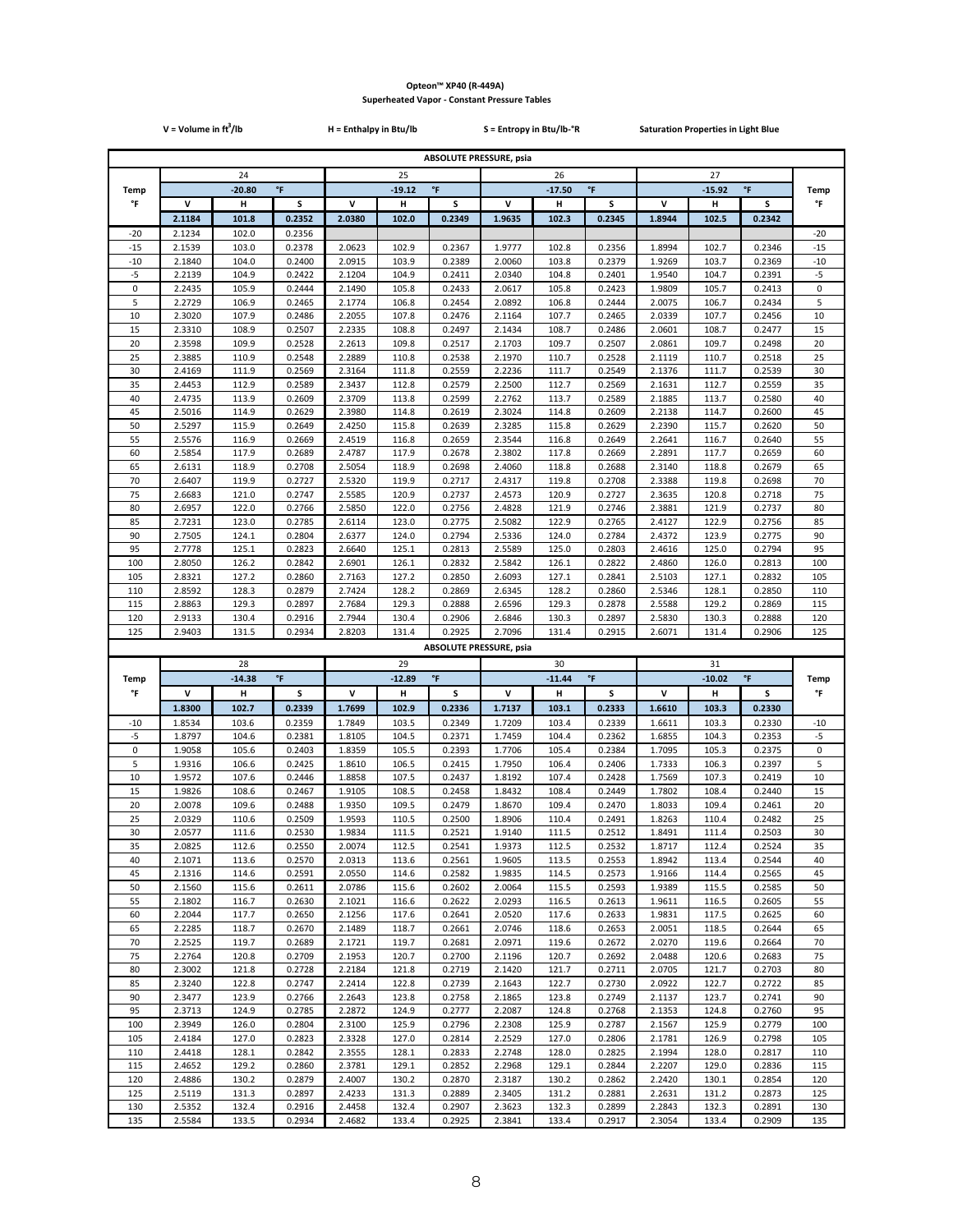|                | $V = Volume in ft3/lb$ |                |                  | H = Enthalpy in Btu/lb |                |                                | S = Entropy in Btu/lb-°R |                |                  | <b>Saturation Properties in Light Blue</b> |                |                     |                |
|----------------|------------------------|----------------|------------------|------------------------|----------------|--------------------------------|--------------------------|----------------|------------------|--------------------------------------------|----------------|---------------------|----------------|
|                |                        |                |                  |                        |                | <b>ABSOLUTE PRESSURE, psia</b> |                          |                |                  |                                            |                |                     |                |
|                |                        | 24             |                  |                        | 25             |                                |                          | 26             |                  |                                            | 27             |                     |                |
| <b>Temp</b>    |                        | $-20.80$       | $\mathsf{P}$     |                        | $-19.12$       | $\mathsf{P}$                   |                          | $-17.50$       | $\mathsf{P}$     |                                            | $-15.92$       | $^\circ\mathsf{F}$  | Temp           |
| °F             | V                      | н              | s                | v                      | н              | S                              | V                        | н              | s                | v                                          | н              | s                   | °F             |
|                | 2.1184                 | 101.8          | 0.2352           | 2.0380                 | 102.0          | 0.2349                         | 1.9635                   | 102.3          | 0.2345           | 1.8944                                     | 102.5          | 0.2342              |                |
| $-20$          | 2.1234                 | 102.0          | 0.2356           |                        |                |                                |                          |                |                  |                                            |                |                     | $-20$<br>$-15$ |
| $-15$<br>$-10$ | 2.1539<br>2.1840       | 103.0<br>104.0 | 0.2378<br>0.2400 | 2.0623<br>2.0915       | 102.9<br>103.9 | 0.2367<br>0.2389               | 1.9777<br>2.0060         | 102.8<br>103.8 | 0.2356<br>0.2379 | 1.8994<br>1.9269                           | 102.7<br>103.7 | 0.2346<br>0.2369    | $-10$          |
| $-5$           | 2.2139                 | 104.9          | 0.2422           | 2.1204                 | 104.9          | 0.2411                         | 2.0340                   | 104.8          | 0.2401           | 1.9540                                     | 104.7          | 0.2391              | $\text{-}5$    |
| $\pmb{0}$      | 2.2435                 | 105.9          | 0.2444           | 2.1490                 | 105.8          | 0.2433                         | 2.0617                   | 105.8          | 0.2423           | 1.9809                                     | 105.7          | 0.2413              | $\pmb{0}$      |
| 5              | 2.2729                 | 106.9          | 0.2465           | 2.1774                 | 106.8          | 0.2454                         | 2.0892                   | 106.8          | 0.2444           | 2.0075                                     | 106.7          | 0.2434              | 5              |
| 10             | 2.3020                 | 107.9          | 0.2486           | 2.2055                 | 107.8          | 0.2476                         | 2.1164                   | 107.7          | 0.2465           | 2.0339                                     | 107.7          | 0.2456              | 10             |
| 15<br>20       | 2.3310<br>2.3598       | 108.9<br>109.9 | 0.2507<br>0.2528 | 2.2335<br>2.2613       | 108.8<br>109.8 | 0.2497<br>0.2517               | 2.1434<br>2.1703         | 108.7<br>109.7 | 0.2486<br>0.2507 | 2.0601<br>2.0861                           | 108.7<br>109.7 | 0.2477<br>0.2498    | 15<br>20       |
| 25             | 2.3885                 | 110.9          | 0.2548           | 2.2889                 | 110.8          | 0.2538                         | 2.1970                   | 110.7          | 0.2528           | 2.1119                                     | 110.7          | 0.2518              | 25             |
| 30             | 2.4169                 | 111.9          | 0.2569           | 2.3164                 | 111.8          | 0.2559                         | 2.2236                   | 111.7          | 0.2549           | 2.1376                                     | 111.7          | 0.2539              | 30             |
| 35             | 2.4453                 | 112.9          | 0.2589           | 2.3437                 | 112.8          | 0.2579                         | 2.2500                   | 112.7          | 0.2569           | 2.1631                                     | 112.7          | 0.2559              | 35             |
| 40             | 2.4735                 | 113.9          | 0.2609           | 2.3709                 | 113.8          | 0.2599                         | 2.2762                   | 113.7          | 0.2589           | 2.1885                                     | 113.7          | 0.2580              | 40             |
| 45<br>50       | 2.5016<br>2.5297       | 114.9<br>115.9 | 0.2629<br>0.2649 | 2.3980<br>2.4250       | 114.8<br>115.8 | 0.2619<br>0.2639               | 2.3024<br>2.3285         | 114.8<br>115.8 | 0.2609<br>0.2629 | 2.2138<br>2.2390                           | 114.7<br>115.7 | 0.2600<br>0.2620    | 45<br>50       |
| 55             | 2.5576                 | 116.9          | 0.2669           | 2.4519                 | 116.8          | 0.2659                         | 2.3544                   | 116.8          | 0.2649           | 2.2641                                     | 116.7          | 0.2640              | 55             |
| 60             | 2.5854                 | 117.9          | 0.2689           | 2.4787                 | 117.9          | 0.2678                         | 2.3802                   | 117.8          | 0.2669           | 2.2891                                     | 117.7          | 0.2659              | 60             |
| 65             | 2.6131                 | 118.9          | 0.2708           | 2.5054                 | 118.9          | 0.2698                         | 2.4060                   | 118.8          | 0.2688           | 2.3140                                     | 118.8          | 0.2679              | 65             |
| 70             | 2.6407                 | 119.9          | 0.2727           | 2.5320                 | 119.9          | 0.2717                         | 2.4317                   | 119.8          | 0.2708           | 2.3388                                     | 119.8          | 0.2698              | 70             |
| 75<br>80       | 2.6683<br>2.6957       | 121.0<br>122.0 | 0.2747<br>0.2766 | 2.5585<br>2.5850       | 120.9<br>122.0 | 0.2737<br>0.2756               | 2.4573<br>2.4828         | 120.9<br>121.9 | 0.2727<br>0.2746 | 2.3635<br>2.3881                           | 120.8<br>121.9 | 0.2718              | 75<br>80       |
| 85             | 2.7231                 | 123.0          | 0.2785           | 2.6114                 | 123.0          | 0.2775                         | 2.5082                   | 122.9          | 0.2765           | 2.4127                                     | 122.9          | 0.2737<br>0.2756    | 85             |
| 90             | 2.7505                 | 124.1          | 0.2804           | 2.6377                 | 124.0          | 0.2794                         | 2.5336                   | 124.0          | 0.2784           | 2.4372                                     | 123.9          | 0.2775              | 90             |
| 95             | 2.7778                 | 125.1          | 0.2823           | 2.6640                 | 125.1          | 0.2813                         | 2.5589                   | 125.0          | 0.2803           | 2.4616                                     | 125.0          | 0.2794              | 95             |
| 100            | 2.8050                 | 126.2          | 0.2842           | 2.6901                 | 126.1          | 0.2832                         | 2.5842                   | 126.1          | 0.2822           | 2.4860                                     | 126.0          | 0.2813              | 100            |
| 105            | 2.8321                 | 127.2          | 0.2860           | 2.7163                 | 127.2          | 0.2850                         | 2.6093                   | 127.1          | 0.2841           | 2.5103                                     | 127.1          | 0.2832              | 105            |
| 110<br>115     | 2.8592<br>2.8863       | 128.3<br>129.3 | 0.2879<br>0.2897 | 2.7424<br>2.7684       | 128.2<br>129.3 | 0.2869<br>0.2888               | 2.6345<br>2.6596         | 128.2<br>129.3 | 0.2860<br>0.2878 | 2.5346<br>2.5588                           | 128.1<br>129.2 | 0.2850<br>0.2869    | 110<br>115     |
| 120            | 2.9133                 | 130.4          | 0.2916           | 2.7944                 | 130.4          | 0.2906                         | 2.6846                   | 130.3          | 0.2897           | 2.5830                                     | 130.3          | 0.2888              | 120            |
| 125            | 2.9403                 | 131.5          | 0.2934           | 2.8203                 | 131.4          | 0.2925                         | 2.7096                   | 131.4          | 0.2915           | 2.6071                                     | 131.4          | 0.2906              | 125            |
|                |                        |                |                  |                        |                | <b>ABSOLUTE PRESSURE, psia</b> |                          |                |                  |                                            |                |                     |                |
|                |                        | 28             |                  |                        | 29             |                                |                          | 30             |                  |                                            | 31             |                     |                |
| Temp           |                        | $-14.38$       | °F               |                        | $-12.89$       | $^\circ \mathsf{F}$            |                          | $-11.44$       | °F               |                                            | $-10.02$       | $^\circ \mathsf{F}$ | <b>Temp</b>    |
| °F             | v<br>1.8300            | н<br>102.7     | S<br>0.2339      | v<br>1.7699            | н<br>102.9     | s<br>0.2336                    | v<br>1.7137              | н<br>103.1     | s<br>0.2333      | v<br>1.6610                                | н<br>103.3     | s<br>0.2330         | °F             |
| $-10$          | 1.8534                 | 103.6          | 0.2359           | 1.7849                 | 103.5          | 0.2349                         | 1.7209                   | 103.4          | 0.2339           | 1.6611                                     | 103.3          | 0.2330              | $-10$          |
| $-5$           | 1.8797                 | 104.6          | 0.2381           | 1.8105                 | 104.5          | 0.2371                         | 1.7459                   | 104.4          | 0.2362           | 1.6855                                     | 104.3          | 0.2353              | $-5$           |
| $\pmb{0}$      | 1.9058                 | 105.6          | 0.2403           | 1.8359                 | 105.5          | 0.2393                         | 1.7706                   | 105.4          | 0.2384           | 1.7095                                     | 105.3          | 0.2375              | 0              |
| 5              | 1.9316                 | 106.6          | 0.2425           | 1.8610                 | 106.5          | 0.2415                         | 1.7950                   | 106.4          | 0.2406           | 1.7333                                     | 106.3          | 0.2397              | 5              |
| 10<br>15       | 1.9572<br>1.9826       | 107.6<br>108.6 | 0.2446<br>0.2467 | 1.8858<br>1.9105       | 107.5<br>108.5 | 0.2437<br>0.2458               | 1.8192<br>1.8432         | 107.4<br>108.4 | 0.2428<br>0.2449 | 1.7569<br>1.7802                           | 107.3<br>108.4 | 0.2419<br>0.2440    | 10<br>15       |
| 20             | 2.0078                 | 109.6          | 0.2488           | 1.9350                 | 109.5          | 0.2479                         | 1.8670                   | 109.4          | 0.2470           | 1.8033                                     | 109.4          | 0.2461              | 20             |
| 25             | 2.0329                 | 110.6          | 0.2509           | 1.9593                 | 110.5          | 0.2500                         | 1.8906                   | 110.4          | 0.2491           | 1.8263                                     | 110.4          | 0.2482              | 25             |
| 30             | 2.0577                 | 111.6          | 0.2530           | 1.9834                 | 111.5          | 0.2521                         | 1.9140                   | 111.5          | 0.2512           | 1.8491                                     | 111.4          | 0.2503              | 30             |
| 35             | 2.0825                 | 112.6          | 0.2550           | 2.0074                 | 112.5          | 0.2541                         | 1.9373                   | 112.5          | 0.2532           | 1.8717                                     | 112.4          | 0.2524              | 35             |
| 40<br>45       | 2.1071<br>2.1316       | 113.6<br>114.6 | 0.2570<br>0.2591 | 2.0313                 | 113.6<br>114.6 | 0.2561<br>0.2582               | 1.9605<br>1.9835         | 113.5<br>114.5 | 0.2553<br>0.2573 | 1.8942<br>1.9166                           | 113.4<br>114.4 | 0.2544<br>0.2565    | 40<br>45       |
| 50             | 2.1560                 | 115.6          | 0.2611           | 2.0550<br>2.0786       | 115.6          | 0.2602                         | 2.0064                   | 115.5          | 0.2593           | 1.9389                                     | 115.5          | 0.2585              | 50             |
| 55             | 2.1802                 | 116.7          | 0.2630           | 2.1021                 | 116.6          | 0.2622                         | 2.0293                   | 116.5          | 0.2613           | 1.9611                                     | 116.5          | 0.2605              | 55             |
| 60             | 2.2044                 | 117.7          | 0.2650           | 2.1256                 | 117.6          | 0.2641                         | 2.0520                   | 117.6          | 0.2633           | 1.9831                                     | 117.5          | 0.2625              | 60             |
| 65             | 2.2285                 | 118.7          | 0.2670           | 2.1489                 | 118.7          | 0.2661                         | 2.0746                   | 118.6          | 0.2653           | 2.0051                                     | 118.5          | 0.2644              | 65             |
| 70             | 2.2525                 | 119.7          | 0.2689           | 2.1721                 | 119.7          | 0.2681                         | 2.0971                   | 119.6          | 0.2672           | 2.0270                                     | 119.6          | 0.2664              | 70             |
| 75<br>80       | 2.2764<br>2.3002       | 120.8<br>121.8 | 0.2709<br>0.2728 | 2.1953<br>2.2184       | 120.7<br>121.8 | 0.2700<br>0.2719               | 2.1196<br>2.1420         | 120.7<br>121.7 | 0.2692<br>0.2711 | 2.0488<br>2.0705                           | 120.6<br>121.7 | 0.2683<br>0.2703    | 75<br>80       |
| 85             | 2.3240                 | 122.8          | 0.2747           | 2.2414                 | 122.8          | 0.2739                         | 2.1643                   | 122.7          | 0.2730           | 2.0922                                     | 122.7          | 0.2722              | 85             |
| 90             | 2.3477                 | 123.9          | 0.2766           | 2.2643                 | 123.8          | 0.2758                         | 2.1865                   | 123.8          | 0.2749           | 2.1137                                     | 123.7          | 0.2741              | 90             |
| 95             | 2.3713                 | 124.9          | 0.2785           | 2.2872                 | 124.9          | 0.2777                         | 2.2087                   | 124.8          | 0.2768           | 2.1353                                     | 124.8          | 0.2760              | 95             |
| 100            | 2.3949                 | 126.0          | 0.2804           | 2.3100                 | 125.9          | 0.2796                         | 2.2308                   | 125.9          | 0.2787           | 2.1567                                     | 125.9          | 0.2779              | 100            |
| 105<br>110     | 2.4184<br>2.4418       | 127.0<br>128.1 | 0.2823<br>0.2842 | 2.3328<br>2.3555       | 127.0<br>128.1 | 0.2814<br>0.2833               | 2.2529<br>2.2748         | 127.0<br>128.0 | 0.2806<br>0.2825 | 2.1781<br>2.1994                           | 126.9<br>128.0 | 0.2798<br>0.2817    | 105<br>110     |
| 115            | 2.4652                 | 129.2          | 0.2860           | 2.3781                 | 129.1          | 0.2852                         | 2.2968                   | 129.1          | 0.2844           | 2.2207                                     | 129.0          | 0.2836              | 115            |
| 120            | 2.4886                 | 130.2          | 0.2879           | 2.4007                 | 130.2          | 0.2870                         | 2.3187                   | 130.2          | 0.2862           | 2.2420                                     | 130.1          | 0.2854              | 120            |
| 125            | 2.5119                 | 131.3          | 0.2897           | 2.4233                 | 131.3          | 0.2889                         | 2.3405                   | 131.2          | 0.2881           | 2.2631                                     | 131.2          | 0.2873              | 125            |
| 130<br>135     | 2.5352                 | 132.4          | 0.2916           | 2.4458                 | 132.4          | 0.2907                         | 2.3623                   | 132.3          | 0.2899           | 2.2843                                     | 132.3          | 0.2891              | 130            |
|                | 2.5584                 | 133.5          | 0.2934           | 2.4682                 | 133.4          | 0.2925                         | 2.3841                   | 133.4          | 0.2917           | 2.3054                                     | 133.4          | 0.2909              | 135            |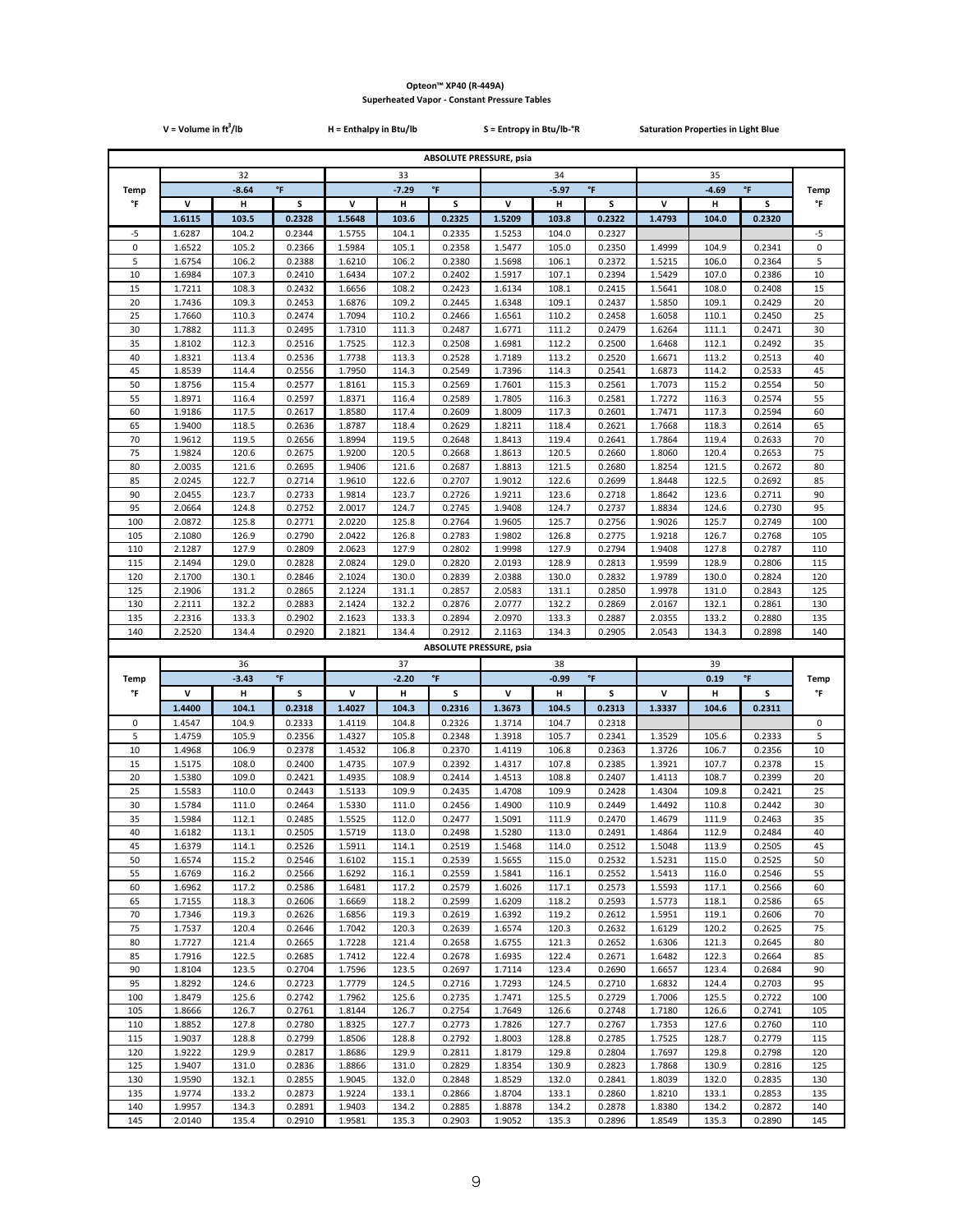|             | V = Volume in $ft^3$ /lb |                |                    | H = Enthalpy in Btu/lb |                |                                | S = Entropy in Btu/lb-°R |                |                     | <b>Saturation Properties in Light Blue</b> |                |                    |             |
|-------------|--------------------------|----------------|--------------------|------------------------|----------------|--------------------------------|--------------------------|----------------|---------------------|--------------------------------------------|----------------|--------------------|-------------|
|             |                          |                |                    |                        |                | <b>ABSOLUTE PRESSURE, psia</b> |                          |                |                     |                                            |                |                    |             |
|             |                          | 32             |                    |                        | 33             |                                |                          | 34             |                     |                                            | 35             |                    |             |
| <b>Temp</b> |                          | $-8.64$        | $\mathsf{P}$       |                        | $-7.29$        | $\mathsf{P}$                   |                          | $-5.97$        | $^\circ \mathsf{F}$ |                                            | $-4.69$        | $\mathsf{P}$       | <b>Temp</b> |
| °F          | v                        | н              | S                  | v                      | н              | S                              | V                        | н              | s                   | v                                          | н              | s                  | °F          |
|             | 1.6115                   | 103.5          | 0.2328             | 1.5648                 | 103.6          | 0.2325                         | 1.5209                   | 103.8          | 0.2322              | 1.4793                                     | 104.0          | 0.2320             |             |
| -5          | 1.6287                   | 104.2          | 0.2344             | 1.5755                 | 104.1          | 0.2335                         | 1.5253                   | 104.0          | 0.2327              |                                            |                |                    | -5          |
| 0<br>5      | 1.6522<br>1.6754         | 105.2<br>106.2 | 0.2366<br>0.2388   | 1.5984                 | 105.1          | 0.2358<br>0.2380               | 1.5477                   | 105.0<br>106.1 | 0.2350              | 1.4999<br>1.5215                           | 104.9<br>106.0 | 0.2341<br>0.2364   | 0<br>5      |
| 10          | 1.6984                   | 107.3          | 0.2410             | 1.6210<br>1.6434       | 106.2<br>107.2 | 0.2402                         | 1.5698<br>1.5917         | 107.1          | 0.2372<br>0.2394    | 1.5429                                     | 107.0          | 0.2386             | 10          |
| 15          | 1.7211                   | 108.3          | 0.2432             | 1.6656                 | 108.2          | 0.2423                         | 1.6134                   | 108.1          | 0.2415              | 1.5641                                     | 108.0          | 0.2408             | 15          |
| 20          | 1.7436                   | 109.3          | 0.2453             | 1.6876                 | 109.2          | 0.2445                         | 1.6348                   | 109.1          | 0.2437              | 1.5850                                     | 109.1          | 0.2429             | 20          |
| 25          | 1.7660                   | 110.3          | 0.2474             | 1.7094                 | 110.2          | 0.2466                         | 1.6561                   | 110.2          | 0.2458              | 1.6058                                     | 110.1          | 0.2450             | 25          |
| 30          | 1.7882                   | 111.3          | 0.2495             | 1.7310                 | 111.3          | 0.2487                         | 1.6771                   | 111.2          | 0.2479              | 1.6264                                     | 111.1          | 0.2471             | 30          |
| 35<br>40    | 1.8102<br>1.8321         | 112.3<br>113.4 | 0.2516<br>0.2536   | 1.7525<br>1.7738       | 112.3<br>113.3 | 0.2508<br>0.2528               | 1.6981<br>1.7189         | 112.2<br>113.2 | 0.2500<br>0.2520    | 1.6468<br>1.6671                           | 112.1<br>113.2 | 0.2492<br>0.2513   | 35<br>40    |
| 45          | 1.8539                   | 114.4          | 0.2556             | 1.7950                 | 114.3          | 0.2549                         | 1.7396                   | 114.3          | 0.2541              | 1.6873                                     | 114.2          | 0.2533             | 45          |
| 50          | 1.8756                   | 115.4          | 0.2577             | 1.8161                 | 115.3          | 0.2569                         | 1.7601                   | 115.3          | 0.2561              | 1.7073                                     | 115.2          | 0.2554             | 50          |
| 55          | 1.8971                   | 116.4          | 0.2597             | 1.8371                 | 116.4          | 0.2589                         | 1.7805                   | 116.3          | 0.2581              | 1.7272                                     | 116.3          | 0.2574             | 55          |
| 60          | 1.9186                   | 117.5          | 0.2617             | 1.8580                 | 117.4          | 0.2609                         | 1.8009                   | 117.3          | 0.2601              | 1.7471                                     | 117.3          | 0.2594             | 60          |
| 65<br>70    | 1.9400<br>1.9612         | 118.5<br>119.5 | 0.2636<br>0.2656   | 1.8787<br>1.8994       | 118.4<br>119.5 | 0.2629<br>0.2648               | 1.8211<br>1.8413         | 118.4<br>119.4 | 0.2621<br>0.2641    | 1.7668                                     | 118.3<br>119.4 | 0.2614<br>0.2633   | 65          |
| 75          | 1.9824                   | 120.6          | 0.2675             | 1.9200                 | 120.5          | 0.2668                         | 1.8613                   | 120.5          | 0.2660              | 1.7864<br>1.8060                           | 120.4          | 0.2653             | 70<br>75    |
| 80          | 2.0035                   | 121.6          | 0.2695             | 1.9406                 | 121.6          | 0.2687                         | 1.8813                   | 121.5          | 0.2680              | 1.8254                                     | 121.5          | 0.2672             | 80          |
| 85          | 2.0245                   | 122.7          | 0.2714             | 1.9610                 | 122.6          | 0.2707                         | 1.9012                   | 122.6          | 0.2699              | 1.8448                                     | 122.5          | 0.2692             | 85          |
| 90          | 2.0455                   | 123.7          | 0.2733             | 1.9814                 | 123.7          | 0.2726                         | 1.9211                   | 123.6          | 0.2718              | 1.8642                                     | 123.6          | 0.2711             | 90          |
| 95          | 2.0664                   | 124.8          | 0.2752             | 2.0017                 | 124.7          | 0.2745                         | 1.9408                   | 124.7          | 0.2737              | 1.8834                                     | 124.6          | 0.2730             | 95          |
| 100<br>105  | 2.0872<br>2.1080         | 125.8<br>126.9 | 0.2771<br>0.2790   | 2.0220<br>2.0422       | 125.8<br>126.8 | 0.2764<br>0.2783               | 1.9605<br>1.9802         | 125.7<br>126.8 | 0.2756<br>0.2775    | 1.9026<br>1.9218                           | 125.7<br>126.7 | 0.2749<br>0.2768   | 100<br>105  |
| 110         | 2.1287                   | 127.9          | 0.2809             | 2.0623                 | 127.9          | 0.2802                         | 1.9998                   | 127.9          | 0.2794              | 1.9408                                     | 127.8          | 0.2787             | 110         |
| 115         | 2.1494                   | 129.0          | 0.2828             | 2.0824                 | 129.0          | 0.2820                         | 2.0193                   | 128.9          | 0.2813              | 1.9599                                     | 128.9          | 0.2806             | 115         |
| 120         | 2.1700                   | 130.1          | 0.2846             | 2.1024                 | 130.0          | 0.2839                         | 2.0388                   | 130.0          | 0.2832              | 1.9789                                     | 130.0          | 0.2824             | 120         |
| 125         | 2.1906                   | 131.2          | 0.2865             | 2.1224                 | 131.1          | 0.2857                         | 2.0583                   | 131.1          | 0.2850              | 1.9978                                     | 131.0          | 0.2843             | 125         |
| 130         | 2.2111                   | 132.2          | 0.2883             | 2.1424                 | 132.2          | 0.2876                         | 2.0777                   | 132.2          | 0.2869              | 2.0167                                     | 132.1          | 0.2861             | 130         |
| 135<br>140  | 2.2316<br>2.2520         | 133.3<br>134.4 | 0.2902<br>0.2920   | 2.1623<br>2.1821       | 133.3<br>134.4 | 0.2894<br>0.2912               | 2.0970<br>2.1163         | 133.3<br>134.3 | 0.2887<br>0.2905    | 2.0355<br>2.0543                           | 133.2<br>134.3 | 0.2880<br>0.2898   | 135<br>140  |
|             |                          |                |                    |                        |                | <b>ABSOLUTE PRESSURE, psia</b> |                          |                |                     |                                            |                |                    |             |
|             |                          | 36             |                    |                        | 37             |                                |                          | 38             |                     |                                            | 39             |                    |             |
| Temp        |                          | $-3.43$        | $^\circ\mathsf{F}$ |                        | $-2.20$        | $^\circ \mathsf{F}$            |                          | $-0.99$        | $^\circ \mathsf{F}$ |                                            | 0.19           | $^\circ\mathsf{F}$ | Temp        |
| °F          | v                        | н              | s                  | v                      | н              | s                              | v                        | н              | s                   | V                                          | н              | s                  | °F          |
|             | 1.4400                   | 104.1          | 0.2318             | 1.4027                 | 104.3          | 0.2316                         | 1.3673                   | 104.5          | 0.2313              | 1.3337                                     | 104.6          | 0.2311             |             |
| 0           | 1.4547                   | 104.9          | 0.2333             | 1.4119                 | 104.8          | 0.2326                         | 1.3714                   | 104.7          | 0.2318              |                                            |                |                    | 0           |
| 5<br>10     | 1.4759<br>1.4968         | 105.9<br>106.9 | 0.2356<br>0.2378   | 1.4327<br>1.4532       | 105.8          | 0.2348                         | 1.3918                   |                |                     |                                            |                |                    |             |
| 15          | 1.5175                   | 108.0          |                    |                        |                |                                |                          | 105.7          | 0.2341              | 1.3529                                     | 105.6          | 0.2333             | 5           |
| 20          | 1.5380                   |                |                    |                        | 106.8          | 0.2370                         | 1.4119                   | 106.8          | 0.2363              | 1.3726                                     | 106.7          | 0.2356             | 10          |
| 25          |                          | 109.0          | 0.2400<br>0.2421   | 1.4735<br>1.4935       | 107.9<br>108.9 | 0.2392<br>0.2414               | 1.4317<br>1.4513         | 107.8<br>108.8 | 0.2385<br>0.2407    | 1.3921<br>1.4113                           | 107.7<br>108.7 | 0.2378<br>0.2399   | 15<br>20    |
| 30          | 1.5583                   | 110.0          | 0.2443             | 1.5133                 | 109.9          | 0.2435                         | 1.4708                   | 109.9          | 0.2428              | 1.4304                                     | 109.8          | 0.2421             | 25          |
|             | 1.5784                   | 111.0          | 0.2464             | 1.5330                 | 111.0          | 0.2456                         | 1.4900                   | 110.9          | 0.2449              | 1.4492                                     | 110.8          | 0.2442             | 30          |
| 35          | 1.5984                   | 112.1          | 0.2485             | 1.5525                 | 112.0          | 0.2477                         | 1.5091                   | 111.9          | 0.2470              | 1.4679                                     | 111.9          | 0.2463             | 35          |
| 40          | 1.6182                   | 113.1          | 0.2505             | 1.5719                 | 113.0          | 0.2498                         | 1.5280                   | 113.0          | 0.2491              | 1.4864                                     | 112.9          | 0.2484             | 40          |
| 45<br>50    | 1.6379<br>1.6574         | 114.1<br>115.2 | 0.2526<br>0.2546   | 1.5911<br>1.6102       | 114.1<br>115.1 | 0.2519<br>0.2539               | 1.5468<br>1.5655         | 114.0<br>115.0 | 0.2512<br>0.2532    | 1.5048<br>1.5231                           | 113.9<br>115.0 | 0.2505<br>0.2525   | 45<br>50    |
| 55          | 1.6769                   | 116.2          | 0.2566             | 1.6292                 | 116.1          | 0.2559                         | 1.5841                   | 116.1          | 0.2552              | 1.5413                                     | 116.0          | 0.2546             | 55          |
| 60          | 1.6962                   | 117.2          | 0.2586             | 1.6481                 | 117.2          | 0.2579                         | 1.6026                   | 117.1          | 0.2573              | 1.5593                                     | 117.1          | 0.2566             | 60          |
| 65          | 1.7155                   | 118.3          | 0.2606             | 1.6669                 | 118.2          | 0.2599                         | 1.6209                   | 118.2          | 0.2593              | 1.5773                                     | 118.1          | 0.2586             | 65          |
| 70          | 1.7346                   | 119.3          | 0.2626             | 1.6856                 | 119.3          | 0.2619                         | 1.6392                   | 119.2          | 0.2612              | 1.5951                                     | 119.1          | 0.2606             | 70          |
| 75          | 1.7537                   | 120.4          | 0.2646             | 1.7042                 | 120.3          | 0.2639                         | 1.6574                   | 120.3          | 0.2632              | 1.6129                                     | 120.2          | 0.2625             | 75          |
| 80<br>85    | 1.7727<br>1.7916         | 121.4<br>122.5 | 0.2665<br>0.2685   | 1.7228<br>1.7412       | 121.4<br>122.4 | 0.2658<br>0.2678               | 1.6755<br>1.6935         | 121.3<br>122.4 | 0.2652<br>0.2671    | 1.6306<br>1.6482                           | 121.3<br>122.3 | 0.2645<br>0.2664   | 80<br>85    |
| 90          | 1.8104                   | 123.5          | 0.2704             | 1.7596                 | 123.5          | 0.2697                         | 1.7114                   | 123.4          | 0.2690              | 1.6657                                     | 123.4          | 0.2684             | 90          |
| 95          | 1.8292                   | 124.6          | 0.2723             | 1.7779                 | 124.5          | 0.2716                         | 1.7293                   | 124.5          | 0.2710              | 1.6832                                     | 124.4          | 0.2703             | 95          |
| 100         | 1.8479                   | 125.6          | 0.2742             | 1.7962                 | 125.6          | 0.2735                         | 1.7471                   | 125.5          | 0.2729              | 1.7006                                     | 125.5          | 0.2722             | 100         |
| 105         | 1.8666                   | 126.7          | 0.2761             | 1.8144                 | 126.7          | 0.2754                         | 1.7649                   | 126.6          | 0.2748              | 1.7180                                     | 126.6          | 0.2741             | 105         |
| 110<br>115  | 1.8852<br>1.9037         | 127.8<br>128.8 | 0.2780<br>0.2799   | 1.8325<br>1.8506       | 127.7<br>128.8 | 0.2773<br>0.2792               | 1.7826<br>1.8003         | 127.7<br>128.8 | 0.2767<br>0.2785    | 1.7353<br>1.7525                           | 127.6<br>128.7 | 0.2760<br>0.2779   | 110<br>115  |
| 120         | 1.9222                   | 129.9          | 0.2817             | 1.8686                 | 129.9          | 0.2811                         | 1.8179                   | 129.8          | 0.2804              | 1.7697                                     | 129.8          | 0.2798             | 120         |
| 125         | 1.9407                   | 131.0          | 0.2836             | 1.8866                 | 131.0          | 0.2829                         | 1.8354                   | 130.9          | 0.2823              | 1.7868                                     | 130.9          | 0.2816             | 125         |
| 130         | 1.9590                   | 132.1          | 0.2855             | 1.9045                 | 132.0          | 0.2848                         | 1.8529                   | 132.0          | 0.2841              | 1.8039                                     | 132.0          | 0.2835             | 130         |
| 135         | 1.9774                   | 133.2          | 0.2873             | 1.9224                 | 133.1          | 0.2866                         | 1.8704                   | 133.1          | 0.2860              | 1.8210                                     | 133.1          | 0.2853             | 135         |
| 140<br>145  | 1.9957<br>2.0140         | 134.3<br>135.4 | 0.2891<br>0.2910   | 1.9403<br>1.9581       | 134.2<br>135.3 | 0.2885<br>0.2903               | 1.8878<br>1.9052         | 134.2<br>135.3 | 0.2878<br>0.2896    | 1.8380<br>1.8549                           | 134.2<br>135.3 | 0.2872<br>0.2890   | 140<br>145  |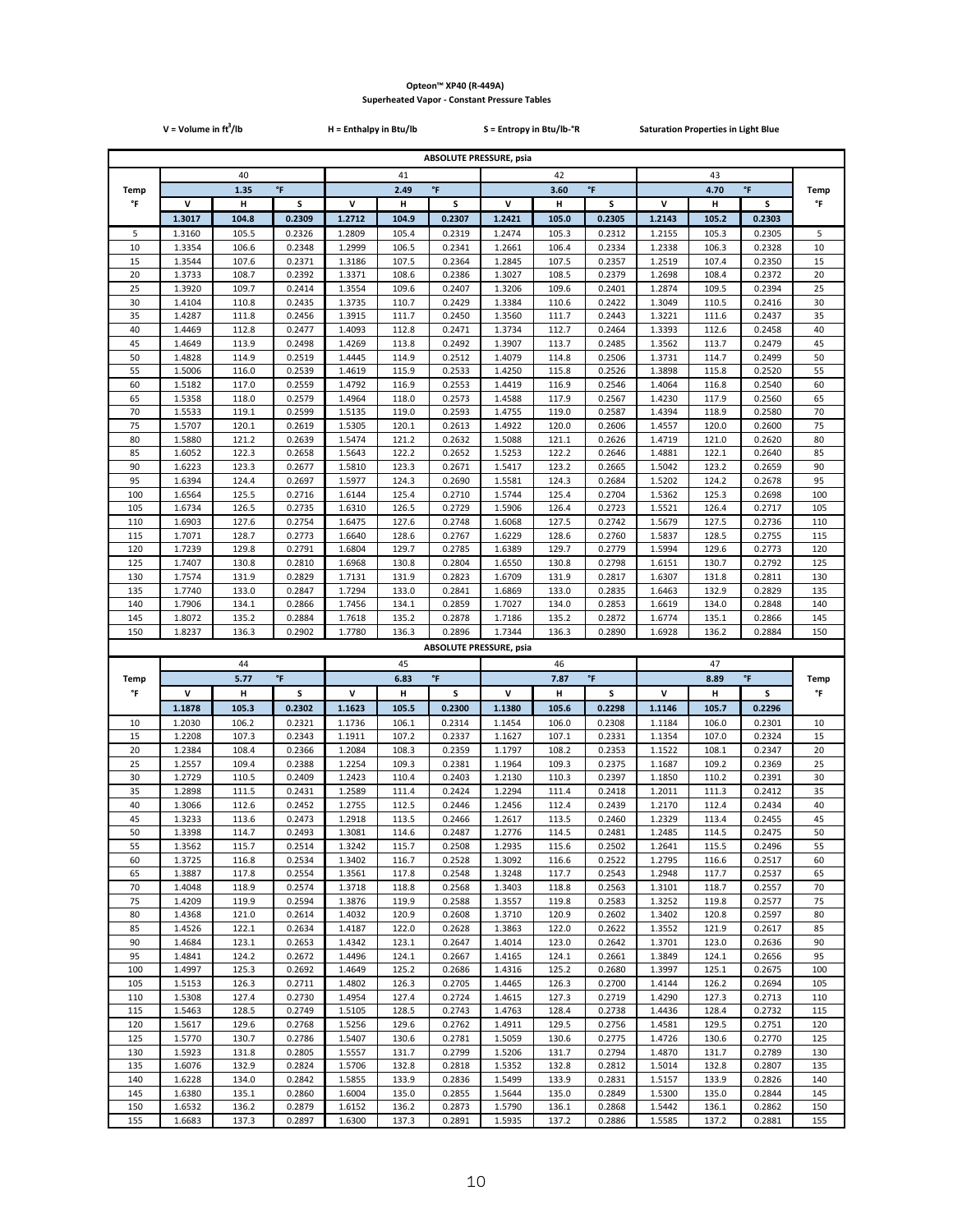|             | $V = Volume in ft3/lb$ |                |                  | H = Enthalpy in Btu/lb |                |                     | S = Entropy in Btu/lb-°R       |                |                     | <b>Saturation Properties in Light Blue</b> |                |                    |             |
|-------------|------------------------|----------------|------------------|------------------------|----------------|---------------------|--------------------------------|----------------|---------------------|--------------------------------------------|----------------|--------------------|-------------|
|             |                        |                |                  |                        |                |                     | <b>ABSOLUTE PRESSURE, psia</b> |                |                     |                                            |                |                    |             |
|             |                        | 40             |                  |                        | 41             |                     |                                | 42             |                     |                                            | 43             |                    |             |
| <b>Temp</b> |                        | 1.35           | $\mathsf{P}$     |                        | 2.49           | $\,^{\circ}$ F      |                                | 3.60           | $^\circ \mathsf{F}$ |                                            | 4.70           | $^\circ\mathsf{F}$ | <b>Temp</b> |
| °F          | v                      | н              | S                | v                      | н              | s                   | v                              | Н              | s                   | V                                          | н              | s                  | °F          |
|             | 1.3017                 | 104.8          | 0.2309           | 1.2712                 | 104.9          | 0.2307              | 1.2421                         | 105.0          | 0.2305              | 1.2143                                     | 105.2          | 0.2303             |             |
| 5           | 1.3160                 | 105.5          | 0.2326           | 1.2809                 | 105.4          | 0.2319              | 1.2474                         | 105.3          | 0.2312              | 1.2155                                     | 105.3          | 0.2305             | 5           |
| 10          | 1.3354<br>1.3544       | 106.6<br>107.6 | 0.2348<br>0.2371 | 1.2999<br>1.3186       | 106.5<br>107.5 | 0.2341<br>0.2364    | 1.2661<br>1.2845               | 106.4<br>107.5 | 0.2334<br>0.2357    | 1.2338<br>1.2519                           | 106.3<br>107.4 | 0.2328<br>0.2350   | 10<br>15    |
| 15<br>20    | 1.3733                 | 108.7          | 0.2392           | 1.3371                 | 108.6          | 0.2386              | 1.3027                         | 108.5          | 0.2379              | 1.2698                                     | 108.4          | 0.2372             | 20          |
| 25          | 1.3920                 | 109.7          | 0.2414           | 1.3554                 | 109.6          | 0.2407              | 1.3206                         | 109.6          | 0.2401              | 1.2874                                     | 109.5          | 0.2394             | 25          |
| 30          | 1.4104                 | 110.8          | 0.2435           | 1.3735                 | 110.7          | 0.2429              | 1.3384                         | 110.6          | 0.2422              | 1.3049                                     | 110.5          | 0.2416             | 30          |
| 35          | 1.4287                 | 111.8          | 0.2456           | 1.3915                 | 111.7          | 0.2450              | 1.3560                         | 111.7          | 0.2443              | 1.3221                                     | 111.6          | 0.2437             | 35          |
| 40<br>45    | 1.4469<br>1.4649       | 112.8<br>113.9 | 0.2477<br>0.2498 | 1.4093<br>1.4269       | 112.8<br>113.8 | 0.2471<br>0.2492    | 1.3734<br>1.3907               | 112.7<br>113.7 | 0.2464<br>0.2485    | 1.3393<br>1.3562                           | 112.6<br>113.7 | 0.2458<br>0.2479   | 40<br>45    |
| 50          | 1.4828                 | 114.9          | 0.2519           | 1.4445                 | 114.9          | 0.2512              | 1.4079                         | 114.8          | 0.2506              | 1.3731                                     | 114.7          | 0.2499             | 50          |
| 55          | 1.5006                 | 116.0          | 0.2539           | 1.4619                 | 115.9          | 0.2533              | 1.4250                         | 115.8          | 0.2526              | 1.3898                                     | 115.8          | 0.2520             | 55          |
| 60          | 1.5182                 | 117.0          | 0.2559           | 1.4792                 | 116.9          | 0.2553              | 1.4419                         | 116.9          | 0.2546              | 1.4064                                     | 116.8          | 0.2540             | 60          |
| 65          | 1.5358                 | 118.0          | 0.2579           | 1.4964                 | 118.0          | 0.2573              | 1.4588                         | 117.9          | 0.2567              | 1.4230                                     | 117.9          | 0.2560             | 65          |
| 70<br>75    | 1.5533                 | 119.1          | 0.2599<br>0.2619 | 1.5135                 | 119.0          | 0.2593              | 1.4755                         | 119.0          | 0.2587              | 1.4394                                     | 118.9<br>120.0 | 0.2580             | 70<br>75    |
| 80          | 1.5707<br>1.5880       | 120.1<br>121.2 | 0.2639           | 1.5305<br>1.5474       | 120.1<br>121.2 | 0.2613<br>0.2632    | 1.4922<br>1.5088               | 120.0<br>121.1 | 0.2606<br>0.2626    | 1.4557<br>1.4719                           | 121.0          | 0.2600<br>0.2620   | 80          |
| 85          | 1.6052                 | 122.3          | 0.2658           | 1.5643                 | 122.2          | 0.2652              | 1.5253                         | 122.2          | 0.2646              | 1.4881                                     | 122.1          | 0.2640             | 85          |
| 90          | 1.6223                 | 123.3          | 0.2677           | 1.5810                 | 123.3          | 0.2671              | 1.5417                         | 123.2          | 0.2665              | 1.5042                                     | 123.2          | 0.2659             | 90          |
| 95          | 1.6394                 | 124.4          | 0.2697           | 1.5977                 | 124.3          | 0.2690              | 1.5581                         | 124.3          | 0.2684              | 1.5202                                     | 124.2          | 0.2678             | 95          |
| 100<br>105  | 1.6564<br>1.6734       | 125.5<br>126.5 | 0.2716<br>0.2735 | 1.6144<br>1.6310       | 125.4<br>126.5 | 0.2710<br>0.2729    | 1.5744<br>1.5906               | 125.4<br>126.4 | 0.2704<br>0.2723    | 1.5362<br>1.5521                           | 125.3<br>126.4 | 0.2698<br>0.2717   | 100<br>105  |
| 110         | 1.6903                 | 127.6          | 0.2754           | 1.6475                 | 127.6          | 0.2748              | 1.6068                         | 127.5          | 0.2742              | 1.5679                                     | 127.5          | 0.2736             | 110         |
| 115         | 1.7071                 | 128.7          | 0.2773           | 1.6640                 | 128.6          | 0.2767              | 1.6229                         | 128.6          | 0.2760              | 1.5837                                     | 128.5          | 0.2755             | 115         |
| 120         | 1.7239                 | 129.8          | 0.2791           | 1.6804                 | 129.7          | 0.2785              | 1.6389                         | 129.7          | 0.2779              | 1.5994                                     | 129.6          | 0.2773             | 120         |
| 125         | 1.7407                 | 130.8          | 0.2810           | 1.6968                 | 130.8          | 0.2804              | 1.6550                         | 130.8          | 0.2798              | 1.6151                                     | 130.7          | 0.2792             | 125         |
| 130<br>135  | 1.7574<br>1.7740       | 131.9<br>133.0 | 0.2829<br>0.2847 | 1.7131<br>1.7294       | 131.9<br>133.0 | 0.2823<br>0.2841    | 1.6709<br>1.6869               | 131.9<br>133.0 | 0.2817<br>0.2835    | 1.6307<br>1.6463                           | 131.8<br>132.9 | 0.2811<br>0.2829   | 130<br>135  |
| 140         | 1.7906                 | 134.1          | 0.2866           | 1.7456                 | 134.1          | 0.2859              | 1.7027                         | 134.0          | 0.2853              | 1.6619                                     | 134.0          | 0.2848             | 140         |
| 145         | 1.8072                 | 135.2          | 0.2884           | 1.7618                 | 135.2          | 0.2878              | 1.7186                         | 135.2          | 0.2872              | 1.6774                                     | 135.1          | 0.2866             | 145         |
| 150         | 1.8237                 |                |                  |                        |                |                     |                                |                |                     |                                            |                |                    |             |
|             |                        | 136.3          | 0.2902           | 1.7780                 | 136.3          | 0.2896              | 1.7344                         | 136.3          | 0.2890              | 1.6928                                     | 136.2          | 0.2884             | 150         |
|             |                        |                |                  |                        |                |                     | <b>ABSOLUTE PRESSURE, psia</b> |                |                     |                                            |                |                    |             |
|             |                        | 44             |                  |                        | 45             |                     |                                | 46             |                     |                                            | 47             |                    |             |
| <b>Temp</b> |                        | 5.77           | °F               |                        | 6.83           | $^\circ \mathsf{F}$ |                                | 7.87           | $^\circ \mathsf{F}$ |                                            | 8.89           | °F                 | <b>Temp</b> |
| °F          | v                      | н              | s                | v                      | н              | s                   | v                              | н              | s                   | v                                          | н              | s                  | °F          |
| 10          | 1.1878<br>1.2030       | 105.3<br>106.2 | 0.2302<br>0.2321 | 1.1623<br>1.1736       | 105.5<br>106.1 | 0.2300<br>0.2314    | 1.1380<br>1.1454               | 105.6<br>106.0 | 0.2298<br>0.2308    | 1.1146<br>1.1184                           | 105.7<br>106.0 | 0.2296<br>0.2301   | 10          |
| 15          | 1.2208                 | 107.3          | 0.2343           | 1.1911                 | 107.2          | 0.2337              | 1.1627                         | 107.1          | 0.2331              | 1.1354                                     | 107.0          | 0.2324             | 15          |
| 20          | 1.2384                 | 108.4          | 0.2366           | 1.2084                 | 108.3          | 0.2359              | 1.1797                         | 108.2          | 0.2353              | 1.1522                                     | 108.1          | 0.2347             | 20          |
| 25          | 1.2557                 | 109.4          | 0.2388           | 1.2254                 | 109.3          | 0.2381              | 1.1964                         | 109.3          | 0.2375              | 1.1687                                     | 109.2          | 0.2369             | 25          |
| 30          | 1.2729                 | 110.5          | 0.2409           | 1.2423                 | 110.4          | 0.2403              | 1.2130                         | 110.3          | 0.2397              | 1.1850                                     | 110.2          | 0.2391             | 30          |
| 35<br>40    | 1.2898<br>1.3066       | 111.5<br>112.6 | 0.2431<br>0.2452 | 1.2589<br>1.2755       | 111.4<br>112.5 | 0.2424<br>0.2446    | 1.2294<br>1.2456               | 111.4<br>112.4 | 0.2418<br>0.2439    | 1.2011<br>1.2170                           | 111.3<br>112.4 | 0.2412<br>0.2434   | 35<br>40    |
| 45          | 1.3233                 | 113.6          | 0.2473           | 1.2918                 | 113.5          | 0.2466              | 1.2617                         | 113.5          | 0.2460              | 1.2329                                     | 113.4          | 0.2455             | 45          |
| 50          | 1.3398                 | 114.7          | 0.2493           | 1.3081                 | 114.6          | 0.2487              | 1.2776                         | 114.5          | 0.2481              | 1.2485                                     | 114.5          | 0.2475             | 50          |
| 55          | 1.3562                 | 115.7          | 0.2514           | 1.3242                 | 115.7          | 0.2508              | 1.2935                         | 115.6          | 0.2502              | 1.2641                                     | 115.5          | 0.2496             | 55          |
| 60<br>65    | 1.3725<br>1.3887       | 116.8<br>117.8 | 0.2534<br>0.2554 | 1.3402<br>1.3561       | 116.7<br>117.8 | 0.2528<br>0.2548    | 1.3092<br>1.3248               | 116.6<br>117.7 | 0.2522<br>0.2543    | 1.2795<br>1.2948                           | 116.6<br>117.7 | 0.2517<br>0.2537   | 60<br>65    |
| 70          | 1.4048                 | 118.9          | 0.2574           | 1.3718                 | 118.8          | 0.2568              | 1.3403                         | 118.8          | 0.2563              | 1.3101                                     | 118.7          | 0.2557             | 70          |
| 75          | 1.4209                 | 119.9          | 0.2594           | 1.3876                 | 119.9          | 0.2588              | 1.3557                         | 119.8          | 0.2583              | 1.3252                                     | 119.8          | 0.2577             | 75          |
| 80          | 1.4368                 | 121.0          | 0.2614           | 1.4032                 | 120.9          | 0.2608              | 1.3710                         | 120.9          | 0.2602              | 1.3402                                     | 120.8          | 0.2597             | 80          |
| 85          | 1.4526                 | 122.1          | 0.2634           | 1.4187                 | 122.0          | 0.2628              | 1.3863                         | 122.0          | 0.2622              | 1.3552                                     | 121.9          | 0.2617             | 85          |
| 90<br>95    | 1.4684<br>1.4841       | 123.1<br>124.2 | 0.2653<br>0.2672 | 1.4342<br>1.4496       | 123.1<br>124.1 | 0.2647<br>0.2667    | 1.4014<br>1.4165               | 123.0<br>124.1 | 0.2642<br>0.2661    | 1.3701<br>1.3849                           | 123.0<br>124.1 | 0.2636<br>0.2656   | 90<br>95    |
| 100         | 1.4997                 | 125.3          | 0.2692           | 1.4649                 | 125.2          | 0.2686              | 1.4316                         | 125.2          | 0.2680              | 1.3997                                     | 125.1          | 0.2675             | 100         |
| 105         | 1.5153                 | 126.3          | 0.2711           | 1.4802                 | 126.3          | 0.2705              | 1.4465                         | 126.3          | 0.2700              | 1.4144                                     | 126.2          | 0.2694             | 105         |
| 110         | 1.5308                 | 127.4          | 0.2730           | 1.4954                 | 127.4          | 0.2724              | 1.4615                         | 127.3          | 0.2719              | 1.4290                                     | 127.3          | 0.2713             | 110         |
| 115         | 1.5463                 | 128.5          | 0.2749           | 1.5105                 | 128.5          | 0.2743              | 1.4763                         | 128.4          | 0.2738              | 1.4436                                     | 128.4          | 0.2732             | 115         |
| 120<br>125  | 1.5617<br>1.5770       | 129.6<br>130.7 | 0.2768<br>0.2786 | 1.5256<br>1.5407       | 129.6<br>130.6 | 0.2762<br>0.2781    | 1.4911<br>1.5059               | 129.5<br>130.6 | 0.2756<br>0.2775    | 1.4581<br>1.4726                           | 129.5<br>130.6 | 0.2751<br>0.2770   | 120<br>125  |
| 130         | 1.5923                 | 131.8          | 0.2805           | 1.5557                 | 131.7          | 0.2799              | 1.5206                         | 131.7          | 0.2794              | 1.4870                                     | 131.7          | 0.2789             | 130         |
| 135         | 1.6076                 | 132.9          | 0.2824           | 1.5706                 | 132.8          | 0.2818              | 1.5352                         | 132.8          | 0.2812              | 1.5014                                     | 132.8          | 0.2807             | 135         |
| 140         | 1.6228                 | 134.0          | 0.2842           | 1.5855                 | 133.9          | 0.2836              | 1.5499                         | 133.9          | 0.2831              | 1.5157                                     | 133.9          | 0.2826             | 140         |
| 145<br>150  | 1.6380<br>1.6532       | 135.1<br>136.2 | 0.2860<br>0.2879 | 1.6004<br>1.6152       | 135.0<br>136.2 | 0.2855<br>0.2873    | 1.5644<br>1.5790               | 135.0<br>136.1 | 0.2849<br>0.2868    | 1.5300<br>1.5442                           | 135.0<br>136.1 | 0.2844<br>0.2862   | 145<br>150  |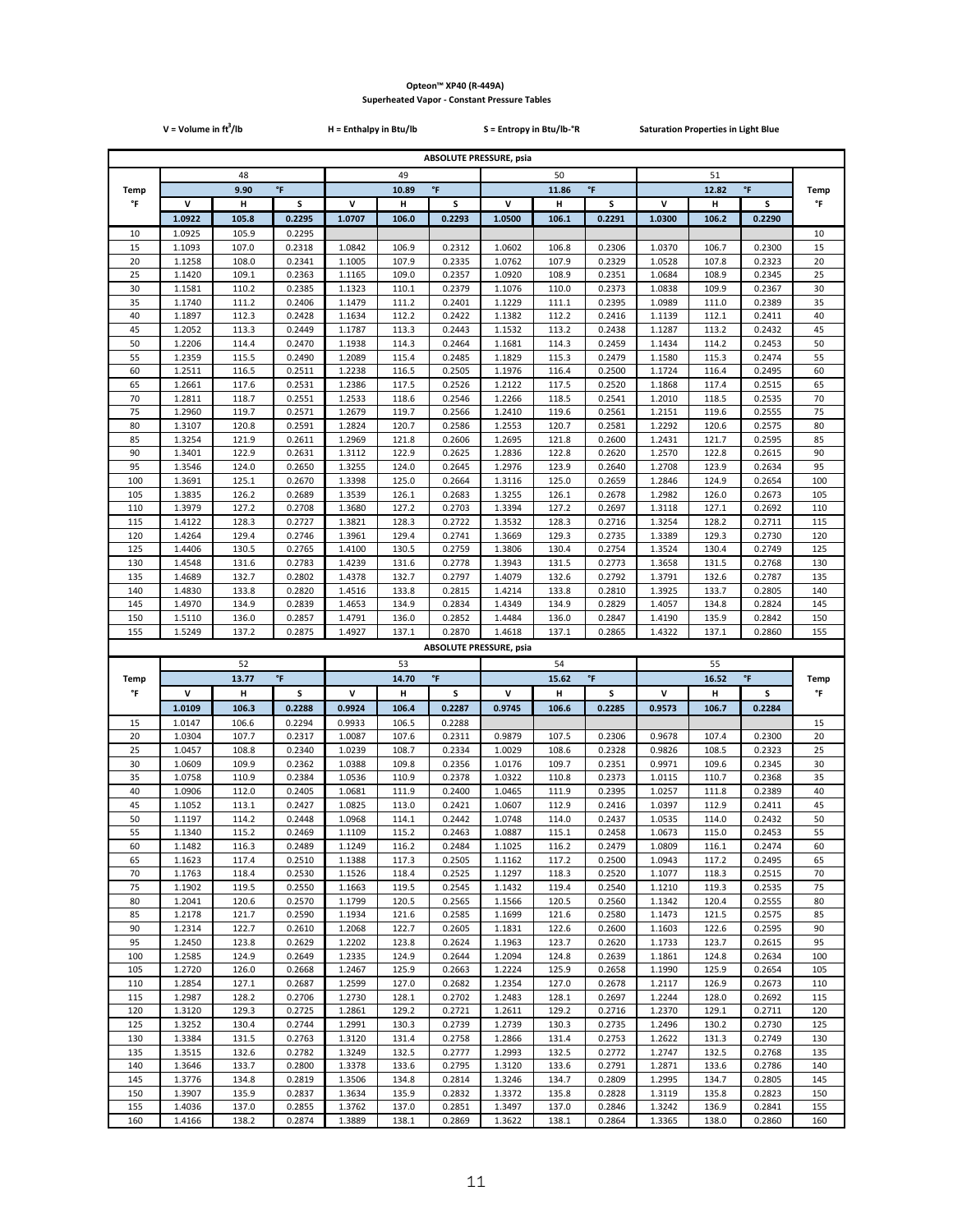|             | $V = Volume in ft3/lb$ |                |                  | H = Enthalpy in Btu/lb |                |                                | S = Entropy in Btu/lb-°R |                |                     | <b>Saturation Properties in Light Blue</b> |                |                    |             |
|-------------|------------------------|----------------|------------------|------------------------|----------------|--------------------------------|--------------------------|----------------|---------------------|--------------------------------------------|----------------|--------------------|-------------|
|             |                        |                |                  |                        |                | <b>ABSOLUTE PRESSURE, psia</b> |                          |                |                     |                                            |                |                    |             |
|             |                        | 48             |                  |                        | 49             |                                |                          | 50             |                     |                                            | 51             |                    |             |
| <b>Temp</b> |                        | 9.90           | $\mathsf{P}$     |                        | 10.89          | $\mathsf{P}$                   |                          | 11.86          | $^\circ \mathsf{F}$ |                                            | 12.82          | $^\circ\mathsf{F}$ | <b>Temp</b> |
| °F          | V                      | н              | s                | v                      | н              | S                              | $\mathsf{v}$             | Н              | S                   | v                                          | н              | s                  | °F          |
|             | 1.0922                 | 105.8          | 0.2295           | 1.0707                 | 106.0          | 0.2293                         | 1.0500                   | 106.1          | 0.2291              | 1.0300                                     | 106.2          | 0.2290             |             |
| 10          | 1.0925                 | 105.9          | 0.2295           |                        |                |                                |                          |                |                     |                                            |                |                    | 10          |
| 15<br>20    | 1.1093<br>1.1258       | 107.0<br>108.0 | 0.2318<br>0.2341 | 1.0842<br>1.1005       | 106.9<br>107.9 | 0.2312<br>0.2335               | 1.0602<br>1.0762         | 106.8<br>107.9 | 0.2306<br>0.2329    | 1.0370<br>1.0528                           | 106.7<br>107.8 | 0.2300<br>0.2323   | 15          |
| 25          | 1.1420                 | 109.1          | 0.2363           | 1.1165                 | 109.0          | 0.2357                         | 1.0920                   | 108.9          | 0.2351              | 1.0684                                     | 108.9          | 0.2345             | 20<br>25    |
| 30          | 1.1581                 | 110.2          | 0.2385           | 1.1323                 | 110.1          | 0.2379                         | 1.1076                   | 110.0          | 0.2373              | 1.0838                                     | 109.9          | 0.2367             | 30          |
| 35          | 1.1740                 | 111.2          | 0.2406           | 1.1479                 | 111.2          | 0.2401                         | 1.1229                   | 111.1          | 0.2395              | 1.0989                                     | 111.0          | 0.2389             | 35          |
| 40          | 1.1897                 | 112.3          | 0.2428           | 1.1634                 | 112.2          | 0.2422                         | 1.1382                   | 112.2          | 0.2416              | 1.1139                                     | 112.1          | 0.2411             | 40          |
| 45<br>50    | 1.2052<br>1.2206       | 113.3          | 0.2449<br>0.2470 | 1.1787                 | 113.3          | 0.2443<br>0.2464               | 1.1532                   | 113.2          | 0.2438<br>0.2459    | 1.1287                                     | 113.2<br>114.2 | 0.2432             | 45<br>50    |
| 55          | 1.2359                 | 114.4<br>115.5 | 0.2490           | 1.1938<br>1.2089       | 114.3<br>115.4 | 0.2485                         | 1.1681<br>1.1829         | 114.3<br>115.3 | 0.2479              | 1.1434<br>1.1580                           | 115.3          | 0.2453<br>0.2474   | 55          |
| 60          | 1.2511                 | 116.5          | 0.2511           | 1.2238                 | 116.5          | 0.2505                         | 1.1976                   | 116.4          | 0.2500              | 1.1724                                     | 116.4          | 0.2495             | 60          |
| 65          | 1.2661                 | 117.6          | 0.2531           | 1.2386                 | 117.5          | 0.2526                         | 1.2122                   | 117.5          | 0.2520              | 1.1868                                     | 117.4          | 0.2515             | 65          |
| 70          | 1.2811                 | 118.7          | 0.2551           | 1.2533                 | 118.6          | 0.2546                         | 1.2266                   | 118.5          | 0.2541              | 1.2010                                     | 118.5          | 0.2535             | 70          |
| 75          | 1.2960                 | 119.7          | 0.2571           | 1.2679                 | 119.7          | 0.2566                         | 1.2410                   | 119.6          | 0.2561              | 1.2151                                     | 119.6          | 0.2555             | 75          |
| 80<br>85    | 1.3107<br>1.3254       | 120.8<br>121.9 | 0.2591<br>0.2611 | 1.2824<br>1.2969       | 120.7<br>121.8 | 0.2586<br>0.2606               | 1.2553<br>1.2695         | 120.7<br>121.8 | 0.2581<br>0.2600    | 1.2292<br>1.2431                           | 120.6<br>121.7 | 0.2575<br>0.2595   | 80<br>85    |
| 90          | 1.3401                 | 122.9          | 0.2631           | 1.3112                 | 122.9          | 0.2625                         | 1.2836                   | 122.8          | 0.2620              | 1.2570                                     | 122.8          | 0.2615             | 90          |
| 95          | 1.3546                 | 124.0          | 0.2650           | 1.3255                 | 124.0          | 0.2645                         | 1.2976                   | 123.9          | 0.2640              | 1.2708                                     | 123.9          | 0.2634             | 95          |
| 100         | 1.3691                 | 125.1          | 0.2670           | 1.3398                 | 125.0          | 0.2664                         | 1.3116                   | 125.0          | 0.2659              | 1.2846                                     | 124.9          | 0.2654             | 100         |
| 105         | 1.3835                 | 126.2          | 0.2689           | 1.3539                 | 126.1          | 0.2683                         | 1.3255                   | 126.1          | 0.2678              | 1.2982                                     | 126.0          | 0.2673             | 105         |
| 110<br>115  | 1.3979<br>1.4122       | 127.2<br>128.3 | 0.2708<br>0.2727 | 1.3680<br>1.3821       | 127.2<br>128.3 | 0.2703<br>0.2722               | 1.3394<br>1.3532         | 127.2<br>128.3 | 0.2697<br>0.2716    | 1.3118<br>1.3254                           | 127.1<br>128.2 | 0.2692<br>0.2711   | 110<br>115  |
| 120         | 1.4264                 | 129.4          | 0.2746           | 1.3961                 | 129.4          | 0.2741                         | 1.3669                   | 129.3          | 0.2735              | 1.3389                                     | 129.3          | 0.2730             | 120         |
| 125         | 1.4406                 | 130.5          | 0.2765           | 1.4100                 | 130.5          | 0.2759                         | 1.3806                   | 130.4          | 0.2754              | 1.3524                                     | 130.4          | 0.2749             | 125         |
| 130         | 1.4548                 | 131.6          | 0.2783           | 1.4239                 | 131.6          | 0.2778                         | 1.3943                   | 131.5          | 0.2773              | 1.3658                                     | 131.5          | 0.2768             | 130         |
| 135         | 1.4689                 | 132.7          | 0.2802           | 1.4378                 | 132.7          | 0.2797                         | 1.4079                   | 132.6          | 0.2792              | 1.3791                                     | 132.6          | 0.2787             | 135         |
| 140<br>145  | 1.4830<br>1.4970       | 133.8<br>134.9 | 0.2820<br>0.2839 | 1.4516<br>1.4653       | 133.8<br>134.9 | 0.2815<br>0.2834               | 1.4214<br>1.4349         | 133.8<br>134.9 | 0.2810<br>0.2829    | 1.3925<br>1.4057                           | 133.7<br>134.8 | 0.2805<br>0.2824   | 140<br>145  |
| 150         | 1.5110                 | 136.0          | 0.2857           | 1.4791                 | 136.0          | 0.2852                         | 1.4484                   | 136.0          | 0.2847              | 1.4190                                     | 135.9          | 0.2842             | 150         |
| 155         | 1.5249                 | 137.2          | 0.2875           | 1.4927                 | 137.1          | 0.2870                         | 1.4618                   | 137.1          | 0.2865              | 1.4322                                     | 137.1          | 0.2860             | 155         |
|             |                        |                |                  |                        |                | <b>ABSOLUTE PRESSURE, psia</b> |                          |                |                     |                                            |                |                    |             |
|             |                        | 52             |                  |                        | 53             |                                |                          | 54             |                     |                                            | 55             |                    |             |
| Temp        |                        | 13.77          | °F               |                        | 14.70          | $^\circ \mathsf{F}$            |                          | 15.62<br>н     | $^\circ \mathsf{F}$ |                                            | 16.52          | $^\circ\mathsf{F}$ | <b>Temp</b> |
| °F          | v<br>1.0109            | н<br>106.3     | s<br>0.2288      | v<br>0.9924            | н              | s                              | v                        |                | s                   | V                                          | н              | s                  | °F          |
| 15          | 1.0147                 |                |                  |                        |                |                                |                          |                |                     |                                            |                |                    |             |
| 20          | 1.0304                 |                |                  |                        | 106.4          | 0.2287                         | 0.9745                   | 106.6          | 0.2285              | 0.9573                                     | 106.7          | 0.2284             |             |
| 25          |                        | 106.6<br>107.7 | 0.2294<br>0.2317 | 0.9933<br>1.0087       | 106.5<br>107.6 | 0.2288<br>0.2311               | 0.9879                   | 107.5          | 0.2306              | 0.9678                                     | 107.4          | 0.2300             | 15<br>20    |
| 30          | 1.0457                 | 108.8          | 0.2340           | 1.0239                 | 108.7          | 0.2334                         | 1.0029                   | 108.6          | 0.2328              | 0.9826                                     | 108.5          | 0.2323             | 25          |
|             | 1.0609                 | 109.9          | 0.2362           | 1.0388                 | 109.8          | 0.2356                         | 1.0176                   | 109.7          | 0.2351              | 0.9971                                     | 109.6          | 0.2345             | 30          |
| 35          | 1.0758                 | 110.9          | 0.2384           | 1.0536                 | 110.9          | 0.2378                         | 1.0322                   | 110.8          | 0.2373              | 1.0115                                     | 110.7          | 0.2368             | 35          |
| 40          | 1.0906                 | 112.0          | 0.2405           | 1.0681                 | 111.9          | 0.2400                         | 1.0465                   | 111.9          | 0.2395              | 1.0257                                     | 111.8          | 0.2389             | 40          |
| 45<br>50    | 1.1052<br>1.1197       | 113.1<br>114.2 | 0.2427<br>0.2448 | 1.0825<br>1.0968       | 113.0<br>114.1 | 0.2421<br>0.2442               | 1.0607<br>1.0748         | 112.9<br>114.0 | 0.2416<br>0.2437    | 1.0397<br>1.0535                           | 112.9<br>114.0 | 0.2411<br>0.2432   | 45<br>50    |
| 55          | 1.1340                 | 115.2          | 0.2469           | 1.1109                 | 115.2          | 0.2463                         | 1.0887                   | 115.1          | 0.2458              | 1.0673                                     | 115.0          | 0.2453             | 55          |
| 60          | 1.1482                 | 116.3          | 0.2489           | 1.1249                 | 116.2          | 0.2484                         | 1.1025                   | 116.2          | 0.2479              | 1.0809                                     | 116.1          | 0.2474             | 60          |
| 65          | 1.1623                 | 117.4          | 0.2510           | 1.1388                 | 117.3          | 0.2505                         | 1.1162                   | 117.2          | 0.2500              | 1.0943                                     | 117.2          | 0.2495             | 65          |
| 70          | 1.1763                 | 118.4          | 0.2530           | 1.1526                 | 118.4          | 0.2525                         | 1.1297                   | 118.3          | 0.2520              | 1.1077                                     | 118.3          | 0.2515             | 70          |
| 75<br>80    | 1.1902<br>1.2041       | 119.5<br>120.6 | 0.2550<br>0.2570 | 1.1663<br>1.1799       | 119.5<br>120.5 | 0.2545<br>0.2565               | 1.1432<br>1.1566         | 119.4<br>120.5 | 0.2540<br>0.2560    | 1.1210<br>1.1342                           | 119.3<br>120.4 | 0.2535<br>0.2555   | 75<br>80    |
| 85          | 1.2178                 | 121.7          | 0.2590           | 1.1934                 | 121.6          | 0.2585                         | 1.1699                   | 121.6          | 0.2580              | 1.1473                                     | 121.5          | 0.2575             | 85          |
| 90          | 1.2314                 | 122.7          | 0.2610           | 1.2068                 | 122.7          | 0.2605                         | 1.1831                   | 122.6          | 0.2600              | 1.1603                                     | 122.6          | 0.2595             | 90          |
| 95          | 1.2450                 | 123.8          | 0.2629           | 1.2202                 | 123.8          | 0.2624                         | 1.1963                   | 123.7          | 0.2620              | 1.1733                                     | 123.7          | 0.2615             | 95          |
| 100         | 1.2585                 | 124.9          | 0.2649           | 1.2335                 | 124.9          | 0.2644                         | 1.2094                   | 124.8          | 0.2639              | 1.1861                                     | 124.8          | 0.2634             | 100         |
| 105<br>110  | 1.2720<br>1.2854       | 126.0<br>127.1 | 0.2668<br>0.2687 | 1.2467<br>1.2599       | 125.9<br>127.0 | 0.2663<br>0.2682               | 1.2224<br>1.2354         | 125.9<br>127.0 | 0.2658<br>0.2678    | 1.1990<br>1.2117                           | 125.9<br>126.9 | 0.2654<br>0.2673   | 105<br>110  |
| 115         | 1.2987                 | 128.2          | 0.2706           | 1.2730                 | 128.1          | 0.2702                         | 1.2483                   | 128.1          | 0.2697              | 1.2244                                     | 128.0          | 0.2692             | 115         |
| 120         | 1.3120                 | 129.3          | 0.2725           | 1.2861                 | 129.2          | 0.2721                         | 1.2611                   | 129.2          | 0.2716              | 1.2370                                     | 129.1          | 0.2711             | 120         |
| 125         | 1.3252                 | 130.4          | 0.2744           | 1.2991                 | 130.3          | 0.2739                         | 1.2739                   | 130.3          | 0.2735              | 1.2496                                     | 130.2          | 0.2730             | 125         |
| 130         | 1.3384                 | 131.5          | 0.2763           | 1.3120                 | 131.4          | 0.2758                         | 1.2866                   | 131.4          | 0.2753              | 1.2622                                     | 131.3          | 0.2749             | 130         |
| 135         | 1.3515                 | 132.6          | 0.2782           | 1.3249                 | 132.5          | 0.2777                         | 1.2993                   | 132.5          | 0.2772              | 1.2747                                     | 132.5          | 0.2768             | 135         |
| 140<br>145  | 1.3646<br>1.3776       | 133.7<br>134.8 | 0.2800<br>0.2819 | 1.3378<br>1.3506       | 133.6<br>134.8 | 0.2795<br>0.2814               | 1.3120<br>1.3246         | 133.6<br>134.7 | 0.2791<br>0.2809    | 1.2871<br>1.2995                           | 133.6<br>134.7 | 0.2786<br>0.2805   | 140<br>145  |
| 150         | 1.3907                 | 135.9          | 0.2837           | 1.3634                 | 135.9          | 0.2832                         | 1.3372                   | 135.8          | 0.2828              | 1.3119                                     | 135.8          | 0.2823             | 150         |
| 155<br>160  | 1.4036<br>1.4166       | 137.0<br>138.2 | 0.2855<br>0.2874 | 1.3762<br>1.3889       | 137.0<br>138.1 | 0.2851<br>0.2869               | 1.3497<br>1.3622         | 137.0<br>138.1 | 0.2846<br>0.2864    | 1.3242<br>1.3365                           | 136.9<br>138.0 | 0.2841<br>0.2860   | 155<br>160  |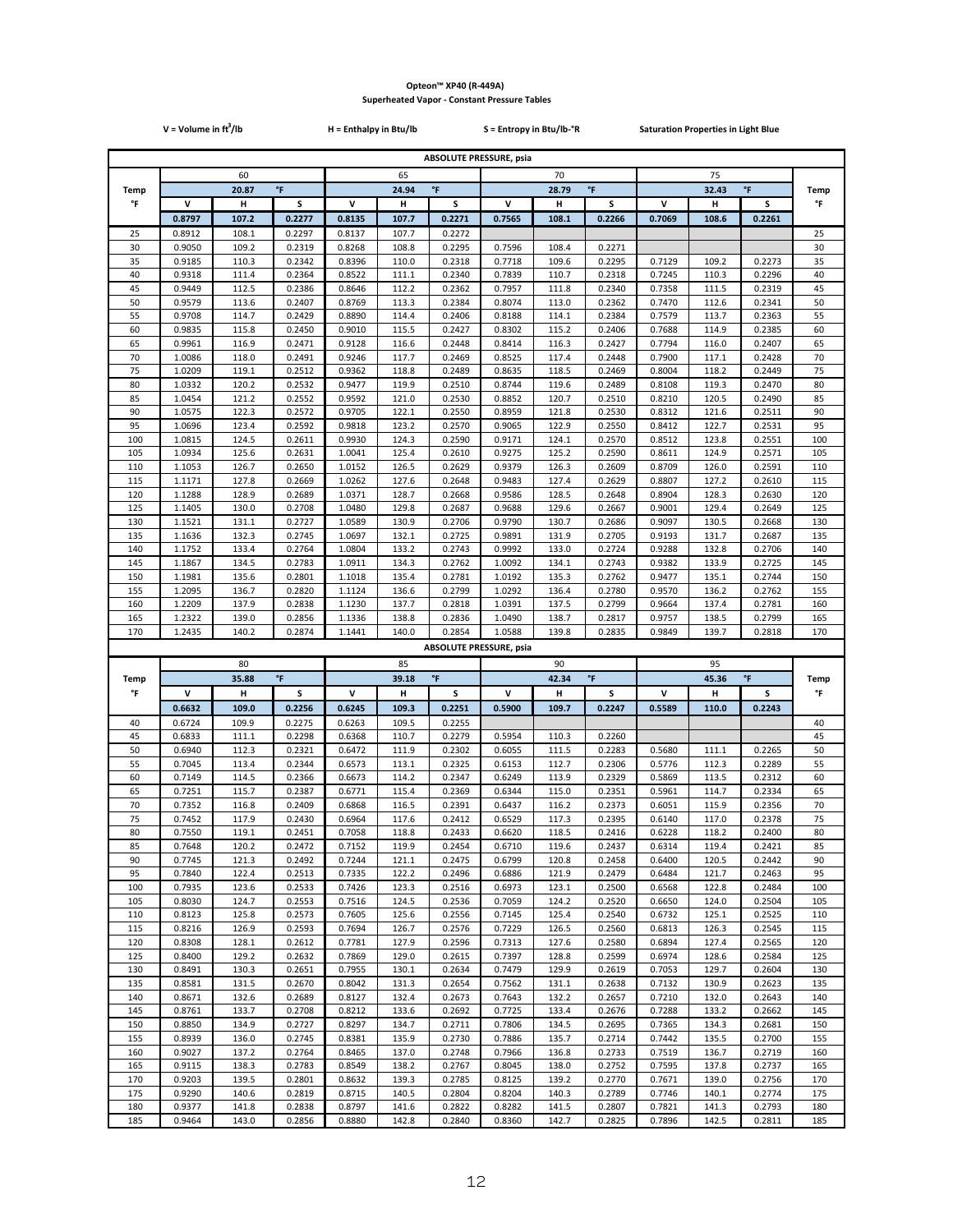|             | $V = Volume in ft3/lb$ |                |                  | H = Enthalpy in Btu/lb |                |                                | S = Entropy in Btu/lb-°R     |                |                     | <b>Saturation Properties in Light Blue</b> |                |                    |                   |
|-------------|------------------------|----------------|------------------|------------------------|----------------|--------------------------------|------------------------------|----------------|---------------------|--------------------------------------------|----------------|--------------------|-------------------|
|             |                        |                |                  |                        |                | <b>ABSOLUTE PRESSURE, psia</b> |                              |                |                     |                                            |                |                    |                   |
|             | 60                     |                |                  | 65                     |                |                                |                              | 70             |                     |                                            | 75             |                    |                   |
| <b>Temp</b> |                        | 20.87          | $\mathsf{P}$     | $\mathsf{P}$<br>24.94  |                |                                | $^\circ \mathsf{F}$<br>28.79 |                |                     |                                            | 32.43          | $^\circ\mathsf{F}$ | <b>Temp</b>       |
| °F          | v                      | н              | s                | v                      | н              | S                              | $\mathsf{v}$                 | н              | S                   | V                                          | н              | s                  | °F                |
|             | 0.8797                 | 107.2          | 0.2277           | 0.8135                 | 107.7          | 0.2271                         | 0.7565                       | 108.1          | 0.2266              | 0.7069                                     | 108.6          | 0.2261             |                   |
| 25          | 0.8912                 | 108.1          | 0.2297           | 0.8137                 | 107.7          | 0.2272                         |                              |                |                     |                                            |                |                    | 25                |
| 30<br>35    | 0.9050<br>0.9185       | 109.2<br>110.3 | 0.2319<br>0.2342 | 0.8268<br>0.8396       | 108.8<br>110.0 | 0.2295<br>0.2318               | 0.7596<br>0.7718             | 108.4<br>109.6 | 0.2271<br>0.2295    | 0.7129                                     | 109.2          | 0.2273             | 30<br>35          |
| 40          | 0.9318                 | 111.4          | 0.2364           | 0.8522                 | 111.1          | 0.2340                         | 0.7839                       | 110.7          | 0.2318              | 0.7245                                     | 110.3          | 0.2296             | 40                |
| 45          | 0.9449                 | 112.5          | 0.2386           | 0.8646                 | 112.2          | 0.2362                         | 0.7957                       | 111.8          | 0.2340              | 0.7358                                     | 111.5          | 0.2319             | 45                |
| 50          | 0.9579                 | 113.6          | 0.2407           | 0.8769                 | 113.3          | 0.2384                         | 0.8074                       | 113.0          | 0.2362              | 0.7470                                     | 112.6          | 0.2341             | 50                |
| 55          | 0.9708                 | 114.7          | 0.2429           | 0.8890                 | 114.4          | 0.2406                         | 0.8188                       | 114.1          | 0.2384              | 0.7579                                     | 113.7          | 0.2363             | 55                |
| 60<br>65    | 0.9835<br>0.9961       | 115.8<br>116.9 | 0.2450<br>0.2471 | 0.9010<br>0.9128       | 115.5<br>116.6 | 0.2427<br>0.2448               | 0.8302<br>0.8414             | 115.2<br>116.3 | 0.2406<br>0.2427    | 0.7688<br>0.7794                           | 114.9<br>116.0 | 0.2385<br>0.2407   | 60<br>65          |
| 70          | 1.0086                 | 118.0          | 0.2491           | 0.9246                 | 117.7          | 0.2469                         | 0.8525                       | 117.4          | 0.2448              | 0.7900                                     | 117.1          | 0.2428             | 70                |
| 75          | 1.0209                 | 119.1          | 0.2512           | 0.9362                 | 118.8          | 0.2489                         | 0.8635                       | 118.5          | 0.2469              | 0.8004                                     | 118.2          | 0.2449             | 75                |
| 80          | 1.0332                 | 120.2          | 0.2532           | 0.9477                 | 119.9          | 0.2510                         | 0.8744                       | 119.6          | 0.2489              | 0.8108                                     | 119.3          | 0.2470             | 80                |
| 85          | 1.0454                 | 121.2          | 0.2552           | 0.9592                 | 121.0          | 0.2530                         | 0.8852                       | 120.7          | 0.2510              | 0.8210                                     | 120.5          | 0.2490             | 85                |
| 90<br>95    | 1.0575<br>1.0696       | 122.3<br>123.4 | 0.2572<br>0.2592 | 0.9705<br>0.9818       | 122.1<br>123.2 | 0.2550<br>0.2570               | 0.8959<br>0.9065             | 121.8<br>122.9 | 0.2530<br>0.2550    | 0.8312<br>0.8412                           | 121.6<br>122.7 | 0.2511<br>0.2531   | 90<br>95          |
| 100         | 1.0815                 | 124.5          | 0.2611           | 0.9930                 | 124.3          | 0.2590                         | 0.9171                       | 124.1          | 0.2570              | 0.8512                                     | 123.8          | 0.2551             | 100               |
| 105         | 1.0934                 | 125.6          | 0.2631           | 1.0041                 | 125.4          | 0.2610                         | 0.9275                       | 125.2          | 0.2590              | 0.8611                                     | 124.9          | 0.2571             | 105               |
| 110         | 1.1053                 | 126.7          | 0.2650           | 1.0152                 | 126.5          | 0.2629                         | 0.9379                       | 126.3          | 0.2609              | 0.8709                                     | 126.0          | 0.2591             | 110               |
| 115         | 1.1171                 | 127.8          | 0.2669           | 1.0262                 | 127.6          | 0.2648                         | 0.9483                       | 127.4          | 0.2629              | 0.8807                                     | 127.2          | 0.2610             | 115               |
| 120<br>125  | 1.1288<br>1.1405       | 128.9<br>130.0 | 0.2689<br>0.2708 | 1.0371<br>1.0480       | 128.7<br>129.8 | 0.2668<br>0.2687               | 0.9586<br>0.9688             | 128.5<br>129.6 | 0.2648<br>0.2667    | 0.8904<br>0.9001                           | 128.3<br>129.4 | 0.2630<br>0.2649   | 120<br>125        |
| 130         | 1.1521                 | 131.1          | 0.2727           | 1.0589                 | 130.9          | 0.2706                         | 0.9790                       | 130.7          | 0.2686              | 0.9097                                     | 130.5          | 0.2668             | 130               |
| 135         | 1.1636                 | 132.3          | 0.2745           | 1.0697                 | 132.1          | 0.2725                         | 0.9891                       | 131.9          | 0.2705              | 0.9193                                     | 131.7          | 0.2687             | 135               |
| 140         | 1.1752                 | 133.4          | 0.2764           | 1.0804                 | 133.2          | 0.2743                         | 0.9992                       | 133.0          | 0.2724              | 0.9288                                     | 132.8          | 0.2706             | 140               |
| 145<br>150  | 1.1867<br>1.1981       | 134.5          | 0.2783<br>0.2801 | 1.0911                 | 134.3          | 0.2762<br>0.2781               | 1.0092                       | 134.1          | 0.2743              | 0.9382                                     | 133.9<br>135.1 | 0.2725<br>0.2744   | 145<br>150        |
| 155         | 1.2095                 | 135.6<br>136.7 | 0.2820           | 1.1018<br>1.1124       | 135.4<br>136.6 | 0.2799                         | 1.0192<br>1.0292             | 135.3<br>136.4 | 0.2762<br>0.2780    | 0.9477<br>0.9570                           | 136.2          | 0.2762             | 155               |
| 160         | 1.2209                 | 137.9          | 0.2838           | 1.1230                 | 137.7          | 0.2818                         | 1.0391                       | 137.5          | 0.2799              | 0.9664                                     | 137.4          | 0.2781             | 160               |
| 165         | 1.2322                 | 139.0          | 0.2856           | 1.1336                 | 138.8          | 0.2836                         | 1.0490                       | 138.7          | 0.2817              | 0.9757                                     | 138.5          | 0.2799             | 165               |
| 170         |                        |                |                  |                        |                |                                |                              |                |                     |                                            |                |                    |                   |
|             | 1.2435                 | 140.2          | 0.2874           | 1.1441                 | 140.0          | 0.2854                         | 1.0588                       | 139.8          | 0.2835              | 0.9849                                     | 139.7          | 0.2818             | 170               |
|             |                        |                |                  |                        |                | <b>ABSOLUTE PRESSURE, psia</b> |                              |                |                     |                                            |                |                    |                   |
|             |                        | 80             |                  |                        | 85             |                                |                              | 90             |                     |                                            | 95             |                    |                   |
| Temp<br>°F  | v                      | 35.88          | °F<br>s          | v                      | 39.18          | $^\circ \mathsf{F}$<br>s       | v                            | 42.34          | $^\circ \mathsf{F}$ |                                            | 45.36          | $^\circ\mathsf{F}$ | <b>Temp</b><br>°F |
|             | 0.6632                 | н<br>109.0     | 0.2256           | 0.6245                 | н<br>109.3     | 0.2251                         | 0.5900                       | н<br>109.7     | s<br>0.2247         | V<br>0.5589                                | н<br>110.0     | s<br>0.2243        |                   |
| 40          | 0.6724                 | 109.9          | 0.2275           | 0.6263                 | 109.5          | 0.2255                         |                              |                |                     |                                            |                |                    | 40                |
| 45          | 0.6833                 | 111.1          | 0.2298           | 0.6368                 | 110.7          | 0.2279                         | 0.5954                       | 110.3          | 0.2260              |                                            |                |                    | 45                |
| 50          | 0.6940                 | 112.3          | 0.2321           | 0.6472                 | 111.9          | 0.2302                         | 0.6055                       | 111.5          | 0.2283              | 0.5680                                     | 111.1          | 0.2265             | 50                |
| 55          | 0.7045                 | 113.4          | 0.2344           | 0.6573                 | 113.1          | 0.2325                         | 0.6153                       | 112.7          | 0.2306              | 0.5776                                     | 112.3          | 0.2289             | 55                |
| 60<br>65    | 0.7149<br>0.7251       | 114.5<br>115.7 | 0.2366<br>0.2387 | 0.6673<br>0.6771       | 114.2<br>115.4 | 0.2347<br>0.2369               | 0.6249<br>0.6344             | 113.9<br>115.0 | 0.2329<br>0.2351    | 0.5869<br>0.5961                           | 113.5<br>114.7 | 0.2312<br>0.2334   | 60<br>65          |
| 70          | 0.7352                 | 116.8          | 0.2409           | 0.6868                 | 116.5          | 0.2391                         | 0.6437                       | 116.2          | 0.2373              | 0.6051                                     | 115.9          | 0.2356             | 70                |
| 75          | 0.7452                 | 117.9          | 0.2430           | 0.6964                 | 117.6          | 0.2412                         | 0.6529                       | 117.3          | 0.2395              | 0.6140                                     | 117.0          | 0.2378             | 75                |
| 80          | 0.7550                 | 119.1          | 0.2451           | 0.7058                 | 118.8          | 0.2433                         | 0.6620                       | 118.5          | 0.2416              | 0.6228                                     | 118.2          | 0.2400             | 80                |
| 85<br>90    | 0.7648<br>0.7745       | 120.2<br>121.3 | 0.2472<br>0.2492 | 0.7152<br>0.7244       | 119.9<br>121.1 | 0.2454<br>0.2475               | 0.6710<br>0.6799             | 119.6<br>120.8 | 0.2437<br>0.2458    | 0.6314<br>0.6400                           | 119.4<br>120.5 | 0.2421<br>0.2442   | 85<br>90          |
| 95          | 0.7840                 | 122.4          | 0.2513           | 0.7335                 | 122.2          | 0.2496                         | 0.6886                       | 121.9          | 0.2479              | 0.6484                                     | 121.7          | 0.2463             | 95                |
| 100         | 0.7935                 | 123.6          | 0.2533           | 0.7426                 | 123.3          | 0.2516                         | 0.6973                       | 123.1          | 0.2500              | 0.6568                                     | 122.8          | 0.2484             | 100               |
| 105         | 0.8030                 | 124.7          | 0.2553           | 0.7516                 | 124.5          | 0.2536                         | 0.7059                       | 124.2          | 0.2520              | 0.6650                                     | 124.0          | 0.2504             | 105               |
| 110         | 0.8123                 | 125.8          | 0.2573           | 0.7605<br>0.7694       | 125.6          | 0.2556                         | 0.7145                       | 125.4          | 0.2540              | 0.6732                                     | 125.1          | 0.2525             | 110               |
| 115<br>120  | 0.8216<br>0.8308       | 126.9<br>128.1 | 0.2593<br>0.2612 | 0.7781                 | 126.7<br>127.9 | 0.2576<br>0.2596               | 0.7229<br>0.7313             | 126.5<br>127.6 | 0.2560<br>0.2580    | 0.6813<br>0.6894                           | 126.3<br>127.4 | 0.2545<br>0.2565   | 115<br>120        |
| 125         | 0.8400                 | 129.2          | 0.2632           | 0.7869                 | 129.0          | 0.2615                         | 0.7397                       | 128.8          | 0.2599              | 0.6974                                     | 128.6          | 0.2584             | 125               |
| 130         | 0.8491                 | 130.3          | 0.2651           | 0.7955                 | 130.1          | 0.2634                         | 0.7479                       | 129.9          | 0.2619              | 0.7053                                     | 129.7          | 0.2604             | 130               |
| 135         | 0.8581                 | 131.5          | 0.2670           | 0.8042                 | 131.3          | 0.2654                         | 0.7562                       | 131.1          | 0.2638              | 0.7132                                     | 130.9          | 0.2623             | 135               |
| 140<br>145  | 0.8671<br>0.8761       | 132.6<br>133.7 | 0.2689<br>0.2708 | 0.8127<br>0.8212       | 132.4<br>133.6 | 0.2673<br>0.2692               | 0.7643<br>0.7725             | 132.2<br>133.4 | 0.2657<br>0.2676    | 0.7210<br>0.7288                           | 132.0<br>133.2 | 0.2643<br>0.2662   | 140<br>145        |
| 150         | 0.8850                 | 134.9          | 0.2727           | 0.8297                 | 134.7          | 0.2711                         | 0.7806                       | 134.5          | 0.2695              | 0.7365                                     | 134.3          | 0.2681             | 150               |
| 155         | 0.8939                 | 136.0          | 0.2745           | 0.8381                 | 135.9          | 0.2730                         | 0.7886                       | 135.7          | 0.2714              | 0.7442                                     | 135.5          | 0.2700             | 155               |
| 160         | 0.9027                 | 137.2          | 0.2764           | 0.8465                 | 137.0          | 0.2748                         | 0.7966                       | 136.8          | 0.2733              | 0.7519                                     | 136.7          | 0.2719             | 160               |
| 165         | 0.9115                 | 138.3          | 0.2783           | 0.8549                 | 138.2          | 0.2767                         | 0.8045                       | 138.0          | 0.2752              | 0.7595                                     | 137.8          | 0.2737             | 165               |
| 170<br>175  | 0.9203<br>0.9290       | 139.5<br>140.6 | 0.2801<br>0.2819 | 0.8632<br>0.8715       | 139.3<br>140.5 | 0.2785<br>0.2804               | 0.8125<br>0.8204             | 139.2<br>140.3 | 0.2770<br>0.2789    | 0.7671<br>0.7746                           | 139.0<br>140.1 | 0.2756<br>0.2774   | 170<br>175        |
| 180         | 0.9377                 | 141.8          | 0.2838           | 0.8797                 | 141.6          | 0.2822                         | 0.8282                       | 141.5          | 0.2807              | 0.7821                                     | 141.3          | 0.2793             | 180               |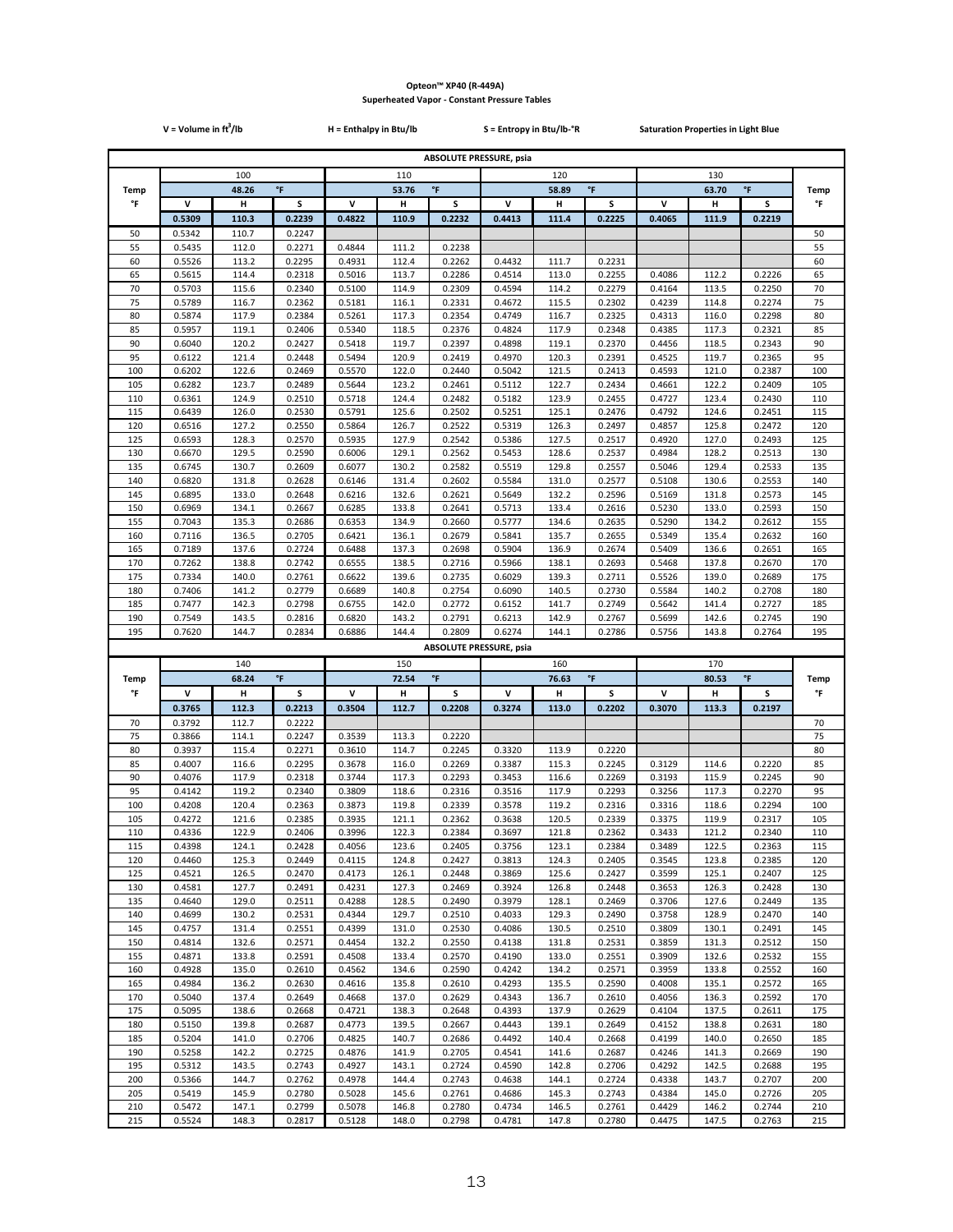|            | $V = Volume in ft3/lb$ |                |                  | H = Enthalpy in Btu/lb  |                |                                | S = Entropy in Btu/lb-°R       |                |                  | <b>Saturation Properties in Light Blue</b> |                |                         |                   |
|------------|------------------------|----------------|------------------|-------------------------|----------------|--------------------------------|--------------------------------|----------------|------------------|--------------------------------------------|----------------|-------------------------|-------------------|
|            |                        |                |                  |                         |                |                                | <b>ABSOLUTE PRESSURE, psia</b> |                |                  |                                            |                |                         |                   |
|            | 100                    |                |                  | 110                     |                |                                |                                | 120            |                  |                                            | 130            |                         |                   |
| Temp       |                        | 48.26          | $\mathsf{P}$     | $\,^{\circ}$ F<br>53.76 |                |                                | $^\circ \mathsf{F}$<br>58.89   |                |                  |                                            | 63.70          | $\,^{\circ}$ F          | <b>Temp</b>       |
| °F         | v                      | Н              | S                | V                       | н              | s                              | V                              | н              | s                | v                                          | н              | s                       | °F                |
|            | 0.5309                 | 110.3          | 0.2239           | 0.4822                  | 110.9          | 0.2232                         | 0.4413                         | 111.4          | 0.2225           | 0.4065                                     | 111.9          | 0.2219                  |                   |
| 50<br>55   | 0.5342<br>0.5435       | 110.7<br>112.0 | 0.2247<br>0.2271 | 0.4844                  | 111.2          | 0.2238                         |                                |                |                  |                                            |                |                         | 50<br>55          |
| 60         | 0.5526                 | 113.2          | 0.2295           | 0.4931                  | 112.4          | 0.2262                         | 0.4432                         | 111.7          | 0.2231           |                                            |                |                         | 60                |
| 65         | 0.5615                 | 114.4          | 0.2318           | 0.5016                  | 113.7          | 0.2286                         | 0.4514                         | 113.0          | 0.2255           | 0.4086                                     | 112.2          | 0.2226                  | 65                |
| 70         | 0.5703                 | 115.6          | 0.2340           | 0.5100                  | 114.9          | 0.2309                         | 0.4594                         | 114.2          | 0.2279           | 0.4164                                     | 113.5          | 0.2250                  | 70                |
| 75<br>80   | 0.5789<br>0.5874       | 116.7<br>117.9 | 0.2362<br>0.2384 | 0.5181<br>0.5261        | 116.1<br>117.3 | 0.2331<br>0.2354               | 0.4672<br>0.4749               | 115.5<br>116.7 | 0.2302<br>0.2325 | 0.4239<br>0.4313                           | 114.8<br>116.0 | 0.2274<br>0.2298        | 75<br>80          |
| 85         | 0.5957                 | 119.1          | 0.2406           | 0.5340                  | 118.5          | 0.2376                         | 0.4824                         | 117.9          | 0.2348           | 0.4385                                     | 117.3          | 0.2321                  | 85                |
| 90         | 0.6040                 | 120.2          | 0.2427           | 0.5418                  | 119.7          | 0.2397                         | 0.4898                         | 119.1          | 0.2370           | 0.4456                                     | 118.5          | 0.2343                  | 90                |
| 95         | 0.6122                 | 121.4          | 0.2448           | 0.5494                  | 120.9          | 0.2419                         | 0.4970                         | 120.3          | 0.2391           | 0.4525                                     | 119.7          | 0.2365                  | 95                |
| 100<br>105 | 0.6202<br>0.6282       | 122.6<br>123.7 | 0.2469<br>0.2489 | 0.5570<br>0.5644        | 122.0<br>123.2 | 0.2440<br>0.2461               | 0.5042<br>0.5112               | 121.5<br>122.7 | 0.2413<br>0.2434 | 0.4593<br>0.4661                           | 121.0<br>122.2 | 0.2387<br>0.2409        | 100<br>105        |
| 110        | 0.6361                 | 124.9          | 0.2510           | 0.5718                  | 124.4          | 0.2482                         | 0.5182                         | 123.9          | 0.2455           | 0.4727                                     | 123.4          | 0.2430                  | 110               |
| 115        | 0.6439                 | 126.0          | 0.2530           | 0.5791                  | 125.6          | 0.2502                         | 0.5251                         | 125.1          | 0.2476           | 0.4792                                     | 124.6          | 0.2451                  | 115               |
| 120        | 0.6516                 | 127.2          | 0.2550           | 0.5864                  | 126.7          | 0.2522                         | 0.5319                         | 126.3          | 0.2497           | 0.4857                                     | 125.8          | 0.2472                  | 120               |
| 125<br>130 | 0.6593<br>0.6670       | 128.3<br>129.5 | 0.2570<br>0.2590 | 0.5935<br>0.6006        | 127.9<br>129.1 | 0.2542<br>0.2562               | 0.5386<br>0.5453               | 127.5<br>128.6 | 0.2517<br>0.2537 | 0.4920<br>0.4984                           | 127.0<br>128.2 | 0.2493<br>0.2513        | 125<br>130        |
| 135        | 0.6745                 | 130.7          | 0.2609           | 0.6077                  | 130.2          | 0.2582                         | 0.5519                         | 129.8          | 0.2557           | 0.5046                                     | 129.4          | 0.2533                  | 135               |
| 140        | 0.6820                 | 131.8          | 0.2628           | 0.6146                  | 131.4          | 0.2602                         | 0.5584                         | 131.0          | 0.2577           | 0.5108                                     | 130.6          | 0.2553                  | 140               |
| 145        | 0.6895                 | 133.0          | 0.2648           | 0.6216                  | 132.6          | 0.2621                         | 0.5649                         | 132.2          | 0.2596           | 0.5169                                     | 131.8          | 0.2573                  | 145               |
| 150<br>155 | 0.6969<br>0.7043       | 134.1<br>135.3 | 0.2667<br>0.2686 | 0.6285<br>0.6353        | 133.8<br>134.9 | 0.2641<br>0.2660               | 0.5713<br>0.5777               | 133.4<br>134.6 | 0.2616<br>0.2635 | 0.5230<br>0.5290                           | 133.0<br>134.2 | 0.2593<br>0.2612        | 150<br>155        |
| 160        | 0.7116                 | 136.5          | 0.2705           | 0.6421                  | 136.1          | 0.2679                         | 0.5841                         | 135.7          | 0.2655           | 0.5349                                     | 135.4          | 0.2632                  | 160               |
| 165        | 0.7189                 | 137.6          | 0.2724           | 0.6488                  | 137.3          | 0.2698                         | 0.5904                         | 136.9          | 0.2674           | 0.5409                                     | 136.6          | 0.2651                  | 165               |
| 170        | 0.7262                 | 138.8          | 0.2742           | 0.6555                  | 138.5          | 0.2716                         | 0.5966                         | 138.1          | 0.2693           | 0.5468                                     | 137.8          | 0.2670                  | 170               |
| 175<br>180 | 0.7334<br>0.7406       | 140.0<br>141.2 | 0.2761<br>0.2779 | 0.6622<br>0.6689        | 139.6<br>140.8 | 0.2735<br>0.2754               | 0.6029<br>0.6090               | 139.3<br>140.5 | 0.2711<br>0.2730 | 0.5526<br>0.5584                           | 139.0<br>140.2 | 0.2689<br>0.2708        | 175<br>180        |
| 185        | 0.7477                 | 142.3          | 0.2798           | 0.6755                  | 142.0          | 0.2772                         | 0.6152                         | 141.7          | 0.2749           | 0.5642                                     | 141.4          | 0.2727                  | 185               |
| 190        | 0.7549                 | 143.5          | 0.2816           | 0.6820                  | 143.2          | 0.2791                         | 0.6213                         | 142.9          | 0.2767           | 0.5699                                     | 142.6          | 0.2745                  | 190               |
|            |                        |                |                  |                         |                |                                |                                |                |                  |                                            |                |                         |                   |
| 195        | 0.7620                 | 144.7          | 0.2834           | 0.6886                  | 144.4          | 0.2809                         | 0.6274                         | 144.1          | 0.2786           | 0.5756                                     | 143.8          | 0.2764                  | 195               |
|            |                        |                |                  |                         |                | <b>ABSOLUTE PRESSURE, psia</b> |                                |                |                  |                                            |                |                         |                   |
|            |                        | 140            |                  |                         | 150            |                                |                                | 160            |                  |                                            | 170            |                         |                   |
| Temp<br>°F | v                      | 68.24<br>н     | °F<br>S          | v                       | 72.54<br>н     | $^\circ \mathsf{F}$<br>s       | v                              | 76.63<br>н     | °F<br>s          | V                                          | 80.53<br>н     | $^\circ\mathsf{F}$<br>s | <b>Temp</b><br>°F |
|            | 0.3765                 | 112.3          | 0.2213           | 0.3504                  | 112.7          | 0.2208                         | 0.3274                         | 113.0          | 0.2202           | 0.3070                                     | 113.3          | 0.2197                  |                   |
| 70         | 0.3792                 | 112.7          | 0.2222           |                         |                |                                |                                |                |                  |                                            |                |                         | 70                |
| 75         | 0.3866                 | 114.1          | 0.2247           | 0.3539                  | 113.3          | 0.2220                         |                                |                |                  |                                            |                |                         | 75                |
| 80<br>85   | 0.3937<br>0.4007       | 115.4<br>116.6 | 0.2271<br>0.2295 | 0.3610<br>0.3678        | 114.7<br>116.0 | 0.2245<br>0.2269               | 0.3320<br>0.3387               | 113.9<br>115.3 | 0.2220<br>0.2245 |                                            | 114.6          | 0.2220                  | 80<br>85          |
| 90         | 0.4076                 | 117.9          | 0.2318           | 0.3744                  | 117.3          | 0.2293                         | 0.3453                         | 116.6          | 0.2269           | 0.3129<br>0.3193                           | 115.9          | 0.2245                  | 90                |
| 95         | 0.4142                 | 119.2          | 0.2340           | 0.3809                  | 118.6          | 0.2316                         | 0.3516                         | 117.9          | 0.2293           | 0.3256                                     | 117.3          | 0.2270                  | 95                |
| 100        | 0.4208                 | 120.4          | 0.2363           | 0.3873                  | 119.8          | 0.2339                         | 0.3578                         | 119.2          | 0.2316           | 0.3316                                     | 118.6          | 0.2294                  | 100               |
| 105<br>110 | 0.4272<br>0.4336       | 121.6<br>122.9 | 0.2385<br>0.2406 | 0.3935<br>0.3996        | 121.1<br>122.3 | 0.2362<br>0.2384               | 0.3638<br>0.3697               | 120.5<br>121.8 | 0.2339<br>0.2362 | 0.3375<br>0.3433                           | 119.9<br>121.2 | 0.2317<br>0.2340        | 105<br>110        |
| 115        | 0.4398                 | 124.1          | 0.2428           | 0.4056                  | 123.6          | 0.2405                         | 0.3756                         | 123.1          | 0.2384           | 0.3489                                     | 122.5          | 0.2363                  | 115               |
| 120        | 0.4460                 | 125.3          | 0.2449           | 0.4115                  | 124.8          | 0.2427                         | 0.3813                         | 124.3          | 0.2405           | 0.3545                                     | 123.8          | 0.2385                  | 120               |
| 125        | 0.4521                 | 126.5          | 0.2470           | 0.4173                  | 126.1          | 0.2448                         | 0.3869                         | 125.6          | 0.2427           | 0.3599                                     | 125.1          | 0.2407                  | 125               |
| 130<br>135 | 0.4581<br>0.4640       | 127.7<br>129.0 | 0.2491<br>0.2511 | 0.4231<br>0.4288        | 127.3<br>128.5 | 0.2469<br>0.2490               | 0.3924<br>0.3979               | 126.8<br>128.1 | 0.2448<br>0.2469 | 0.3653<br>0.3706                           | 126.3<br>127.6 | 0.2428<br>0.2449        | 130<br>135        |
| 140        | 0.4699                 | 130.2          | 0.2531           | 0.4344                  | 129.7          | 0.2510                         | 0.4033                         | 129.3          | 0.2490           | 0.3758                                     | 128.9          | 0.2470                  | 140               |
| 145        | 0.4757                 | 131.4          | 0.2551           | 0.4399                  | 131.0          | 0.2530                         | 0.4086                         | 130.5          | 0.2510           | 0.3809                                     | 130.1          | 0.2491                  | 145               |
| 150        | 0.4814                 | 132.6          | 0.2571           | 0.4454                  | 132.2          | 0.2550                         | 0.4138                         | 131.8          | 0.2531           | 0.3859                                     | 131.3          | 0.2512                  | 150               |
| 155<br>160 | 0.4871<br>0.4928       | 133.8<br>135.0 | 0.2591<br>0.2610 | 0.4508<br>0.4562        | 133.4<br>134.6 | 0.2570<br>0.2590               | 0.4190<br>0.4242               | 133.0<br>134.2 | 0.2551<br>0.2571 | 0.3909<br>0.3959                           | 132.6<br>133.8 | 0.2532<br>0.2552        | 155<br>160        |
| 165        | 0.4984                 | 136.2          | 0.2630           | 0.4616                  | 135.8          | 0.2610                         | 0.4293                         | 135.5          | 0.2590           | 0.4008                                     | 135.1          | 0.2572                  | 165               |
| 170        | 0.5040                 | 137.4          | 0.2649           | 0.4668                  | 137.0          | 0.2629                         | 0.4343                         | 136.7          | 0.2610           | 0.4056                                     | 136.3          | 0.2592                  | 170               |
| 175        | 0.5095                 | 138.6          | 0.2668           | 0.4721                  | 138.3          | 0.2648                         | 0.4393                         | 137.9          | 0.2629           | 0.4104                                     | 137.5          | 0.2611                  | 175               |
| 180<br>185 | 0.5150<br>0.5204       | 139.8<br>141.0 | 0.2687<br>0.2706 | 0.4773<br>0.4825        | 139.5<br>140.7 | 0.2667<br>0.2686               | 0.4443<br>0.4492               | 139.1<br>140.4 | 0.2649<br>0.2668 | 0.4152<br>0.4199                           | 138.8<br>140.0 | 0.2631<br>0.2650        | 180<br>185        |
| 190        | 0.5258                 | 142.2          | 0.2725           | 0.4876                  | 141.9          | 0.2705                         | 0.4541                         | 141.6          | 0.2687           | 0.4246                                     | 141.3          | 0.2669                  | 190               |
| 195        | 0.5312                 | 143.5          | 0.2743           | 0.4927                  | 143.1          | 0.2724                         | 0.4590                         | 142.8          | 0.2706           | 0.4292                                     | 142.5          | 0.2688                  | 195               |
| 200        | 0.5366                 | 144.7          | 0.2762           | 0.4978                  | 144.4          | 0.2743                         | 0.4638                         | 144.1          | 0.2724           | 0.4338                                     | 143.7          | 0.2707                  | 200               |
| 205<br>210 | 0.5419<br>0.5472       | 145.9<br>147.1 | 0.2780<br>0.2799 | 0.5028<br>0.5078        | 145.6<br>146.8 | 0.2761<br>0.2780               | 0.4686<br>0.4734               | 145.3<br>146.5 | 0.2743<br>0.2761 | 0.4384<br>0.4429                           | 145.0<br>146.2 | 0.2726<br>0.2744        | 205<br>210        |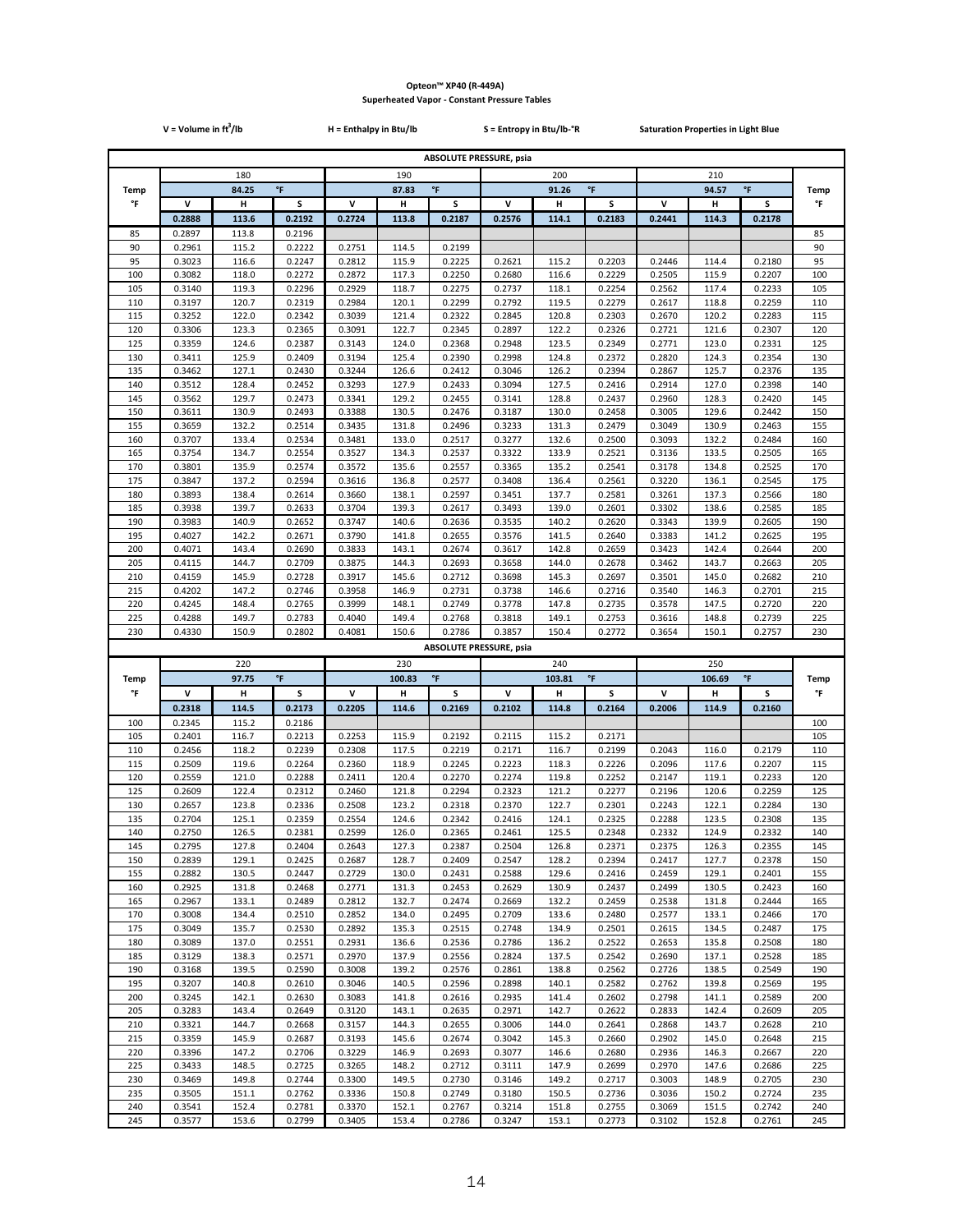|            | $V = Volume in ft3/lb$ |                |                  | H = Enthalpy in Btu/lb  |                |                                | S = Entropy in Btu/lb-°R     |                |                          | <b>Saturation Properties in Light Blue</b> |                |                     |                   |
|------------|------------------------|----------------|------------------|-------------------------|----------------|--------------------------------|------------------------------|----------------|--------------------------|--------------------------------------------|----------------|---------------------|-------------------|
|            |                        |                |                  |                         |                | <b>ABSOLUTE PRESSURE, psia</b> |                              |                |                          |                                            |                |                     |                   |
|            | 180                    |                |                  | 190                     |                |                                | 200                          |                |                          |                                            | 210            |                     |                   |
| Temp       |                        | 84.25          | $\mathsf{P}$     | $\,^{\circ}$ F<br>87.83 |                |                                | $^\circ \mathsf{F}$<br>91.26 |                |                          |                                            | 94.57          | $\,^{\circ}$ F      | <b>Temp</b>       |
| °F         | v                      | н              | S                | V                       | н              | s                              | V                            | н              | s                        | v                                          | н              | s                   | °F                |
|            | 0.2888                 | 113.6          | 0.2192           | 0.2724                  | 113.8          | 0.2187                         | 0.2576                       | 114.1          | 0.2183                   | 0.2441                                     | 114.3          | 0.2178              |                   |
| 85<br>90   | 0.2897                 | 113.8<br>115.2 | 0.2196<br>0.2222 | 0.2751                  | 114.5          | 0.2199                         |                              |                |                          |                                            |                |                     | 85<br>90          |
| 95         | 0.2961<br>0.3023       | 116.6          | 0.2247           | 0.2812                  | 115.9          | 0.2225                         | 0.2621                       | 115.2          | 0.2203                   | 0.2446                                     | 114.4          | 0.2180              | 95                |
| 100        | 0.3082                 | 118.0          | 0.2272           | 0.2872                  | 117.3          | 0.2250                         | 0.2680                       | 116.6          | 0.2229                   | 0.2505                                     | 115.9          | 0.2207              | 100               |
| 105        | 0.3140                 | 119.3          | 0.2296           | 0.2929                  | 118.7          | 0.2275                         | 0.2737                       | 118.1          | 0.2254                   | 0.2562                                     | 117.4          | 0.2233              | 105               |
| 110        | 0.3197                 | 120.7          | 0.2319           | 0.2984                  | 120.1          | 0.2299                         | 0.2792                       | 119.5          | 0.2279                   | 0.2617                                     | 118.8          | 0.2259              | 110               |
| 115<br>120 | 0.3252<br>0.3306       | 122.0<br>123.3 | 0.2342<br>0.2365 | 0.3039<br>0.3091        | 121.4<br>122.7 | 0.2322<br>0.2345               | 0.2845<br>0.2897             | 120.8<br>122.2 | 0.2303<br>0.2326         | 0.2670<br>0.2721                           | 120.2<br>121.6 | 0.2283<br>0.2307    | 115<br>120        |
| 125        | 0.3359                 | 124.6          | 0.2387           | 0.3143                  | 124.0          | 0.2368                         | 0.2948                       | 123.5          | 0.2349                   | 0.2771                                     | 123.0          | 0.2331              | 125               |
| 130        | 0.3411                 | 125.9          | 0.2409           | 0.3194                  | 125.4          | 0.2390                         | 0.2998                       | 124.8          | 0.2372                   | 0.2820                                     | 124.3          | 0.2354              | 130               |
| 135        | 0.3462                 | 127.1          | 0.2430           | 0.3244                  | 126.6          | 0.2412                         | 0.3046                       | 126.2          | 0.2394                   | 0.2867                                     | 125.7          | 0.2376              | 135               |
| 140        | 0.3512                 | 128.4          | 0.2452           | 0.3293                  | 127.9          | 0.2433                         | 0.3094                       | 127.5          | 0.2416                   | 0.2914                                     | 127.0          | 0.2398              | 140               |
| 145<br>150 | 0.3562<br>0.3611       | 129.7<br>130.9 | 0.2473<br>0.2493 | 0.3341<br>0.3388        | 129.2<br>130.5 | 0.2455<br>0.2476               | 0.3141<br>0.3187             | 128.8<br>130.0 | 0.2437<br>0.2458         | 0.2960<br>0.3005                           | 128.3<br>129.6 | 0.2420<br>0.2442    | 145<br>150        |
| 155        | 0.3659                 | 132.2          | 0.2514           | 0.3435                  | 131.8          | 0.2496                         | 0.3233                       | 131.3          | 0.2479                   | 0.3049                                     | 130.9          | 0.2463              | 155               |
| 160        | 0.3707                 | 133.4          | 0.2534           | 0.3481                  | 133.0          | 0.2517                         | 0.3277                       | 132.6          | 0.2500                   | 0.3093                                     | 132.2          | 0.2484              | 160               |
| 165        | 0.3754                 | 134.7          | 0.2554           | 0.3527                  | 134.3          | 0.2537                         | 0.3322                       | 133.9          | 0.2521                   | 0.3136                                     | 133.5          | 0.2505              | 165               |
| 170        | 0.3801                 | 135.9          | 0.2574           | 0.3572                  | 135.6          | 0.2557                         | 0.3365                       | 135.2          | 0.2541                   | 0.3178                                     | 134.8          | 0.2525              | 170               |
| 175<br>180 | 0.3847<br>0.3893       | 137.2<br>138.4 | 0.2594<br>0.2614 | 0.3616<br>0.3660        | 136.8<br>138.1 | 0.2577<br>0.2597               | 0.3408<br>0.3451             | 136.4<br>137.7 | 0.2561<br>0.2581         | 0.3220<br>0.3261                           | 136.1<br>137.3 | 0.2545<br>0.2566    | 175<br>180        |
| 185        | 0.3938                 | 139.7          | 0.2633           | 0.3704                  | 139.3          | 0.2617                         | 0.3493                       | 139.0          | 0.2601                   | 0.3302                                     | 138.6          | 0.2585              | 185               |
| 190        | 0.3983                 | 140.9          | 0.2652           | 0.3747                  | 140.6          | 0.2636                         | 0.3535                       | 140.2          | 0.2620                   | 0.3343                                     | 139.9          | 0.2605              | 190               |
| 195        | 0.4027                 | 142.2          | 0.2671           | 0.3790                  | 141.8          | 0.2655                         | 0.3576                       | 141.5          | 0.2640                   | 0.3383                                     | 141.2          | 0.2625              | 195               |
| 200        | 0.4071                 | 143.4          | 0.2690           | 0.3833                  | 143.1          | 0.2674                         | 0.3617                       | 142.8          | 0.2659                   | 0.3423                                     | 142.4          | 0.2644              | 200               |
| 205<br>210 | 0.4115<br>0.4159       | 144.7<br>145.9 | 0.2709<br>0.2728 | 0.3875<br>0.3917        | 144.3<br>145.6 | 0.2693<br>0.2712               | 0.3658<br>0.3698             | 144.0<br>145.3 | 0.2678<br>0.2697         | 0.3462<br>0.3501                           | 143.7<br>145.0 | 0.2663<br>0.2682    | 205<br>210        |
| 215        | 0.4202                 | 147.2          | 0.2746           | 0.3958                  | 146.9          | 0.2731                         | 0.3738                       | 146.6          | 0.2716                   | 0.3540                                     | 146.3          | 0.2701              | 215               |
| 220        | 0.4245                 | 148.4          | 0.2765           | 0.3999                  | 148.1          | 0.2749                         | 0.3778                       | 147.8          | 0.2735                   | 0.3578                                     | 147.5          | 0.2720              | 220               |
| 225        | 0.4288                 | 149.7          | 0.2783           | 0.4040                  | 149.4          | 0.2768                         | 0.3818                       | 149.1          | 0.2753                   | 0.3616                                     | 148.8          | 0.2739              | 225               |
|            |                        |                |                  |                         |                |                                |                              |                |                          |                                            |                |                     |                   |
| 230        | 0.4330                 | 150.9          | 0.2802           | 0.4081                  | 150.6          | 0.2786                         | 0.3857                       | 150.4          | 0.2772                   | 0.3654                                     | 150.1          | 0.2757              | 230               |
|            |                        |                |                  |                         |                | <b>ABSOLUTE PRESSURE, psia</b> |                              |                |                          |                                            |                |                     |                   |
|            |                        | 220            |                  |                         | 230            |                                |                              | 240            |                          |                                            | 250            |                     |                   |
| Temp<br>°F | v                      | 97.75<br>н     | °F<br>S          | v                       | 100.83<br>н    | $^\circ \mathsf{F}$<br>s       | v                            | 103.81<br>н    | $^\circ \mathsf{F}$<br>s | V                                          | 106.69<br>н    | $\,^{\circ}$ F<br>s | <b>Temp</b><br>°F |
|            | 0.2318                 | 114.5          | 0.2173           | 0.2205                  | 114.6          | 0.2169                         | 0.2102                       | 114.8          | 0.2164                   | 0.2006                                     | 114.9          | 0.2160              |                   |
| 100        | 0.2345                 | 115.2          | 0.2186           |                         |                |                                |                              |                |                          |                                            |                |                     | 100               |
| 105        | 0.2401                 | 116.7          | 0.2213           | 0.2253                  | 115.9          | 0.2192                         | 0.2115                       | 115.2          | 0.2171                   |                                            |                |                     | 105               |
| 110        | 0.2456                 | 118.2          | 0.2239           | 0.2308                  | 117.5          | 0.2219                         | 0.2171                       | 116.7          | 0.2199                   | 0.2043                                     | 116.0          | 0.2179              | 110               |
| 115        | 0.2509                 | 119.6          | 0.2264           | 0.2360                  | 118.9          | 0.2245                         | 0.2223                       | 118.3          | 0.2226                   | 0.2096                                     | 117.6          | 0.2207              | 115               |
| 120<br>125 | 0.2559<br>0.2609       | 121.0<br>122.4 | 0.2288<br>0.2312 | 0.2411<br>0.2460        | 120.4<br>121.8 | 0.2270<br>0.2294               | 0.2274<br>0.2323             | 119.8<br>121.2 | 0.2252<br>0.2277         | 0.2147<br>0.2196                           | 119.1<br>120.6 | 0.2233<br>0.2259    | 120<br>125        |
| 130        | 0.2657                 | 123.8          | 0.2336           | 0.2508                  | 123.2          | 0.2318                         | 0.2370                       | 122.7          | 0.2301                   | 0.2243                                     | 122.1          | 0.2284              | 130               |
| 135        | 0.2704                 | 125.1          | 0.2359           | 0.2554                  | 124.6          | 0.2342                         | 0.2416                       | 124.1          | 0.2325                   | 0.2288                                     | 123.5          | 0.2308              | 135               |
| 140        | 0.2750                 | 126.5          | 0.2381           | 0.2599                  | 126.0          | 0.2365                         | 0.2461                       | 125.5          | 0.2348                   | 0.2332                                     | 124.9          | 0.2332              | 140               |
| 145<br>150 | 0.2795<br>0.2839       | 127.8<br>129.1 | 0.2404<br>0.2425 | 0.2643<br>0.2687        | 127.3<br>128.7 | 0.2387<br>0.2409               | 0.2504<br>0.2547             | 126.8<br>128.2 | 0.2371<br>0.2394         | 0.2375<br>0.2417                           | 126.3<br>127.7 | 0.2355<br>0.2378    | 145<br>150        |
| 155        | 0.2882                 | 130.5          | 0.2447           | 0.2729                  | 130.0          | 0.2431                         | 0.2588                       | 129.6          | 0.2416                   | 0.2459                                     | 129.1          | 0.2401              | 155               |
| 160        | 0.2925                 | 131.8          | 0.2468           | 0.2771                  | 131.3          | 0.2453                         | 0.2629                       | 130.9          | 0.2437                   | 0.2499                                     | 130.5          | 0.2423              | 160               |
| 165        | 0.2967                 | 133.1          | 0.2489           | 0.2812                  | 132.7          | 0.2474                         | 0.2669                       | 132.2          | 0.2459                   | 0.2538                                     | 131.8          | 0.2444              | 165               |
| 170        | 0.3008                 | 134.4          | 0.2510           | 0.2852                  | 134.0          | 0.2495                         | 0.2709                       | 133.6          | 0.2480                   | 0.2577                                     | 133.1          | 0.2466              | 170               |
| 175<br>180 | 0.3049<br>0.3089       | 135.7<br>137.0 | 0.2530<br>0.2551 | 0.2892<br>0.2931        | 135.3<br>136.6 | 0.2515<br>0.2536               | 0.2748<br>0.2786             | 134.9<br>136.2 | 0.2501<br>0.2522         | 0.2615<br>0.2653                           | 134.5<br>135.8 | 0.2487<br>0.2508    | 175<br>180        |
| 185        | 0.3129                 | 138.3          | 0.2571           | 0.2970                  | 137.9          | 0.2556                         | 0.2824                       | 137.5          | 0.2542                   | 0.2690                                     | 137.1          | 0.2528              | 185               |
| 190        | 0.3168                 | 139.5          | 0.2590           | 0.3008                  | 139.2          | 0.2576                         | 0.2861                       | 138.8          | 0.2562                   | 0.2726                                     | 138.5          | 0.2549              | 190               |
| 195        | 0.3207                 | 140.8          | 0.2610           | 0.3046                  | 140.5          | 0.2596                         | 0.2898                       | 140.1          | 0.2582                   | 0.2762                                     | 139.8          | 0.2569              | 195               |
| 200        | 0.3245                 | 142.1          | 0.2630           | 0.3083                  | 141.8          | 0.2616                         | 0.2935                       | 141.4          | 0.2602                   | 0.2798                                     | 141.1          | 0.2589              | 200               |
| 205<br>210 | 0.3283<br>0.3321       | 143.4<br>144.7 | 0.2649<br>0.2668 | 0.3120<br>0.3157        | 143.1<br>144.3 | 0.2635<br>0.2655               | 0.2971<br>0.3006             | 142.7<br>144.0 | 0.2622<br>0.2641         | 0.2833<br>0.2868                           | 142.4<br>143.7 | 0.2609<br>0.2628    | 205<br>210        |
| 215        | 0.3359                 | 145.9          | 0.2687           | 0.3193                  | 145.6          | 0.2674                         | 0.3042                       | 145.3          | 0.2660                   | 0.2902                                     | 145.0          | 0.2648              | 215               |
| 220        | 0.3396                 | 147.2          | 0.2706           | 0.3229                  | 146.9          | 0.2693                         | 0.3077                       | 146.6          | 0.2680                   | 0.2936                                     | 146.3          | 0.2667              | 220               |
| 225        | 0.3433                 | 148.5          | 0.2725           | 0.3265                  | 148.2          | 0.2712                         | 0.3111                       | 147.9          | 0.2699                   | 0.2970                                     | 147.6          | 0.2686              | 225               |
| 230        | 0.3469                 | 149.8          | 0.2744           | 0.3300                  | 149.5          | 0.2730                         | 0.3146                       | 149.2          | 0.2717                   | 0.3003                                     | 148.9          | 0.2705              | 230               |
| 235<br>240 | 0.3505<br>0.3541       | 151.1<br>152.4 | 0.2762<br>0.2781 | 0.3336<br>0.3370        | 150.8<br>152.1 | 0.2749<br>0.2767               | 0.3180<br>0.3214             | 150.5<br>151.8 | 0.2736<br>0.2755         | 0.3036<br>0.3069                           | 150.2<br>151.5 | 0.2724<br>0.2742    | 235<br>240        |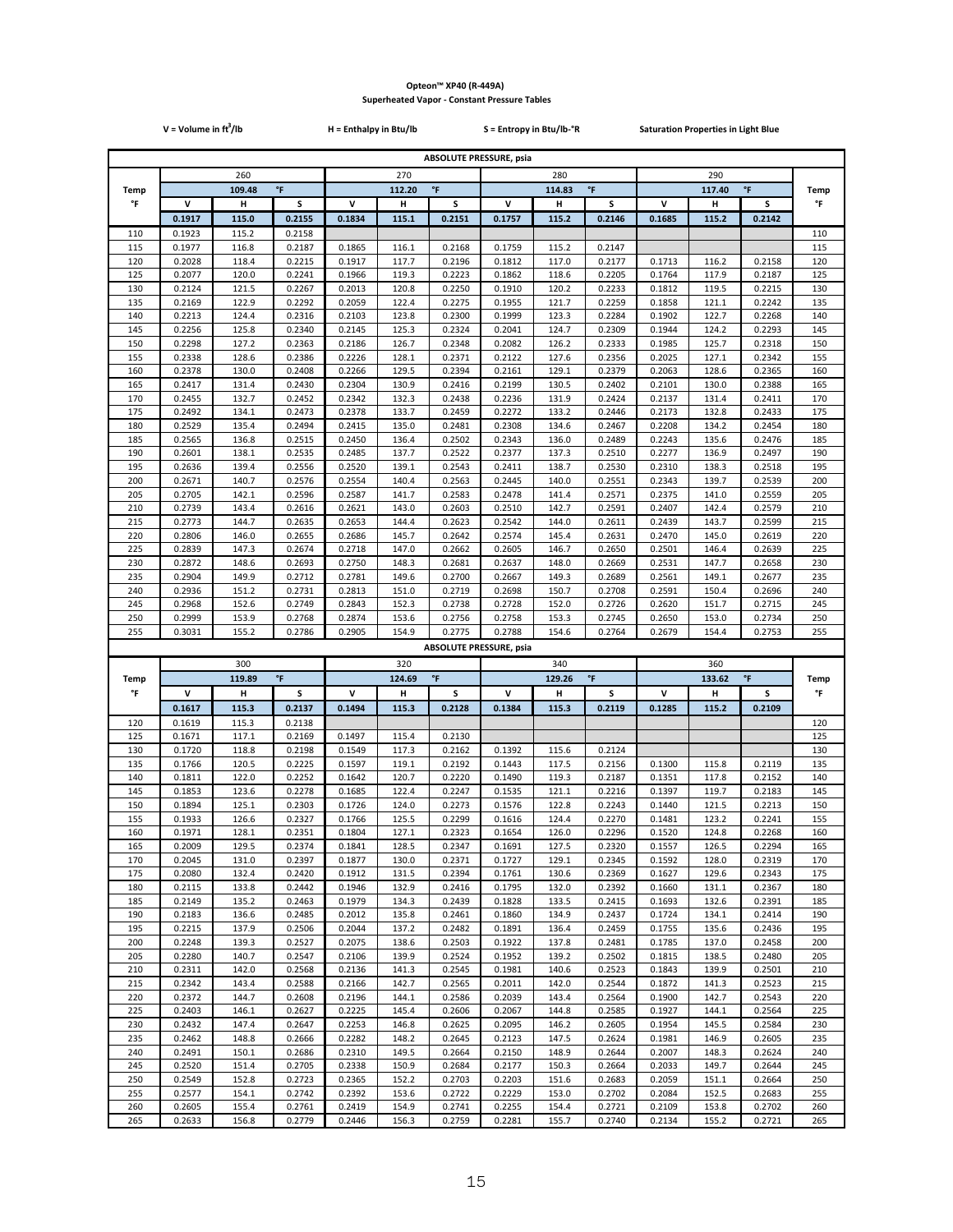|             | $V = Volume in ft3/lb$ |                |                    | H = Enthalpy in Btu/lb<br>S = Entropy in Btu/lb-°R<br><b>Saturation Properties in Light Blue</b> |                |                                          |                               |                |                     |                  |                |                    |             |
|-------------|------------------------|----------------|--------------------|--------------------------------------------------------------------------------------------------|----------------|------------------------------------------|-------------------------------|----------------|---------------------|------------------|----------------|--------------------|-------------|
|             |                        |                |                    |                                                                                                  |                | <b>ABSOLUTE PRESSURE, psia</b>           |                               |                |                     |                  |                |                    |             |
|             | 260                    |                |                    |                                                                                                  | 270            |                                          |                               | 280            |                     |                  | 290            |                    |             |
| <b>Temp</b> |                        | 109.48         | $^\circ\mathsf{F}$ |                                                                                                  | 112.20         | $\,^{\circ}$ F                           |                               | 114.83         | $^\circ \mathsf{F}$ |                  | 117.40         | $^\circ\mathsf{F}$ | <b>Temp</b> |
| °F          | v                      | н              | s                  | v                                                                                                | н              | s                                        | v                             | Н              | s                   | v                | н              | s                  | °F          |
|             | 0.1917                 | 115.0          | 0.2155             | 0.1834                                                                                           | 115.1          | 0.2151                                   | 0.1757                        | 115.2          | 0.2146              | 0.1685           | 115.2          | 0.2142             |             |
| 110<br>115  | 0.1923<br>0.1977       | 115.2<br>116.8 | 0.2158<br>0.2187   | 0.1865                                                                                           | 116.1          | 0.2168                                   | 0.1759                        | 115.2          | 0.2147              |                  |                |                    | 110<br>115  |
| 120         | 0.2028                 | 118.4          | 0.2215             | 0.1917                                                                                           | 117.7          | 0.2196                                   | 0.1812                        | 117.0          | 0.2177              | 0.1713           | 116.2          | 0.2158             | 120         |
| 125         | 0.2077                 | 120.0          | 0.2241             | 0.1966                                                                                           | 119.3          | 0.2223                                   | 0.1862                        | 118.6          | 0.2205              | 0.1764           | 117.9          | 0.2187             | 125         |
| 130         | 0.2124                 | 121.5          | 0.2267             | 0.2013                                                                                           | 120.8          | 0.2250                                   | 0.1910                        | 120.2          | 0.2233              | 0.1812           | 119.5          | 0.2215             | 130         |
| 135<br>140  | 0.2169<br>0.2213       | 122.9<br>124.4 | 0.2292<br>0.2316   | 0.2059<br>0.2103                                                                                 | 122.4<br>123.8 | 0.2275<br>0.2300                         | 0.1955<br>0.1999              | 121.7<br>123.3 | 0.2259<br>0.2284    | 0.1858<br>0.1902 | 121.1<br>122.7 | 0.2242<br>0.2268   | 135<br>140  |
| 145         | 0.2256                 | 125.8          | 0.2340             | 0.2145                                                                                           | 125.3          | 0.2324                                   | 0.2041                        | 124.7          | 0.2309              | 0.1944           | 124.2          | 0.2293             | 145         |
| 150         | 0.2298                 | 127.2          | 0.2363             | 0.2186                                                                                           | 126.7          | 0.2348                                   | 0.2082                        | 126.2          | 0.2333              | 0.1985           | 125.7          | 0.2318             | 150         |
| 155         | 0.2338                 | 128.6          | 0.2386             | 0.2226                                                                                           | 128.1          | 0.2371                                   | 0.2122                        | 127.6          | 0.2356              | 0.2025           | 127.1          | 0.2342             | 155         |
| 160<br>165  | 0.2378<br>0.2417       | 130.0<br>131.4 | 0.2408<br>0.2430   | 0.2266<br>0.2304                                                                                 | 129.5<br>130.9 | 0.2394<br>0.2416                         | 0.2161<br>0.2199              | 129.1<br>130.5 | 0.2379<br>0.2402    | 0.2063<br>0.2101 | 128.6<br>130.0 | 0.2365<br>0.2388   | 160<br>165  |
| 170         | 0.2455                 | 132.7          | 0.2452             | 0.2342                                                                                           | 132.3          | 0.2438                                   | 0.2236                        | 131.9          | 0.2424              | 0.2137           | 131.4          | 0.2411             | 170         |
| 175         | 0.2492                 | 134.1          | 0.2473             | 0.2378                                                                                           | 133.7          | 0.2459                                   | 0.2272                        | 133.2          | 0.2446              | 0.2173           | 132.8          | 0.2433             | 175         |
| 180<br>185  | 0.2529<br>0.2565       | 135.4<br>136.8 | 0.2494<br>0.2515   | 0.2415<br>0.2450                                                                                 | 135.0<br>136.4 | 0.2481<br>0.2502                         | 0.2308<br>0.2343              | 134.6<br>136.0 | 0.2467<br>0.2489    | 0.2208<br>0.2243 | 134.2<br>135.6 | 0.2454<br>0.2476   | 180<br>185  |
| 190         | 0.2601                 | 138.1          | 0.2535             | 0.2485                                                                                           | 137.7          | 0.2522                                   | 0.2377                        | 137.3          | 0.2510              | 0.2277           | 136.9          | 0.2497             | 190         |
| 195         | 0.2636                 | 139.4          | 0.2556             | 0.2520                                                                                           | 139.1          | 0.2543                                   | 0.2411                        | 138.7          | 0.2530              | 0.2310           | 138.3          | 0.2518             | 195         |
| 200         | 0.2671                 | 140.7          | 0.2576             | 0.2554                                                                                           | 140.4          | 0.2563                                   | 0.2445                        | 140.0          | 0.2551              | 0.2343           | 139.7          | 0.2539             | 200         |
| 205<br>210  | 0.2705<br>0.2739       | 142.1<br>143.4 | 0.2596<br>0.2616   | 0.2587<br>0.2621                                                                                 | 141.7<br>143.0 | 0.2583<br>0.2603                         | 0.2478<br>0.2510              | 141.4<br>142.7 | 0.2571<br>0.2591    | 0.2375<br>0.2407 | 141.0<br>142.4 | 0.2559<br>0.2579   | 205<br>210  |
| 215         | 0.2773                 | 144.7          | 0.2635             | 0.2653                                                                                           | 144.4          | 0.2623                                   | 0.2542                        | 144.0          | 0.2611              | 0.2439           | 143.7          | 0.2599             | 215         |
| 220         | 0.2806                 | 146.0          | 0.2655             | 0.2686                                                                                           | 145.7          | 0.2642                                   | 0.2574                        | 145.4          | 0.2631              | 0.2470           | 145.0          | 0.2619             | 220         |
| 225         | 0.2839                 | 147.3          | 0.2674             | 0.2718                                                                                           | 147.0          | 0.2662                                   | 0.2605                        | 146.7          | 0.2650              | 0.2501           | 146.4          | 0.2639             | 225         |
| 230<br>235  | 0.2872<br>0.2904       | 148.6<br>149.9 | 0.2693<br>0.2712   | 0.2750<br>0.2781                                                                                 | 148.3<br>149.6 | 0.2681<br>0.2700                         | 0.2637<br>0.2667              | 148.0<br>149.3 | 0.2669<br>0.2689    | 0.2531<br>0.2561 | 147.7<br>149.1 | 0.2658<br>0.2677   | 230<br>235  |
| 240         | 0.2936                 | 151.2          | 0.2731             | 0.2813                                                                                           | 151.0          | 0.2719                                   | 0.2698                        | 150.7          | 0.2708              | 0.2591           | 150.4          | 0.2696             | 240         |
| 245         | 0.2968                 | 152.6          | 0.2749             | 0.2843                                                                                           | 152.3          | 0.2738                                   | 0.2728                        | 152.0          | 0.2726              | 0.2620           | 151.7          | 0.2715             | 245         |
| 250         | 0.2999                 | 153.9          | 0.2768             | 0.2874                                                                                           | 153.6          | 0.2756                                   | 0.2758                        | 153.3          | 0.2745              | 0.2650           | 153.0          | 0.2734             | 250         |
| 255         | 0.3031                 | 155.2          | 0.2786             | 0.2905                                                                                           | 154.9          | 0.2775<br><b>ABSOLUTE PRESSURE, psia</b> | 0.2788                        | 154.6          | 0.2764              | 0.2679           | 154.4          | 0.2753             | 255         |
|             |                        | 300            |                    |                                                                                                  | 320            |                                          |                               | 340            |                     |                  | 360            |                    |             |
| Temp        |                        | 119.89         | °F                 | $^\circ \mathsf{F}$<br>124.69                                                                    |                |                                          | $^\circ \mathsf{F}$<br>129.26 |                |                     | °F<br>133.62     |                |                    | <b>Temp</b> |
| °F          | v                      | н              | s                  | v                                                                                                | н              | s                                        | v                             | н              | s                   | V                | н              | s                  | °F          |
|             | 0.1617                 | 115.3          | 0.2137             | 0.1494                                                                                           | 115.3          | 0.2128                                   | 0.1384                        | 115.3          | 0.2119              | 0.1285           | 115.2          | 0.2109             |             |
| 120<br>125  | 0.1619<br>0.1671       | 115.3<br>117.1 | 0.2138<br>0.2169   | 0.1497                                                                                           | 115.4          | 0.2130                                   |                               |                |                     |                  |                |                    | 120<br>125  |
| 130         | 0.1720                 | 118.8          | 0.2198             | 0.1549                                                                                           | 117.3          | 0.2162                                   | 0.1392                        | 115.6          | 0.2124              |                  |                |                    | 130         |
| 135         | 0.1766                 | 120.5          | 0.2225             | 0.1597                                                                                           | 119.1          | 0.2192                                   | 0.1443                        | 117.5          | 0.2156              | 0.1300           | 115.8          | 0.2119             | 135         |
| 140         | 0.1811                 | 122.0          | 0.2252             | 0.1642                                                                                           | 120.7          | 0.2220                                   | 0.1490                        | 119.3          | 0.2187              | 0.1351           | 117.8          | 0.2152             | 140         |
| 145<br>150  | 0.1853<br>0.1894       | 123.6<br>125.1 | 0.2278<br>0.2303   | 0.1685<br>0.1726                                                                                 | 122.4<br>124.0 | 0.2247<br>0.2273                         | 0.1535<br>0.1576              | 121.1<br>122.8 | 0.2216<br>0.2243    | 0.1397<br>0.1440 | 119.7<br>121.5 | 0.2183<br>0.2213   | 145<br>150  |
| 155         | 0.1933                 | 126.6          | 0.2327             | 0.1766                                                                                           | 125.5          | 0.2299                                   | 0.1616                        | 124.4          | 0.2270              | 0.1481           | 123.2          | 0.2241             | 155         |
| 160         | 0.1971                 | 128.1          | 0.2351             | 0.1804                                                                                           | 127.1          | 0.2323                                   | 0.1654                        | 126.0          | 0.2296              | 0.1520           | 124.8          | 0.2268             | 160         |
| 165<br>170  | 0.2009<br>0.2045       | 129.5<br>131.0 | 0.2374<br>0.2397   | 0.1841<br>0.1877                                                                                 | 128.5          | 0.2347<br>0.2371                         | 0.1691<br>0.1727              | 127.5<br>129.1 | 0.2320<br>0.2345    | 0.1557<br>0.1592 | 126.5<br>128.0 | 0.2294<br>0.2319   | 165<br>170  |
| 175         | 0.2080                 | 132.4          | 0.2420             | 0.1912                                                                                           | 130.0<br>131.5 | 0.2394                                   | 0.1761                        | 130.6          | 0.2369              | 0.1627           | 129.6          | 0.2343             | 175         |
| 180         | 0.2115                 | 133.8          | 0.2442             | 0.1946                                                                                           | 132.9          | 0.2416                                   | 0.1795                        | 132.0          | 0.2392              | 0.1660           | 131.1          | 0.2367             | 180         |
| 185         | 0.2149                 | 135.2          | 0.2463             | 0.1979                                                                                           | 134.3          | 0.2439                                   | 0.1828                        | 133.5          | 0.2415              | 0.1693           | 132.6          | 0.2391             | 185         |
| 190<br>195  | 0.2183<br>0.2215       | 136.6          | 0.2485<br>0.2506   | 0.2012<br>0.2044                                                                                 | 135.8          | 0.2461<br>0.2482                         | 0.1860                        | 134.9          | 0.2437              | 0.1724           | 134.1<br>135.6 | 0.2414             | 190<br>195  |
| 200         | 0.2248                 | 137.9<br>139.3 | 0.2527             | 0.2075                                                                                           | 137.2<br>138.6 | 0.2503                                   | 0.1891<br>0.1922              | 136.4<br>137.8 | 0.2459<br>0.2481    | 0.1755<br>0.1785 | 137.0          | 0.2436<br>0.2458   | 200         |
| 205         | 0.2280                 | 140.7          | 0.2547             | 0.2106                                                                                           | 139.9          | 0.2524                                   | 0.1952                        | 139.2          | 0.2502              | 0.1815           | 138.5          | 0.2480             | 205         |
| 210         | 0.2311                 | 142.0          | 0.2568             | 0.2136                                                                                           | 141.3          | 0.2545                                   | 0.1981                        | 140.6          | 0.2523              | 0.1843           | 139.9          | 0.2501             | 210         |
| 215<br>220  | 0.2342<br>0.2372       | 143.4<br>144.7 | 0.2588<br>0.2608   | 0.2166<br>0.2196                                                                                 | 142.7<br>144.1 | 0.2565<br>0.2586                         | 0.2011<br>0.2039              | 142.0<br>143.4 | 0.2544<br>0.2564    | 0.1872<br>0.1900 | 141.3<br>142.7 | 0.2523<br>0.2543   | 215<br>220  |
| 225         | 0.2403                 | 146.1          | 0.2627             | 0.2225                                                                                           | 145.4          | 0.2606                                   | 0.2067                        | 144.8          | 0.2585              | 0.1927           | 144.1          | 0.2564             | 225         |
| 230         | 0.2432                 | 147.4          | 0.2647             | 0.2253                                                                                           | 146.8          | 0.2625                                   | 0.2095                        | 146.2          | 0.2605              | 0.1954           | 145.5          | 0.2584             | 230         |
| 235         | 0.2462                 | 148.8          | 0.2666             | 0.2282                                                                                           | 148.2          | 0.2645                                   | 0.2123                        | 147.5          | 0.2624              | 0.1981           | 146.9          | 0.2605             | 235         |
| 240<br>245  | 0.2491<br>0.2520       | 150.1<br>151.4 | 0.2686<br>0.2705   | 0.2310<br>0.2338                                                                                 | 149.5<br>150.9 | 0.2664<br>0.2684                         | 0.2150<br>0.2177              | 148.9<br>150.3 | 0.2644<br>0.2664    | 0.2007<br>0.2033 | 148.3<br>149.7 | 0.2624<br>0.2644   | 240<br>245  |
| 250         | 0.2549                 | 152.8          | 0.2723             | 0.2365                                                                                           | 152.2          | 0.2703                                   | 0.2203                        | 151.6          | 0.2683              | 0.2059           | 151.1          | 0.2664             | 250         |
| 255         | 0.2577                 | 154.1          | 0.2742             | 0.2392                                                                                           | 153.6          | 0.2722                                   | 0.2229                        | 153.0          | 0.2702              | 0.2084           | 152.5          | 0.2683             | 255         |
| 260         | 0.2605<br>0.2633       | 155.4<br>156.8 | 0.2761             | 0.2419                                                                                           | 154.9          | 0.2741                                   | 0.2255                        | 154.4          | 0.2721              | 0.2109           | 153.8          | 0.2702             | 260         |
| 265         |                        |                | 0.2779             | 0.2446                                                                                           | 156.3          | 0.2759                                   | 0.2281                        | 155.7          | 0.2740              | 0.2134           | 155.2          | 0.2721             | 265         |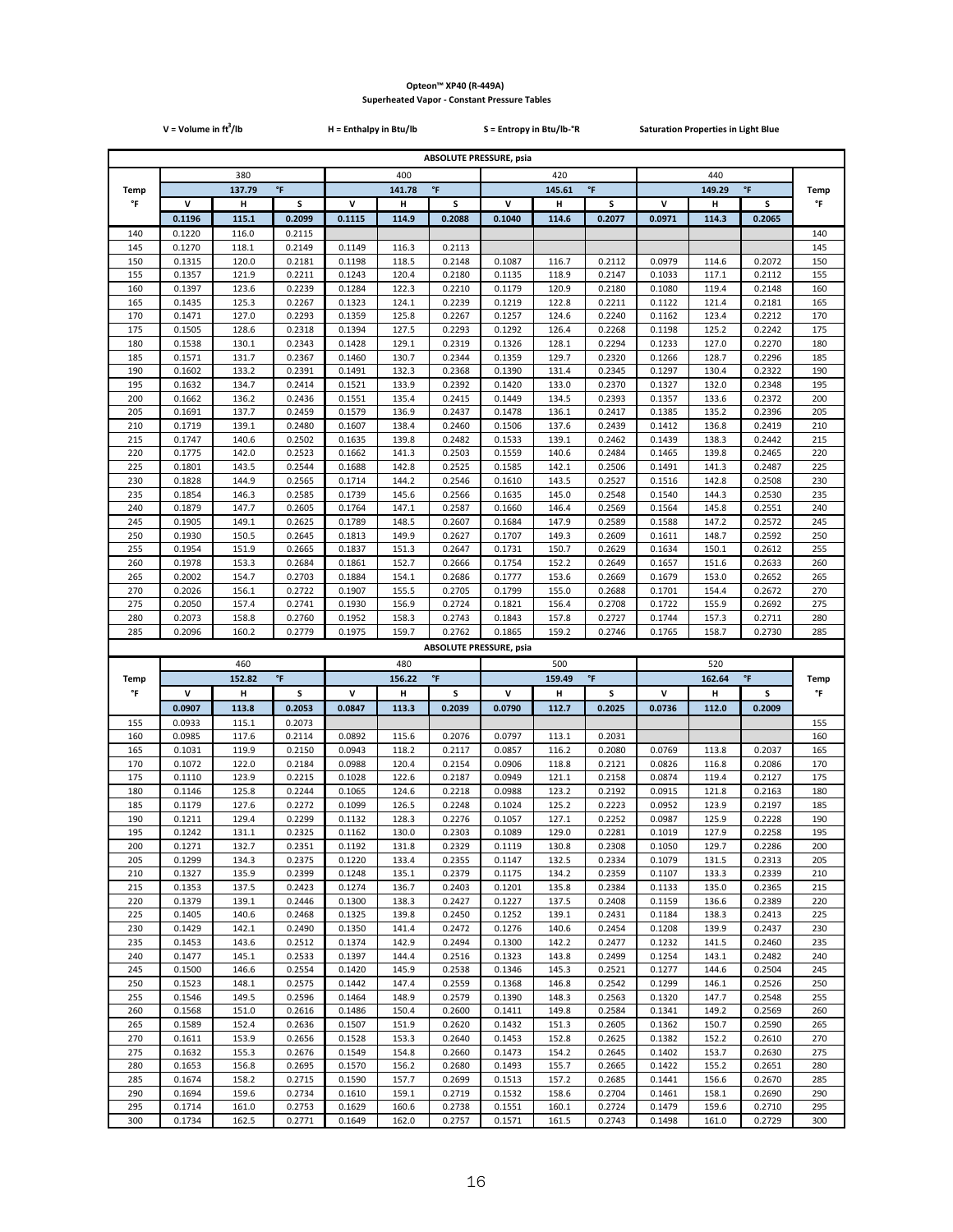|             | $V = Volume in ft3/lb$ |                |                     | H = Enthalpy in Btu/lb        |                |                                          | S = Entropy in Btu/lb-°R      |                |                     | <b>Saturation Properties in Light Blue</b> |                |                  |             |
|-------------|------------------------|----------------|---------------------|-------------------------------|----------------|------------------------------------------|-------------------------------|----------------|---------------------|--------------------------------------------|----------------|------------------|-------------|
|             |                        |                |                     |                               |                | <b>ABSOLUTE PRESSURE, psia</b>           |                               |                |                     |                                            |                |                  |             |
|             | 380                    |                |                     | 400                           |                |                                          | 420                           |                |                     |                                            |                |                  |             |
| <b>Temp</b> |                        | 137.79         | $\,^{\circ}$ F      | $\,^{\circ}$ F<br>141.78      |                |                                          |                               | 145.61         | $^\circ \mathsf{F}$ |                                            | 149.29         | $\,^{\circ}$ F   | <b>Temp</b> |
| °F          | V                      | н              | s                   | V                             | н              | S                                        | $\mathsf{v}$                  | Н              | S                   | V                                          | н              | s                | °F          |
|             | 0.1196                 | 115.1          | 0.2099              | 0.1115                        | 114.9          | 0.2088                                   | 0.1040                        | 114.6          | 0.2077              | 0.0971                                     | 114.3          | 0.2065           |             |
| 140<br>145  | 0.1220<br>0.1270       | 116.0<br>118.1 | 0.2115<br>0.2149    | 0.1149                        | 116.3          | 0.2113                                   |                               |                |                     |                                            |                |                  | 140<br>145  |
| 150         | 0.1315                 | 120.0          | 0.2181              | 0.1198                        | 118.5          | 0.2148                                   | 0.1087                        | 116.7          | 0.2112              | 0.0979                                     | 114.6          | 0.2072           | 150         |
| 155         | 0.1357                 | 121.9          | 0.2211              | 0.1243                        | 120.4          | 0.2180                                   | 0.1135                        | 118.9          | 0.2147              | 0.1033                                     | 117.1          | 0.2112           | 155         |
| 160         | 0.1397                 | 123.6          | 0.2239              | 0.1284                        | 122.3          | 0.2210                                   | 0.1179                        | 120.9          | 0.2180              | 0.1080                                     | 119.4          | 0.2148           | 160         |
| 165<br>170  | 0.1435<br>0.1471       | 125.3<br>127.0 | 0.2267<br>0.2293    | 0.1323<br>0.1359              | 124.1<br>125.8 | 0.2239<br>0.2267                         | 0.1219<br>0.1257              | 122.8<br>124.6 | 0.2211<br>0.2240    | 0.1122<br>0.1162                           | 121.4<br>123.4 | 0.2181<br>0.2212 | 165<br>170  |
| 175         | 0.1505                 | 128.6          | 0.2318              | 0.1394                        | 127.5          | 0.2293                                   | 0.1292                        | 126.4          | 0.2268              | 0.1198                                     | 125.2          | 0.2242           | 175         |
| 180         | 0.1538                 | 130.1          | 0.2343              | 0.1428                        | 129.1          | 0.2319                                   | 0.1326                        | 128.1          | 0.2294              | 0.1233                                     | 127.0          | 0.2270           | 180         |
| 185<br>190  | 0.1571<br>0.1602       | 131.7<br>133.2 | 0.2367<br>0.2391    | 0.1460<br>0.1491              | 130.7<br>132.3 | 0.2344<br>0.2368                         | 0.1359<br>0.1390              | 129.7<br>131.4 | 0.2320<br>0.2345    | 0.1266<br>0.1297                           | 128.7<br>130.4 | 0.2296<br>0.2322 | 185<br>190  |
| 195         | 0.1632                 | 134.7          | 0.2414              | 0.1521                        | 133.9          | 0.2392                                   | 0.1420                        | 133.0          | 0.2370              | 0.1327                                     | 132.0          | 0.2348           | 195         |
| 200         | 0.1662                 | 136.2          | 0.2436              | 0.1551                        | 135.4          | 0.2415                                   | 0.1449                        | 134.5          | 0.2393              | 0.1357                                     | 133.6          | 0.2372           | 200         |
| 205         | 0.1691                 | 137.7          | 0.2459              | 0.1579                        | 136.9          | 0.2437                                   | 0.1478                        | 136.1          | 0.2417              | 0.1385                                     | 135.2          | 0.2396           | 205         |
| 210<br>215  | 0.1719<br>0.1747       | 139.1<br>140.6 | 0.2480<br>0.2502    | 0.1607<br>0.1635              | 138.4<br>139.8 | 0.2460<br>0.2482                         | 0.1506<br>0.1533              | 137.6<br>139.1 | 0.2439<br>0.2462    | 0.1412<br>0.1439                           | 136.8<br>138.3 | 0.2419<br>0.2442 | 210<br>215  |
| 220         | 0.1775                 | 142.0          | 0.2523              | 0.1662                        | 141.3          | 0.2503                                   | 0.1559                        | 140.6          | 0.2484              | 0.1465                                     | 139.8          | 0.2465           | 220         |
| 225         | 0.1801                 | 143.5          | 0.2544              | 0.1688                        | 142.8          | 0.2525                                   | 0.1585                        | 142.1          | 0.2506              | 0.1491                                     | 141.3          | 0.2487           | 225         |
| 230         | 0.1828                 | 144.9          | 0.2565              | 0.1714                        | 144.2          | 0.2546                                   | 0.1610                        | 143.5          | 0.2527              | 0.1516                                     | 142.8          | 0.2508           | 230         |
| 235<br>240  | 0.1854<br>0.1879       | 146.3<br>147.7 | 0.2585<br>0.2605    | 0.1739<br>0.1764              | 145.6<br>147.1 | 0.2566<br>0.2587                         | 0.1635<br>0.1660              | 145.0<br>146.4 | 0.2548<br>0.2569    | 0.1540<br>0.1564                           | 144.3<br>145.8 | 0.2530<br>0.2551 | 235<br>240  |
| 245         | 0.1905                 | 149.1          | 0.2625              | 0.1789                        | 148.5          | 0.2607                                   | 0.1684                        | 147.9          | 0.2589              | 0.1588                                     | 147.2          | 0.2572           | 245         |
| 250         | 0.1930                 | 150.5          | 0.2645              | 0.1813                        | 149.9          | 0.2627                                   | 0.1707                        | 149.3          | 0.2609              | 0.1611                                     | 148.7          | 0.2592           | 250         |
| 255         | 0.1954                 | 151.9          | 0.2665              | 0.1837                        | 151.3          | 0.2647                                   | 0.1731                        | 150.7          | 0.2629              | 0.1634                                     | 150.1          | 0.2612           | 255         |
| 260<br>265  | 0.1978<br>0.2002       | 153.3<br>154.7 | 0.2684<br>0.2703    | 0.1861<br>0.1884              | 152.7<br>154.1 | 0.2666<br>0.2686                         | 0.1754<br>0.1777              | 152.2<br>153.6 | 0.2649<br>0.2669    | 0.1657<br>0.1679                           | 151.6<br>153.0 | 0.2633<br>0.2652 | 260<br>265  |
| 270         | 0.2026                 | 156.1          | 0.2722              | 0.1907                        | 155.5          | 0.2705                                   | 0.1799                        | 155.0          | 0.2688              | 0.1701                                     | 154.4          | 0.2672           | 270         |
| 275         | 0.2050                 | 157.4          | 0.2741              | 0.1930                        | 156.9          | 0.2724                                   | 0.1821                        | 156.4          | 0.2708              | 0.1722                                     | 155.9          | 0.2692           | 275         |
| 280         | 0.2073                 | 158.8          | 0.2760              | 0.1952                        | 158.3          | 0.2743                                   | 0.1843                        | 157.8          | 0.2727              | 0.1744                                     | 157.3          | 0.2711           | 280         |
| 285         | 0.2096                 | 160.2          | 0.2779              | 0.1975                        | 159.7          | 0.2762<br><b>ABSOLUTE PRESSURE, psia</b> | 0.1865                        | 159.2          | 0.2746              | 0.1765                                     | 158.7          | 0.2730           | 285         |
|             |                        | 460            |                     |                               | 480            |                                          |                               | 500            |                     |                                            | 520            |                  |             |
| Temp        |                        | 152.82         | $^\circ \mathsf{F}$ | $^\circ \mathsf{F}$<br>156.22 |                |                                          | $^\circ \mathsf{F}$<br>159.49 |                |                     | $^\circ\mathsf{F}$<br>162.64               |                |                  | <b>Temp</b> |
| °F          | v                      | н              | s                   | v                             | н              | s                                        | v                             | н              | s                   | V                                          | н              | s                | °F          |
|             | 0.0907                 | 113.8          | 0.2053              | 0.0847                        | 113.3          | 0.2039                                   | 0.0790                        | 112.7          | 0.2025              | 0.0736                                     | 112.0          | 0.2009           |             |
| 155<br>160  | 0.0933<br>0.0985       | 115.1<br>117.6 | 0.2073<br>0.2114    | 0.0892                        | 115.6          | 0.2076                                   | 0.0797                        | 113.1          | 0.2031              |                                            |                |                  | 155<br>160  |
| 165         | 0.1031                 | 119.9          | 0.2150              | 0.0943                        | 118.2          | 0.2117                                   | 0.0857                        | 116.2          | 0.2080              | 0.0769                                     | 113.8          | 0.2037           | 165         |
| 170         | 0.1072                 | 122.0          | 0.2184              | 0.0988                        | 120.4          | 0.2154                                   | 0.0906                        | 118.8          | 0.2121              | 0.0826                                     | 116.8          | 0.2086           | 170         |
| 175         | 0.1110                 | 123.9          | 0.2215              | 0.1028                        | 122.6          | 0.2187                                   | 0.0949                        | 121.1          | 0.2158              | 0.0874                                     | 119.4          | 0.2127           | 175         |
| 180<br>185  | 0.1146<br>0.1179       | 125.8<br>127.6 | 0.2244<br>0.2272    | 0.1065<br>0.1099              | 124.6<br>126.5 | 0.2218<br>0.2248                         | 0.0988<br>0.1024              | 123.2<br>125.2 | 0.2192<br>0.2223    | 0.0915<br>0.0952                           | 121.8<br>123.9 | 0.2163<br>0.2197 | 180<br>185  |
| 190         | 0.1211                 | 129.4          | 0.2299              | 0.1132                        | 128.3          | 0.2276                                   | 0.1057                        | 127.1          | 0.2252              | 0.0987                                     | 125.9          | 0.2228           | 190         |
| 195         | 0.1242                 | 131.1          | 0.2325              | 0.1162                        | 130.0          | 0.2303                                   | 0.1089                        | 129.0          | 0.2281              | 0.1019                                     | 127.9          | 0.2258           | 195         |
| 200         | 0.1271                 | 132.7          | 0.2351              | 0.1192                        | 131.8          | 0.2329                                   | 0.1119                        | 130.8          | 0.2308              | 0.1050                                     | 129.7          | 0.2286           | 200         |
| 205<br>210  | 0.1299<br>0.1327       | 134.3<br>135.9 | 0.2375<br>0.2399    | 0.1220<br>0.1248              | 133.4<br>135.1 | 0.2355<br>0.2379                         | 0.1147<br>0.1175              | 132.5<br>134.2 | 0.2334<br>0.2359    | 0.1079<br>0.1107                           | 131.5<br>133.3 | 0.2313<br>0.2339 | 205<br>210  |
| 215         | 0.1353                 | 137.5          | 0.2423              | 0.1274                        | 136.7          | 0.2403                                   | 0.1201                        | 135.8          | 0.2384              | 0.1133                                     | 135.0          | 0.2365           | 215         |
| 220         | 0.1379                 | 139.1          | 0.2446              | 0.1300                        | 138.3          | 0.2427                                   | 0.1227                        | 137.5          | 0.2408              | 0.1159                                     | 136.6          | 0.2389           | 220         |
| 225<br>230  | 0.1405<br>0.1429       | 140.6<br>142.1 | 0.2468<br>0.2490    | 0.1325<br>0.1350              | 139.8<br>141.4 | 0.2450<br>0.2472                         | 0.1252<br>0.1276              | 139.1<br>140.6 | 0.2431<br>0.2454    | 0.1184<br>0.1208                           | 138.3<br>139.9 | 0.2413<br>0.2437 | 225<br>230  |
| 235         | 0.1453                 | 143.6          | 0.2512              | 0.1374                        | 142.9          | 0.2494                                   | 0.1300                        | 142.2          | 0.2477              | 0.1232                                     | 141.5          | 0.2460           | 235         |
| 240         | 0.1477                 | 145.1          | 0.2533              | 0.1397                        | 144.4          | 0.2516                                   | 0.1323                        | 143.8          | 0.2499              | 0.1254                                     | 143.1          | 0.2482           | 240         |
| 245         | 0.1500                 | 146.6          | 0.2554              | 0.1420                        | 145.9          | 0.2538                                   | 0.1346                        | 145.3          | 0.2521              | 0.1277                                     | 144.6          | 0.2504           | 245         |
| 250<br>255  | 0.1523<br>0.1546       | 148.1<br>149.5 | 0.2575<br>0.2596    | 0.1442<br>0.1464              | 147.4<br>148.9 | 0.2559<br>0.2579                         | 0.1368<br>0.1390              | 146.8<br>148.3 | 0.2542<br>0.2563    | 0.1299<br>0.1320                           | 146.1<br>147.7 | 0.2526<br>0.2548 | 250<br>255  |
| 260         | 0.1568                 | 151.0          | 0.2616              | 0.1486                        | 150.4          | 0.2600                                   | 0.1411                        | 149.8          | 0.2584              | 0.1341                                     | 149.2          | 0.2569           | 260         |
| 265         | 0.1589                 | 152.4          | 0.2636              | 0.1507                        | 151.9          | 0.2620                                   | 0.1432                        | 151.3          | 0.2605              | 0.1362                                     | 150.7          | 0.2590           | 265         |
| 270         | 0.1611                 | 153.9          | 0.2656              | 0.1528                        | 153.3          | 0.2640                                   | 0.1453                        | 152.8          | 0.2625              | 0.1382                                     | 152.2          | 0.2610           | 270         |
| 275<br>280  | 0.1632<br>0.1653       | 155.3<br>156.8 | 0.2676<br>0.2695    | 0.1549<br>0.1570              | 154.8<br>156.2 | 0.2660<br>0.2680                         | 0.1473<br>0.1493              | 154.2<br>155.7 | 0.2645<br>0.2665    | 0.1402<br>0.1422                           | 153.7<br>155.2 | 0.2630<br>0.2651 | 275<br>280  |
|             |                        |                |                     |                               |                |                                          |                               |                |                     |                                            |                |                  |             |
| 285         | 0.1674                 | 158.2          | 0.2715              | 0.1590                        | 157.7          | 0.2699                                   | 0.1513                        | 157.2          | 0.2685              | 0.1441                                     | 156.6          | 0.2670           | 285         |
| 290         | 0.1694                 | 159.6          | 0.2734              | 0.1610                        | 159.1          | 0.2719                                   | 0.1532                        | 158.6          | 0.2704              | 0.1461                                     | 158.1          | 0.2690           | 290         |
| 295<br>300  | 0.1714<br>0.1734       | 161.0<br>162.5 | 0.2753<br>0.2771    | 0.1629<br>0.1649              | 160.6<br>162.0 | 0.2738<br>0.2757                         | 0.1551<br>0.1571              | 160.1<br>161.5 | 0.2724<br>0.2743    | 0.1479<br>0.1498                           | 159.6<br>161.0 | 0.2710<br>0.2729 | 295<br>300  |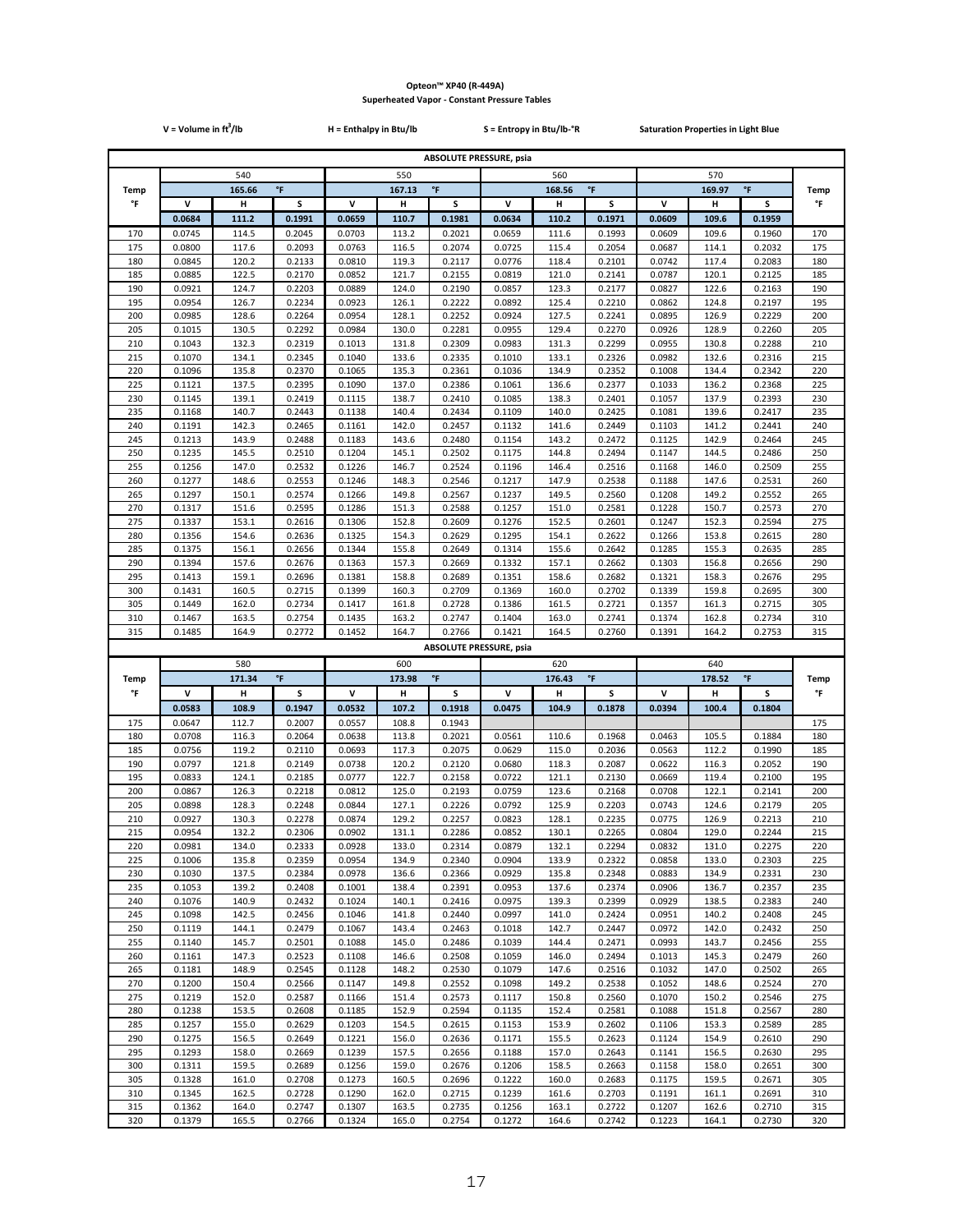|             | $V = Volume in ft3/lb$ |                |                     | H = Enthalpy in Btu/lb        |                | S = Entropy in Btu/lb-°R                 | <b>Saturation Properties in Light Blue</b> |                |                    |                              |                |                  |             |
|-------------|------------------------|----------------|---------------------|-------------------------------|----------------|------------------------------------------|--------------------------------------------|----------------|--------------------|------------------------------|----------------|------------------|-------------|
|             |                        |                |                     |                               |                | <b>ABSOLUTE PRESSURE, psia</b>           |                                            |                |                    |                              |                |                  |             |
|             | 540                    |                |                     | 550                           |                |                                          | 560                                        |                |                    |                              | 570            |                  |             |
| <b>Temp</b> |                        | 165.66         | $^\circ \mathsf{F}$ |                               | 167.13         | $\mathsf{P}$                             |                                            | 168.56         | $^\circ\mathsf{F}$ |                              | 169.97         | $\,^{\circ}$ F   | <b>Temp</b> |
| °F          | v                      | н              | S                   | v                             | н              | s                                        | v                                          | Н              | s                  | v                            | н              | S                | °F          |
|             | 0.0684                 | 111.2          | 0.1991              | 0.0659                        | 110.7          | 0.1981                                   | 0.0634                                     | 110.2          | 0.1971             | 0.0609                       | 109.6          | 0.1959           |             |
| 170         | 0.0745                 | 114.5          | 0.2045              | 0.0703                        | 113.2          | 0.2021                                   | 0.0659                                     | 111.6          | 0.1993             | 0.0609                       | 109.6          | 0.1960           | 170         |
| 175<br>180  | 0.0800<br>0.0845       | 117.6<br>120.2 | 0.2093<br>0.2133    | 0.0763<br>0.0810              | 116.5<br>119.3 | 0.2074<br>0.2117                         | 0.0725<br>0.0776                           | 115.4<br>118.4 | 0.2054<br>0.2101   | 0.0687<br>0.0742             | 114.1<br>117.4 | 0.2032<br>0.2083 | 175<br>180  |
| 185         | 0.0885                 | 122.5          | 0.2170              | 0.0852                        | 121.7          | 0.2155                                   | 0.0819                                     | 121.0          | 0.2141             | 0.0787                       | 120.1          | 0.2125           | 185         |
| 190         | 0.0921                 | 124.7          | 0.2203              | 0.0889                        | 124.0          | 0.2190                                   | 0.0857                                     | 123.3          | 0.2177             | 0.0827                       | 122.6          | 0.2163           | 190         |
| 195         | 0.0954                 | 126.7          | 0.2234              | 0.0923                        | 126.1          | 0.2222                                   | 0.0892                                     | 125.4          | 0.2210             | 0.0862                       | 124.8          | 0.2197           | 195         |
| 200         | 0.0985                 | 128.6          | 0.2264              | 0.0954                        | 128.1          | 0.2252                                   | 0.0924                                     | 127.5          | 0.2241             | 0.0895                       | 126.9          | 0.2229           | 200         |
| 205<br>210  | 0.1015<br>0.1043       | 130.5<br>132.3 | 0.2292<br>0.2319    | 0.0984<br>0.1013              | 130.0<br>131.8 | 0.2281<br>0.2309                         | 0.0955<br>0.0983                           | 129.4<br>131.3 | 0.2270<br>0.2299   | 0.0926<br>0.0955             | 128.9<br>130.8 | 0.2260<br>0.2288 | 205<br>210  |
| 215         | 0.1070                 | 134.1          | 0.2345              | 0.1040                        | 133.6          | 0.2335                                   | 0.1010                                     | 133.1          | 0.2326             | 0.0982                       | 132.6          | 0.2316           | 215         |
| 220         | 0.1096                 | 135.8          | 0.2370              | 0.1065                        | 135.3          | 0.2361                                   | 0.1036                                     | 134.9          | 0.2352             | 0.1008                       | 134.4          | 0.2342           | 220         |
| 225         | 0.1121                 | 137.5          | 0.2395              | 0.1090                        | 137.0          | 0.2386                                   | 0.1061                                     | 136.6          | 0.2377             | 0.1033                       | 136.2          | 0.2368           | 225         |
| 230         | 0.1145                 | 139.1          | 0.2419              | 0.1115                        | 138.7          | 0.2410                                   | 0.1085                                     | 138.3          | 0.2401             | 0.1057                       | 137.9          | 0.2393           | 230         |
| 235<br>240  | 0.1168<br>0.1191       | 140.7<br>142.3 | 0.2443<br>0.2465    | 0.1138<br>0.1161              | 140.4<br>142.0 | 0.2434<br>0.2457                         | 0.1109<br>0.1132                           | 140.0<br>141.6 | 0.2425<br>0.2449   | 0.1081<br>0.1103             | 139.6<br>141.2 | 0.2417<br>0.2441 | 235<br>240  |
| 245         | 0.1213                 | 143.9          | 0.2488              | 0.1183                        | 143.6          | 0.2480                                   | 0.1154                                     | 143.2          | 0.2472             | 0.1125                       | 142.9          | 0.2464           | 245         |
| 250         | 0.1235                 | 145.5          | 0.2510              | 0.1204                        | 145.1          | 0.2502                                   | 0.1175                                     | 144.8          | 0.2494             | 0.1147                       | 144.5          | 0.2486           | 250         |
| 255         | 0.1256                 | 147.0          | 0.2532              | 0.1226                        | 146.7          | 0.2524                                   | 0.1196                                     | 146.4          | 0.2516             | 0.1168                       | 146.0          | 0.2509           | 255         |
| 260<br>265  | 0.1277<br>0.1297       | 148.6<br>150.1 | 0.2553<br>0.2574    | 0.1246<br>0.1266              | 148.3<br>149.8 | 0.2546<br>0.2567                         | 0.1217<br>0.1237                           | 147.9<br>149.5 | 0.2538<br>0.2560   | 0.1188<br>0.1208             | 147.6<br>149.2 | 0.2531<br>0.2552 | 260<br>265  |
| 270         | 0.1317                 | 151.6          | 0.2595              | 0.1286                        | 151.3          | 0.2588                                   | 0.1257                                     | 151.0          | 0.2581             | 0.1228                       | 150.7          | 0.2573           | 270         |
| 275         | 0.1337                 | 153.1          | 0.2616              | 0.1306                        | 152.8          | 0.2609                                   | 0.1276                                     | 152.5          | 0.2601             | 0.1247                       | 152.3          | 0.2594           | 275         |
| 280         | 0.1356                 | 154.6          | 0.2636              | 0.1325                        | 154.3          | 0.2629                                   | 0.1295                                     | 154.1          | 0.2622             | 0.1266                       | 153.8          | 0.2615           | 280         |
| 285         | 0.1375                 | 156.1          | 0.2656              | 0.1344                        | 155.8          | 0.2649                                   | 0.1314                                     | 155.6          | 0.2642             | 0.1285                       | 155.3          | 0.2635           | 285         |
| 290<br>295  | 0.1394<br>0.1413       | 157.6<br>159.1 | 0.2676<br>0.2696    | 0.1363<br>0.1381              | 157.3<br>158.8 | 0.2669<br>0.2689                         | 0.1332<br>0.1351                           | 157.1<br>158.6 | 0.2662<br>0.2682   | 0.1303<br>0.1321             | 156.8<br>158.3 | 0.2656<br>0.2676 | 290<br>295  |
| 300         | 0.1431                 | 160.5          | 0.2715              | 0.1399                        | 160.3          | 0.2709                                   | 0.1369                                     | 160.0          | 0.2702             | 0.1339                       | 159.8          | 0.2695           | 300         |
| 305         | 0.1449                 | 162.0          | 0.2734              | 0.1417                        | 161.8          | 0.2728                                   | 0.1386                                     | 161.5          | 0.2721             | 0.1357                       | 161.3          | 0.2715           | 305         |
| 310         | 0.1467                 | 163.5          | 0.2754              | 0.1435                        | 163.2          | 0.2747                                   | 0.1404                                     | 163.0          | 0.2741             | 0.1374                       | 162.8          | 0.2734           | 310         |
| 315         | 0.1485                 | 164.9          | 0.2772              | 0.1452                        | 164.7          | 0.2766<br><b>ABSOLUTE PRESSURE, psia</b> | 0.1421                                     | 164.5          | 0.2760             | 0.1391                       | 164.2          | 0.2753           | 315         |
|             |                        | 580            |                     |                               | 600            |                                          |                                            | 620            |                    |                              | 640            |                  |             |
| <b>Temp</b> |                        | 171.34         | °F                  | $^\circ \mathsf{F}$<br>173.98 |                |                                          | $^\circ \mathsf{F}$<br>176.43              |                |                    | $^\circ\mathsf{F}$<br>178.52 |                |                  | <b>Temp</b> |
| °F          | v                      | н              | S                   | v                             | н              | s                                        | v                                          | н              | s                  | ٧                            | н              | s                | °F          |
|             | 0.0583                 | 108.9          | 0.1947              | 0.0532                        | 107.2          | 0.1918                                   | 0.0475                                     | 104.9          | 0.1878             | 0.0394                       | 100.4          | 0.1804           |             |
| 175<br>180  | 0.0647<br>0.0708       | 112.7<br>116.3 | 0.2007<br>0.2064    | 0.0557<br>0.0638              | 108.8<br>113.8 | 0.1943<br>0.2021                         | 0.0561                                     | 110.6          | 0.1968             | 0.0463                       | 105.5          | 0.1884           | 175<br>180  |
| 185         | 0.0756                 | 119.2          | 0.2110              | 0.0693                        | 117.3          | 0.2075                                   | 0.0629                                     | 115.0          | 0.2036             | 0.0563                       | 112.2          | 0.1990           | 185         |
| 190         | 0.0797                 | 121.8          | 0.2149              | 0.0738                        | 120.2          | 0.2120                                   | 0.0680                                     | 118.3          | 0.2087             | 0.0622                       | 116.3          | 0.2052           | 190         |
| 195         | 0.0833                 | 124.1          | 0.2185              | 0.0777                        | 122.7          | 0.2158                                   | 0.0722                                     | 121.1          | 0.2130             | 0.0669                       | 119.4          | 0.2100           | 195         |
| 200         | 0.0867                 | 126.3          | 0.2218              | 0.0812                        | 125.0          | 0.2193                                   | 0.0759                                     | 123.6          | 0.2168             | 0.0708                       | 122.1          | 0.2141           | 200         |
| 205<br>210  | 0.0898<br>0.0927       | 128.3<br>130.3 | 0.2248<br>0.2278    | 0.0844<br>0.0874              | 127.1<br>129.2 | 0.2226<br>0.2257                         | 0.0792<br>0.0823                           | 125.9<br>128.1 | 0.2203<br>0.2235   | 0.0743<br>0.0775             | 124.6<br>126.9 | 0.2179<br>0.2213 | 205<br>210  |
| 215         | 0.0954                 | 132.2          | 0.2306              | 0.0902                        | 131.1          | 0.2286                                   | 0.0852                                     | 130.1          | 0.2265             | 0.0804                       | 129.0          | 0.2244           | 215         |
| 220         | 0.0981                 | 134.0          | 0.2333              | 0.0928                        | 133.0          | 0.2314                                   | 0.0879                                     | 132.1          | 0.2294             | 0.0832                       | 131.0          | 0.2275           | 220         |
| 225         | 0.1006                 | 135.8          | 0.2359              | 0.0954                        | 134.9          | 0.2340                                   | 0.0904                                     | 133.9          | 0.2322             | 0.0858                       | 133.0          | 0.2303           | 225         |
| 230<br>235  | 0.1030<br>0.1053       | 137.5<br>139.2 | 0.2384<br>0.2408    | 0.0978<br>0.1001              | 136.6<br>138.4 | 0.2366<br>0.2391                         | 0.0929<br>0.0953                           | 135.8<br>137.6 | 0.2348<br>0.2374   | 0.0883<br>0.0906             | 134.9<br>136.7 | 0.2331<br>0.2357 | 230<br>235  |
| 240         | 0.1076                 | 140.9          | 0.2432              | 0.1024                        | 140.1          | 0.2416                                   | 0.0975                                     | 139.3          | 0.2399             | 0.0929                       | 138.5          | 0.2383           | 240         |
| 245         | 0.1098                 | 142.5          | 0.2456              | 0.1046                        | 141.8          | 0.2440                                   | 0.0997                                     | 141.0          | 0.2424             | 0.0951                       | 140.2          | 0.2408           | 245         |
| 250         | 0.1119                 | 144.1          | 0.2479              | 0.1067                        | 143.4          | 0.2463                                   | 0.1018                                     | 142.7          | 0.2447             | 0.0972                       | 142.0          | 0.2432           | 250         |
| 255         | 0.1140                 | 145.7          | 0.2501              | 0.1088                        | 145.0          | 0.2486                                   | 0.1039                                     | 144.4          | 0.2471             | 0.0993                       | 143.7          | 0.2456           | 255         |
| 260<br>265  | 0.1161<br>0.1181       | 147.3<br>148.9 | 0.2523<br>0.2545    | 0.1108<br>0.1128              | 146.6<br>148.2 | 0.2508<br>0.2530                         | 0.1059<br>0.1079                           | 146.0<br>147.6 | 0.2494<br>0.2516   | 0.1013<br>0.1032             | 145.3<br>147.0 | 0.2479<br>0.2502 | 260<br>265  |
| 270         | 0.1200                 | 150.4          | 0.2566              | 0.1147                        | 149.8          | 0.2552                                   | 0.1098                                     | 149.2          | 0.2538             | 0.1052                       | 148.6          | 0.2524           | 270         |
| 275         | 0.1219                 | 152.0          | 0.2587              | 0.1166                        | 151.4          | 0.2573                                   | 0.1117                                     | 150.8          | 0.2560             | 0.1070                       | 150.2          | 0.2546           | 275         |
| 280         | 0.1238                 | 153.5          | 0.2608              | 0.1185                        | 152.9          | 0.2594                                   | 0.1135                                     | 152.4          | 0.2581             | 0.1088                       | 151.8          | 0.2567           | 280         |
| 285         | 0.1257                 | 155.0          | 0.2629              | 0.1203                        | 154.5          | 0.2615                                   | 0.1153                                     | 153.9          | 0.2602             | 0.1106                       | 153.3          | 0.2589           | 285         |
| 290<br>295  | 0.1275<br>0.1293       | 156.5<br>158.0 | 0.2649<br>0.2669    | 0.1221<br>0.1239              | 156.0<br>157.5 | 0.2636<br>0.2656                         | 0.1171<br>0.1188                           | 155.5<br>157.0 | 0.2623<br>0.2643   | 0.1124<br>0.1141             | 154.9<br>156.5 | 0.2610<br>0.2630 | 290<br>295  |
| 300         | 0.1311                 | 159.5          | 0.2689              | 0.1256                        | 159.0          | 0.2676                                   | 0.1206                                     | 158.5          | 0.2663             | 0.1158                       | 158.0          | 0.2651           | 300         |
| 305         | 0.1328                 | 161.0          | 0.2708              | 0.1273                        | 160.5          | 0.2696                                   | 0.1222                                     | 160.0          | 0.2683             | 0.1175                       | 159.5          | 0.2671           | 305         |
| 310         | 0.1345                 | 162.5          | 0.2728              | 0.1290                        | 162.0          | 0.2715                                   | 0.1239                                     | 161.6          | 0.2703             | 0.1191                       | 161.1          | 0.2691           | 310         |
| 315         | 0.1362<br>0.1379       | 164.0<br>165.5 | 0.2747<br>0.2766    | 0.1307<br>0.1324              | 163.5<br>165.0 | 0.2735<br>0.2754                         | 0.1256<br>0.1272                           | 163.1<br>164.6 | 0.2722<br>0.2742   | 0.1207<br>0.1223             | 162.6<br>164.1 | 0.2710<br>0.2730 | 315<br>320  |
| 320         |                        |                |                     |                               |                |                                          |                                            |                |                    |                              |                |                  |             |